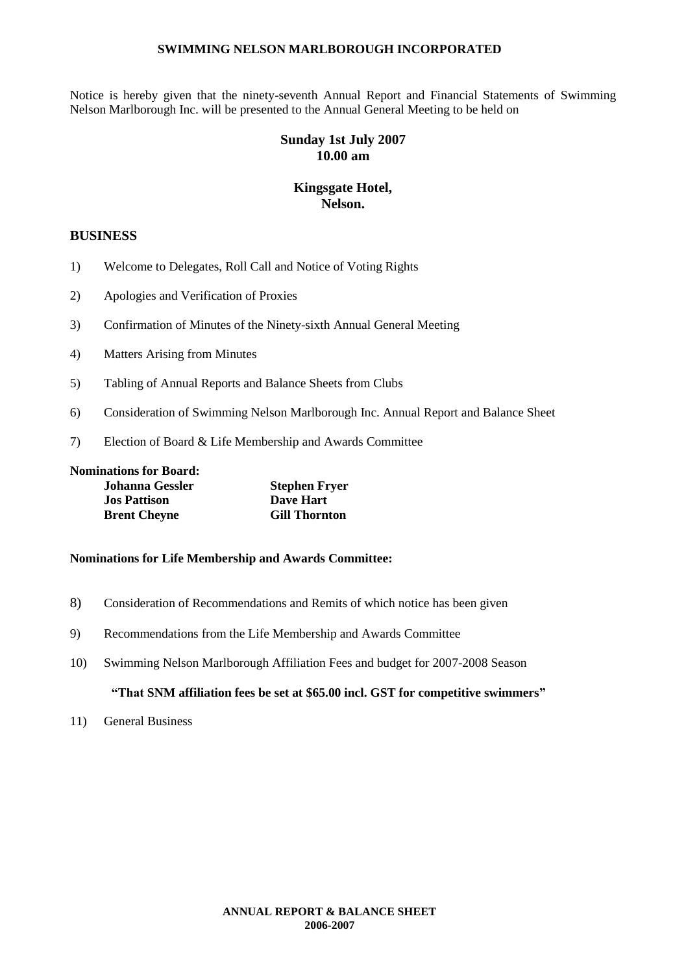Notice is hereby given that the ninety-seventh Annual Report and Financial Statements of Swimming Nelson Marlborough Inc. will be presented to the Annual General Meeting to be held on

### **Sunday 1st July 2007 10.00 am**

#### **Kingsgate Hotel, Nelson.**

#### **BUSINESS**

- 1) Welcome to Delegates, Roll Call and Notice of Voting Rights
- 2) Apologies and Verification of Proxies
- 3) Confirmation of Minutes of the Ninety-sixth Annual General Meeting
- 4) Matters Arising from Minutes
- 5) Tabling of Annual Reports and Balance Sheets from Clubs
- 6) Consideration of Swimming Nelson Marlborough Inc. Annual Report and Balance Sheet
- 7) Election of Board & Life Membership and Awards Committee

**Nominations for Board:**

| <b>Johanna Gessler</b> | <b>Stephen Fryer</b> |
|------------------------|----------------------|
| <b>Jos Pattison</b>    | Dave Hart            |
| <b>Brent Cheyne</b>    | <b>Gill Thornton</b> |

#### **Nominations for Life Membership and Awards Committee:**

- 8) Consideration of Recommendations and Remits of which notice has been given
- 9) Recommendations from the Life Membership and Awards Committee
- 10) Swimming Nelson Marlborough Affiliation Fees and budget for 2007-2008 Season

#### **"That SNM affiliation fees be set at \$65.00 incl. GST for competitive swimmers"**

11) General Business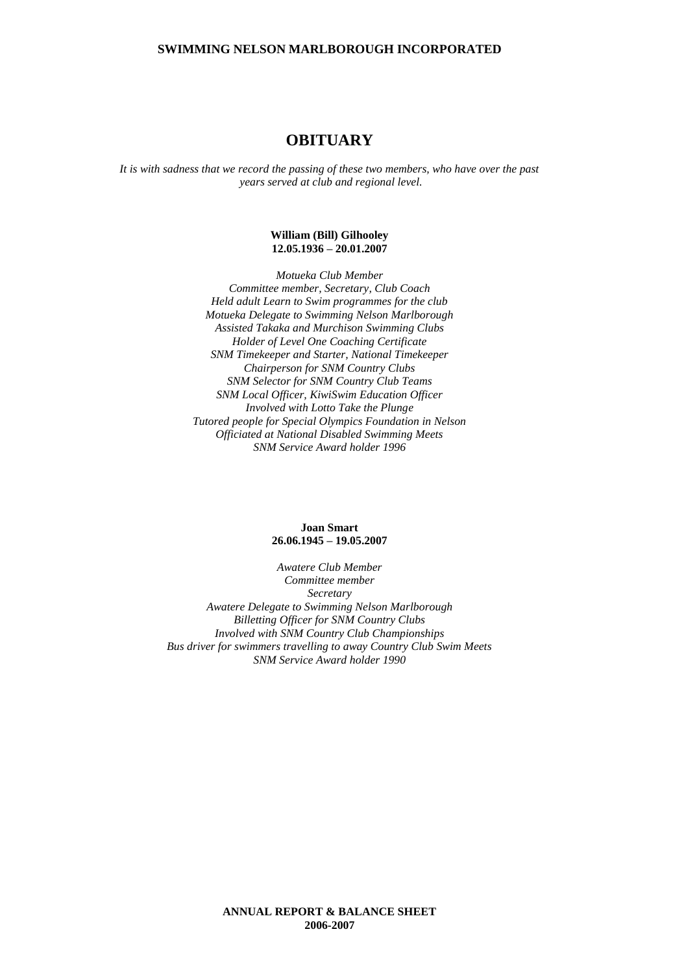### **OBITUARY**

*It is with sadness that we record the passing of these two members, who have over the past years served at club and regional level.*

#### **William (Bill) Gilhooley 12.05.1936 – 20.01.2007**

*Motueka Club Member Committee member, Secretary, Club Coach Held adult Learn to Swim programmes for the club Motueka Delegate to Swimming Nelson Marlborough Assisted Takaka and Murchison Swimming Clubs Holder of Level One Coaching Certificate SNM Timekeeper and Starter, National Timekeeper Chairperson for SNM Country Clubs SNM Selector for SNM Country Club Teams SNM Local Officer, KiwiSwim Education Officer Involved with Lotto Take the Plunge Tutored people for Special Olympics Foundation in Nelson Officiated at National Disabled Swimming Meets SNM Service Award holder 1996*

#### **Joan Smart 26.06.1945 – 19.05.2007**

*Awatere Club Member Committee member Secretary Awatere Delegate to Swimming Nelson Marlborough Billetting Officer for SNM Country Clubs Involved with SNM Country Club Championships Bus driver for swimmers travelling to away Country Club Swim Meets SNM Service Award holder 1990*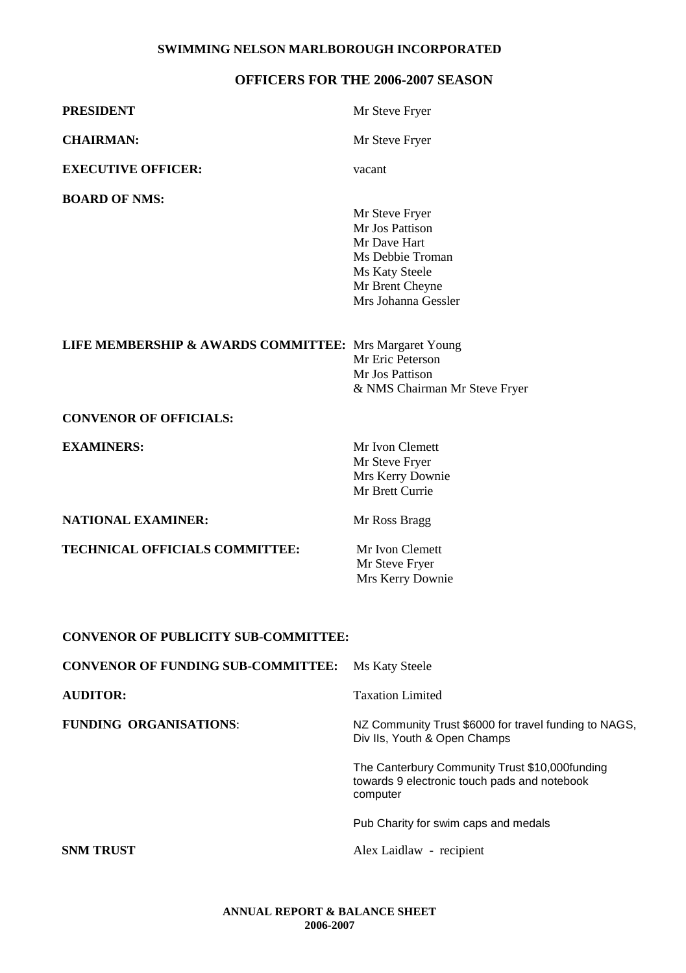#### **OFFICERS FOR THE 2006-2007 SEASON**

| <b>PRESIDENT</b>                                       | Mr Steve Fryer                                                                                                                    |
|--------------------------------------------------------|-----------------------------------------------------------------------------------------------------------------------------------|
| <b>CHAIRMAN:</b>                                       | Mr Steve Fryer                                                                                                                    |
| <b>EXECUTIVE OFFICER:</b>                              | vacant                                                                                                                            |
| <b>BOARD OF NMS:</b>                                   | Mr Steve Fryer<br>Mr Jos Pattison<br>Mr Dave Hart<br>Ms Debbie Troman<br>Ms Katy Steele<br>Mr Brent Cheyne<br>Mrs Johanna Gessler |
| LIFE MEMBERSHIP & AWARDS COMMITTEE: Mrs Margaret Young | Mr Eric Peterson<br>Mr Jos Pattison<br>& NMS Chairman Mr Steve Fryer                                                              |
| <b>CONVENOR OF OFFICIALS:</b>                          |                                                                                                                                   |
| <b>EXAMINERS:</b>                                      | Mr Ivon Clemett<br>Mr Steve Fryer<br>Mrs Kerry Downie<br>Mr Brett Currie                                                          |
| <b>NATIONAL EXAMINER:</b>                              | Mr Ross Bragg                                                                                                                     |
| TECHNICAL OFFICIALS COMMITTEE:                         | Mr Ivon Clemett<br>Mr Steve Fryer<br>Mrs Kerry Downie                                                                             |
| <b>CONVENOR OF PUBLICITY SUB-COMMITTEE:</b>            |                                                                                                                                   |
| <b>CONVENOR OF FUNDING SUB-COMMITTEE:</b>              | Ms Katy Steele                                                                                                                    |
| <b>AUDITOR:</b>                                        | <b>Taxation Limited</b>                                                                                                           |
| <b>FUNDING ORGANISATIONS:</b>                          | NZ Community Trust \$6000 for travel funding to NAGS,<br>Div IIs, Youth & Open Champs                                             |
|                                                        | The Canterbury Community Trust \$10,000funding<br>towards 9 electronic touch pads and notebook<br>computer                        |
|                                                        | Pub Charity for swim caps and medals                                                                                              |
| <b>SNM TRUST</b>                                       | Alex Laidlaw - recipient                                                                                                          |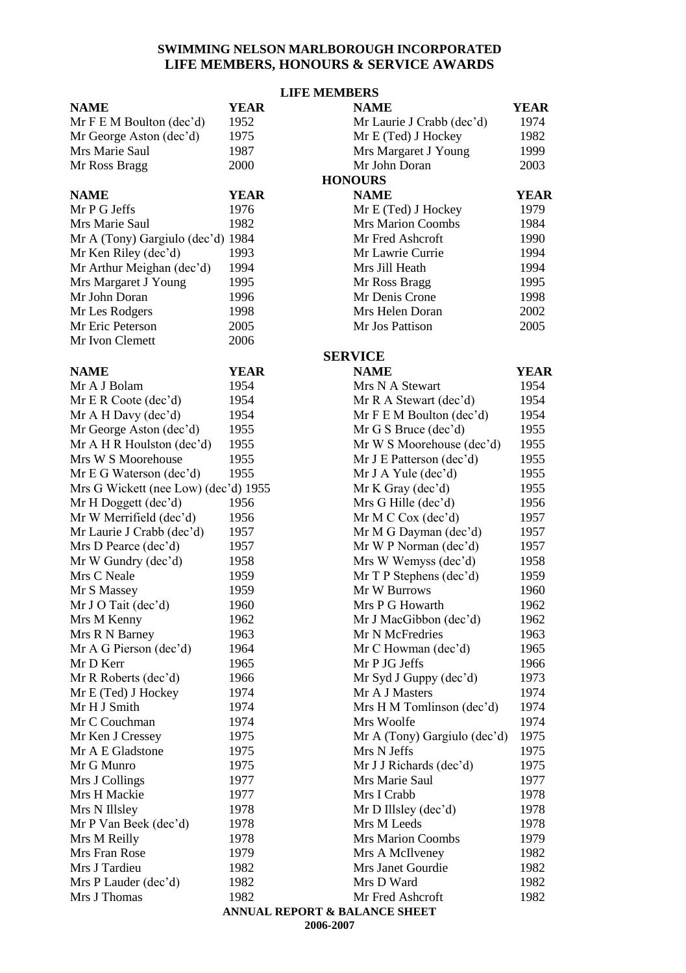#### **SWIMMING NELSON MARLBOROUGH INCORPORATED LIFE MEMBERS, HONOURS & SERVICE AWARDS**

|                                      |                | <b>LIFE MEMBERS</b>                      |             |  |  |
|--------------------------------------|----------------|------------------------------------------|-------------|--|--|
| <b>NAME</b>                          | <b>YEAR</b>    | <b>NAME</b>                              | <b>YEAR</b> |  |  |
| Mr F E M Boulton (dec'd)             | 1952           | Mr Laurie J Crabb (dec'd)                | 1974        |  |  |
| Mr George Aston (dec'd)              | 1975           | Mr E (Ted) J Hockey<br>1982              |             |  |  |
| Mrs Marie Saul                       | 1987           | Mrs Margaret J Young<br>1999             |             |  |  |
| Mr Ross Bragg                        | 2000           | Mr John Doran                            | 2003        |  |  |
|                                      | <b>HONOURS</b> |                                          |             |  |  |
| <b>NAME</b>                          | <b>YEAR</b>    | <b>NAME</b>                              | <b>YEAR</b> |  |  |
| Mr P G Jeffs                         | 1976           | Mr E (Ted) J Hockey                      | 1979        |  |  |
| Mrs Marie Saul                       | 1982           | <b>Mrs Marion Coombs</b>                 | 1984        |  |  |
| Mr A (Tony) Gargiulo (dec'd)         | 1984           | Mr Fred Ashcroft                         | 1990        |  |  |
| Mr Ken Riley (dec'd)                 | 1993           | Mr Lawrie Currie                         | 1994        |  |  |
| Mr Arthur Meighan (dec'd)            | 1994           | Mrs Jill Heath                           | 1994        |  |  |
| Mrs Margaret J Young                 | 1995           | Mr Ross Bragg                            | 1995        |  |  |
| Mr John Doran                        | 1996           | Mr Denis Crone                           | 1998        |  |  |
| Mr Les Rodgers                       | 1998           | Mrs Helen Doran                          | 2002        |  |  |
| Mr Eric Peterson                     | 2005           | Mr Jos Pattison                          | 2005        |  |  |
| Mr Ivon Clemett                      | 2006           |                                          |             |  |  |
|                                      |                | <b>SERVICE</b>                           |             |  |  |
| <b>NAME</b>                          | <b>YEAR</b>    | <b>NAME</b>                              | <b>YEAR</b> |  |  |
| Mr A J Bolam                         | 1954           | Mrs N A Stewart                          | 1954        |  |  |
| Mr E R Code (dec'd)                  | 1954           | Mr R A Stewart (dec'd)                   | 1954        |  |  |
| Mr A H Davy (dec'd)                  | 1954           | Mr F E M Boulton (dec'd)                 | 1954        |  |  |
| Mr George Aston (dec'd)              | 1955           | Mr G S Bruce (dec'd)                     | 1955        |  |  |
| Mr A H R Houlston (dec'd)            | 1955           | Mr W S Moorehouse (dec'd)                | 1955        |  |  |
| Mrs W S Moorehouse                   | 1955           | Mr J E Patterson (dec'd)                 | 1955        |  |  |
| Mr E G Waterson (dec'd)              | 1955           | $Mr J A Y = (dec'd)$                     | 1955        |  |  |
| Mrs G Wickett (nee Low) (dec'd) 1955 |                | Mr K Gray (dec'd)                        | 1955        |  |  |
| Mr H Doggett (dec'd)                 | 1956           | Mrs G Hille (dec'd)                      | 1956        |  |  |
| Mr W Merrifield (dec'd)              | 1956           | Mr M C Cox (dec'd)                       | 1957        |  |  |
| Mr Laurie J Crabb (dec'd)            | 1957           | Mr M G Dayman (dec'd)                    | 1957        |  |  |
| Mrs D Pearce (dec'd)                 | 1957           | Mr W P Norman (dec'd)                    | 1957        |  |  |
| Mr W Gundry (dec'd)                  | 1958           | Mrs W Wemyss (dec'd)                     | 1958        |  |  |
| Mrs C Neale                          | 1959           | Mr T P Stephens (dec'd)                  | 1959        |  |  |
| Mr S Massey                          | 1959           | Mr W Burrows                             | 1960        |  |  |
| Mr J O Tait (dec'd)                  | 1960           | Mrs P G Howarth                          | 1962        |  |  |
| Mrs M Kenny                          | 1962           | Mr J MacGibbon (dec'd)                   | 1962        |  |  |
| Mrs R N Barney                       | 1963           | Mr N McFredries                          | 1963        |  |  |
| Mr A G Pierson (dec'd)               | 1964           | Mr C Howman (dec'd)                      | 1965        |  |  |
| Mr D Kerr                            | 1965           | Mr P JG Jeffs                            | 1966        |  |  |
| Mr R Roberts (dec'd)                 | 1966           | Mr Syd J Guppy (dec'd)                   | 1973        |  |  |
| Mr E (Ted) J Hockey                  | 1974           | Mr A J Masters                           | 1974        |  |  |
| Mr H J Smith                         | 1974           | Mrs H M Tomlinson (dec'd)                | 1974        |  |  |
| Mr C Couchman                        | 1974           | Mrs Woolfe                               | 1974        |  |  |
| Mr Ken J Cressey                     | 1975           | Mr A (Tony) Gargiulo (dec'd)             | 1975        |  |  |
| Mr A E Gladstone                     | 1975           | Mrs N Jeffs                              | 1975        |  |  |
| Mr G Munro                           | 1975           | Mr J J Richards (dec'd)                  | 1975        |  |  |
| Mrs J Collings                       | 1977           | Mrs Marie Saul                           | 1977        |  |  |
| Mrs H Mackie                         | 1977           | Mrs I Crabb                              | 1978        |  |  |
| Mrs N Illsley                        | 1978           | Mr D Illsley $(dec'd)$                   | 1978        |  |  |
| Mr P Van Beek (dec'd)                | 1978           | Mrs M Leeds                              | 1978        |  |  |
| Mrs M Reilly                         | 1978           | <b>Mrs Marion Coombs</b>                 | 1979        |  |  |
| Mrs Fran Rose                        | 1979           | Mrs A McIlveney                          | 1982        |  |  |
| Mrs J Tardieu                        | 1982           | Mrs Janet Gourdie                        | 1982        |  |  |
| Mrs P Lauder (dec'd)                 | 1982           | Mrs D Ward                               | 1982        |  |  |
| Mrs J Thomas                         | 1982           | Mr Fred Ashcroft                         | 1982        |  |  |
|                                      |                | <b>ANNUAL REPORT &amp; BALANCE SHEET</b> |             |  |  |

**2006-2007**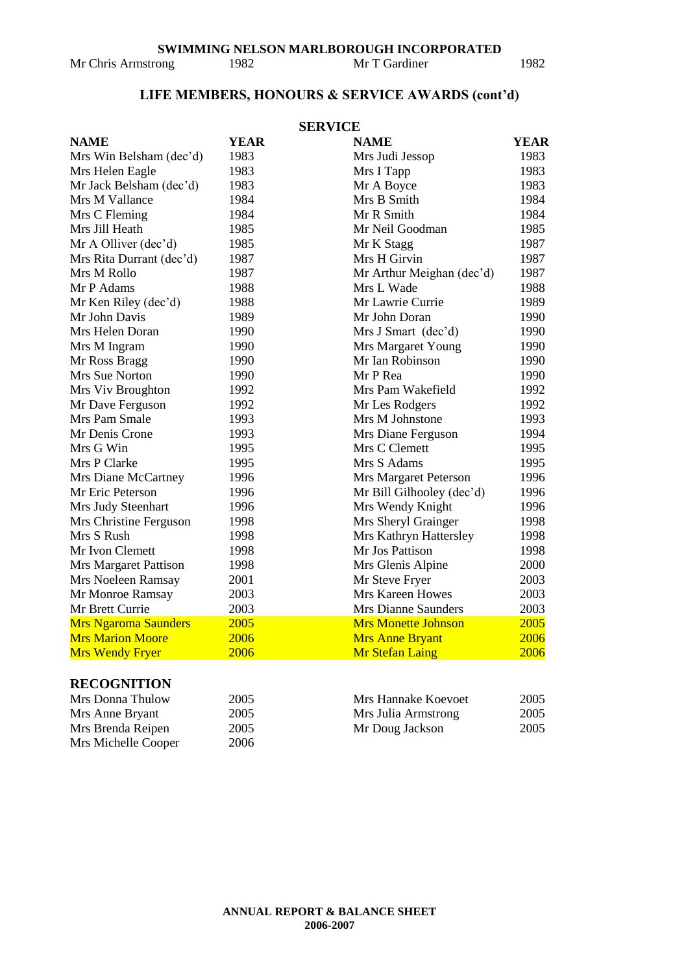Mr Chris Armstrong 1982 Mr T Gardiner 1982

### **LIFE MEMBERS, HONOURS & SERVICE AWARDS (cont'd)**

|                              |             | <b>SERVICE</b>             |      |
|------------------------------|-------------|----------------------------|------|
| <b>NAME</b>                  | <b>YEAR</b> | <b>NAME</b>                | YEAR |
| Mrs Win Belsham (dec'd)      | 1983        | Mrs Judi Jessop            | 1983 |
| Mrs Helen Eagle              | 1983        | Mrs I Tapp                 | 1983 |
| Mr Jack Belsham (dec'd)      | 1983        | Mr A Boyce                 | 1983 |
| Mrs M Vallance               | 1984        | Mrs B Smith                | 1984 |
| Mrs C Fleming                | 1984        | Mr R Smith                 | 1984 |
| Mrs Jill Heath               | 1985        | Mr Neil Goodman            | 1985 |
| Mr A Olliver (dec'd)         | 1985        | Mr K Stagg                 | 1987 |
| Mrs Rita Durrant (dec'd)     | 1987        | Mrs H Girvin               | 1987 |
| Mrs M Rollo                  | 1987        | Mr Arthur Meighan (dec'd)  | 1987 |
| Mr P Adams                   | 1988        | Mrs L Wade                 | 1988 |
| Mr Ken Riley (dec'd)         | 1988        | Mr Lawrie Currie           | 1989 |
| Mr John Davis                | 1989        | Mr John Doran              | 1990 |
| Mrs Helen Doran              | 1990        | Mrs J Smart (dec'd)        | 1990 |
| Mrs M Ingram                 | 1990        | Mrs Margaret Young         | 1990 |
| Mr Ross Bragg                | 1990        | Mr Ian Robinson            | 1990 |
| Mrs Sue Norton               | 1990        | Mr P Rea                   | 1990 |
| Mrs Viv Broughton            | 1992        | Mrs Pam Wakefield          | 1992 |
| Mr Dave Ferguson             | 1992        | Mr Les Rodgers             | 1992 |
| Mrs Pam Smale                | 1993        | Mrs M Johnstone            | 1993 |
| Mr Denis Crone               | 1993        | Mrs Diane Ferguson         | 1994 |
| Mrs G Win                    | 1995        | Mrs C Clemett              | 1995 |
| Mrs P Clarke                 | 1995        | Mrs S Adams                | 1995 |
| Mrs Diane McCartney          | 1996        | Mrs Margaret Peterson      | 1996 |
| Mr Eric Peterson             | 1996        | Mr Bill Gilhooley (dec'd)  | 1996 |
| Mrs Judy Steenhart           | 1996        | Mrs Wendy Knight           | 1996 |
| Mrs Christine Ferguson       | 1998        | Mrs Sheryl Grainger        | 1998 |
| Mrs S Rush                   | 1998        | Mrs Kathryn Hattersley     | 1998 |
| Mr Ivon Clemett              | 1998        | Mr Jos Pattison            | 1998 |
| <b>Mrs Margaret Pattison</b> | 1998        | Mrs Glenis Alpine          | 2000 |
| Mrs Noeleen Ramsay           | 2001        | Mr Steve Fryer             | 2003 |
| Mr Monroe Ramsay             | 2003        | Mrs Kareen Howes           | 2003 |
| Mr Brett Currie              | 2003        | <b>Mrs Dianne Saunders</b> | 2003 |
| <b>Mrs Ngaroma Saunders</b>  | 2005        | <b>Mrs Monette Johnson</b> | 2005 |
| <b>Mrs Marion Moore</b>      | 2006        | <b>Mrs Anne Bryant</b>     | 2006 |
| <b>Mrs Wendy Fryer</b>       | 2006        | <b>Mr Stefan Laing</b>     | 2006 |

### **RECOGNITION**

| Mrs Donna Thulow    | 2005 | Mrs Hannake Koevoet | 2005 |
|---------------------|------|---------------------|------|
| Mrs Anne Bryant     | 2005 | Mrs Julia Armstrong | 2005 |
| Mrs Brenda Reipen   | 2005 | Mr Doug Jackson     | 2005 |
| Mrs Michelle Cooper | 2006 |                     |      |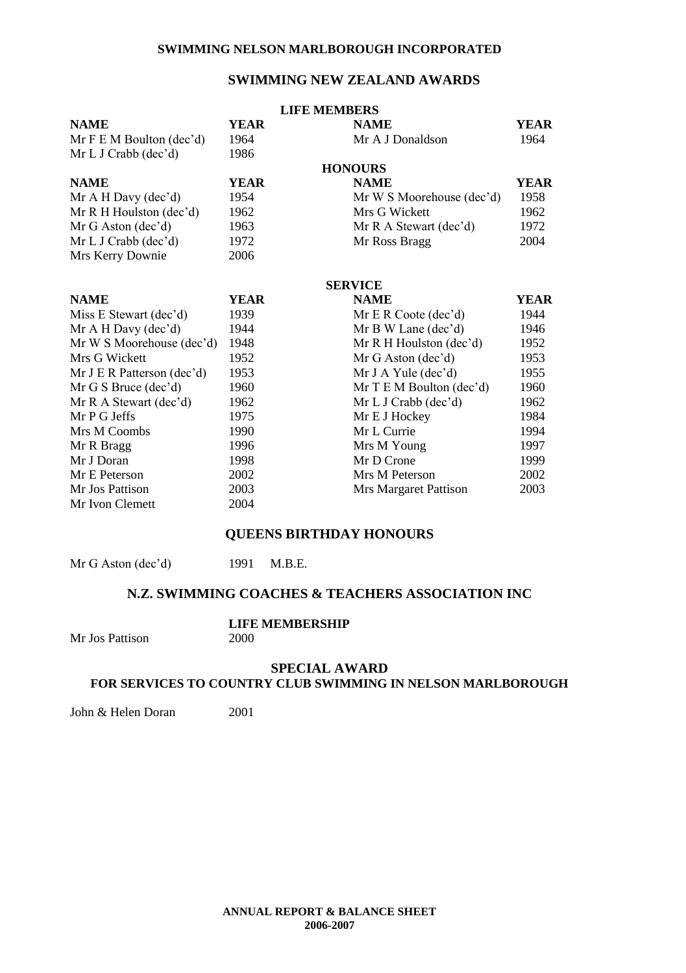#### **SWIMMING NEW ZEALAND AWARDS**

|                            |             | <b>LIFE MEMBERS</b>       |             |
|----------------------------|-------------|---------------------------|-------------|
| <b>NAME</b>                | YEAR        | <b>NAME</b>               | <b>YEAR</b> |
| Mr F E M Boulton (dec'd)   | 1964        | Mr A J Donaldson          | 1964        |
| Mr L J Crab (dec'd)        | 1986        |                           |             |
|                            |             | <b>HONOURS</b>            |             |
| <b>NAME</b>                | <b>YEAR</b> | <b>NAME</b>               | <b>YEAR</b> |
| Mr A H Davy $(dec'd)$      | 1954        | Mr W S Moorehouse (dec'd) | 1958        |
| Mr R H Houlston (dec'd)    | 1962        | Mrs G Wickett             | 1962        |
| Mr G Aston (dec'd)         | 1963        | Mr R A Stewart (dec'd)    | 1972        |
| Mr L J Crabb (dec'd)       | 1972        | Mr Ross Bragg             | 2004        |
| Mrs Kerry Downie           | 2006        |                           |             |
|                            |             | <b>SERVICE</b>            |             |
| <b>NAME</b>                | YEAR        | <b>NAME</b>               | <b>YEAR</b> |
| Miss E Stewart (dec'd)     | 1939        | Mr E R Code (dec'd)       | 1944        |
| Mr A H Davy (dec'd)        | 1944        | Mr B W Lane (dec'd)       | 1946        |
| Mr W S Moorehouse (dec'd)  | 1948        | Mr R H Houlston (dec'd)   | 1952        |
| Mrs G Wickett              | 1952        | $Mr G$ Aston (dec'd)      | 1953        |
| Mr J E R Patterson (dec'd) | 1953        | Mr J A Yule $(dec'd)$     | 1955        |
| Mr G S Bruce (dec'd)       | 1960        | Mr T E M Boulton (dec'd)  | 1960        |
| Mr R A Stewart (dec'd)     | 1962        | Mr L J Crabb (dec'd)      | 1962        |
| Mr P G Jeffs               | 1975        | Mr E J Hockey             | 1984        |
| Mrs M Coombs               | 1990        | Mr L Currie               | 1994        |
| Mr R Bragg                 | 1996        | Mrs M Young               | 1997        |
| Mr J Doran                 | 1998        | Mr D Crone                | 1999        |
| Mr E Peterson              | 2002        | Mrs M Peterson            | 2002        |
| Mr Jos Pattison            | 2003        | Mrs Margaret Pattison     | 2003        |
| Mr Ivon Clemett            | 2004        |                           |             |

#### **QUEENS BIRTHDAY HONOURS**

Mr G Aston (dec'd) 1991 M.B.E.

#### **N.Z. SWIMMING COACHES & TEACHERS ASSOCIATION INC**

Mr Jos Pattison

# **LIFE MEMBERSHIP**

#### **SPECIAL AWARD**

#### **FOR SERVICES TO COUNTRY CLUB SWIMMING IN NELSON MARLBOROUGH**

John & Helen Doran 2001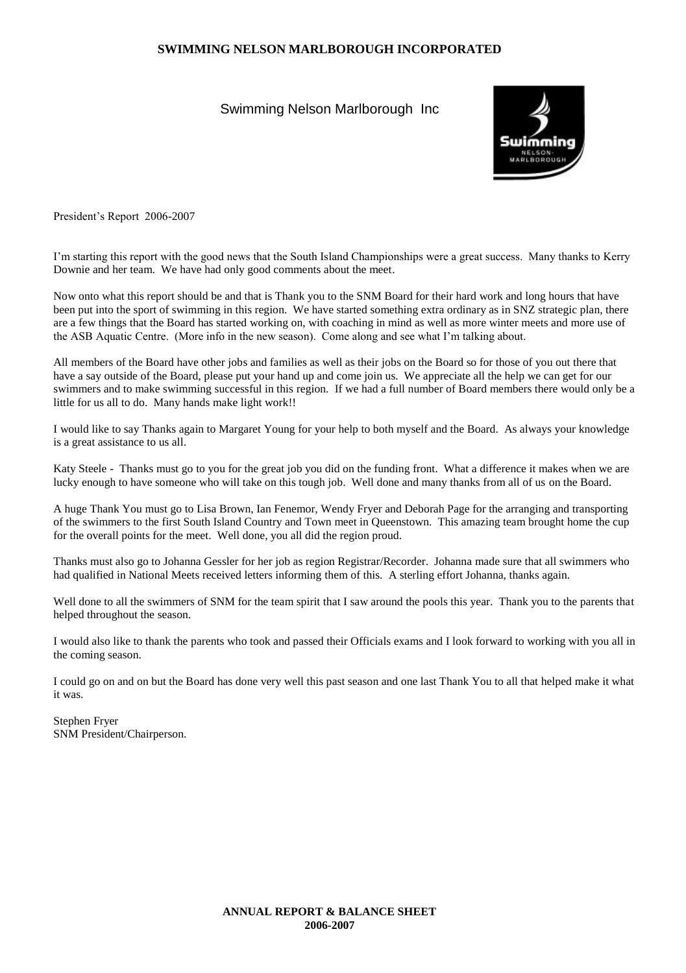#### Swimming Nelson Marlborough Inc



President's Report 2006-2007

I'm starting this report with the good news that the South Island Championships were a great success. Many thanks to Kerry Downie and her team. We have had only good comments about the meet.

Now onto what this report should be and that is Thank you to the SNM Board for their hard work and long hours that have been put into the sport of swimming in this region. We have started something extra ordinary as in SNZ strategic plan, there are a few things that the Board has started working on, with coaching in mind as well as more winter meets and more use of the ASB Aquatic Centre. (More info in the new season). Come along and see what I'm talking about.

All members of the Board have other jobs and families as well as their jobs on the Board so for those of you out there that have a say outside of the Board, please put your hand up and come join us. We appreciate all the help we can get for our swimmers and to make swimming successful in this region. If we had a full number of Board members there would only be a little for us all to do. Many hands make light work!!

I would like to say Thanks again to Margaret Young for your help to both myself and the Board. As always your knowledge is a great assistance to us all.

Katy Steele - Thanks must go to you for the great job you did on the funding front. What a difference it makes when we are lucky enough to have someone who will take on this tough job. Well done and many thanks from all of us on the Board.

A huge Thank You must go to Lisa Brown, Ian Fenemor, Wendy Fryer and Deborah Page for the arranging and transporting of the swimmers to the first South Island Country and Town meet in Queenstown. This amazing team brought home the cup for the overall points for the meet. Well done, you all did the region proud.

Thanks must also go to Johanna Gessler for her job as region Registrar/Recorder. Johanna made sure that all swimmers who had qualified in National Meets received letters informing them of this. A sterling effort Johanna, thanks again.

Well done to all the swimmers of SNM for the team spirit that I saw around the pools this year. Thank you to the parents that helped throughout the season.

I would also like to thank the parents who took and passed their Officials exams and I look forward to working with you all in the coming season.

I could go on and on but the Board has done very well this past season and one last Thank You to all that helped make it what it was.

Stephen Fryer SNM President/Chairperson.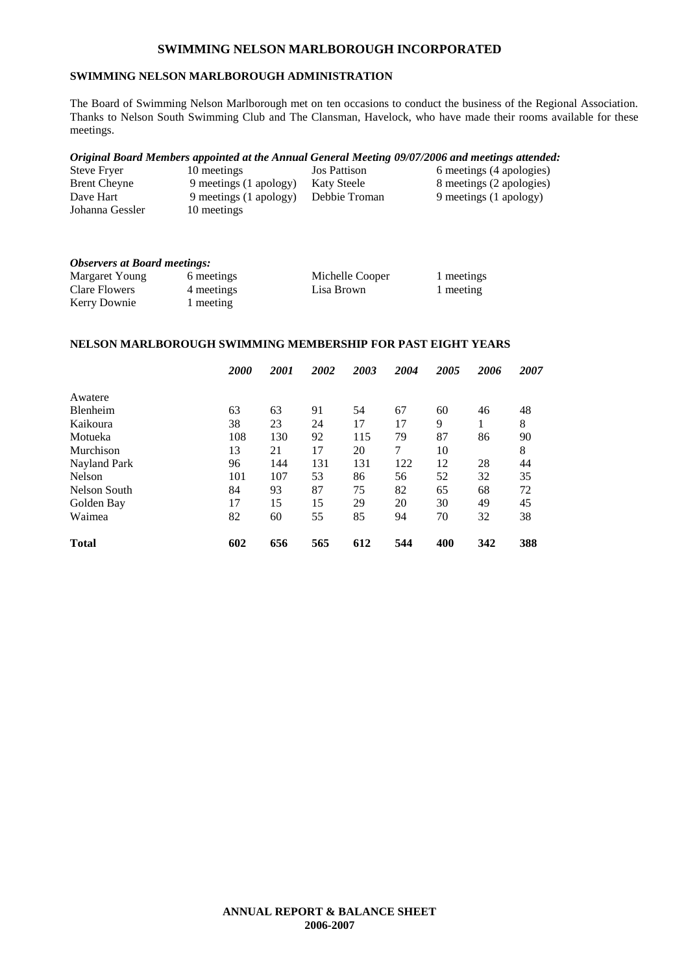#### **SWIMMING NELSON MARLBOROUGH ADMINISTRATION**

The Board of Swimming Nelson Marlborough met on ten occasions to conduct the business of the Regional Association. Thanks to Nelson South Swimming Club and The Clansman, Havelock, who have made their rooms available for these meetings.

#### *Original Board Members appointed at the Annual General Meeting 09/07/2006 and meetings attended:*

| Steve Fryer         | 10 meetings            | <b>Jos Pattison</b> | 6 meetings (4 apologies) |
|---------------------|------------------------|---------------------|--------------------------|
| <b>Brent Cheyne</b> | 9 meetings (1 apology) | Katy Steele         | 8 meetings (2 apologies) |
| Dave Hart           | 9 meetings (1 apology) | Debbie Troman       | 9 meetings (1 apology)   |
| Johanna Gessler     | 10 meetings            |                     |                          |

| <b>Observers at Board meetings:</b> |            |                 |            |  |  |  |  |
|-------------------------------------|------------|-----------------|------------|--|--|--|--|
| Margaret Young                      | 6 meetings | Michelle Cooper | 1 meetings |  |  |  |  |
| Clare Flowers                       | 4 meetings | Lisa Brown      | 1 meeting  |  |  |  |  |
| Kerry Downie                        | 1 meeting  |                 |            |  |  |  |  |

#### **NELSON MARLBOROUGH SWIMMING MEMBERSHIP FOR PAST EIGHT YEARS**

|                 | 2000 | 2001 | 2002 | 2003 | 2004 | 2005 | 2006 | 2007 |
|-----------------|------|------|------|------|------|------|------|------|
| Awatere         |      |      |      |      |      |      |      |      |
| <b>Blenheim</b> | 63   | 63   | 91   | 54   | 67   | 60   | 46   | 48   |
| Kaikoura        | 38   | 23   | 24   | 17   | 17   | 9    |      | 8    |
| Motueka         | 108  | 130  | 92   | 115  | 79   | 87   | 86   | 90   |
| Murchison       | 13   | 21   | 17   | 20   | 7    | 10   |      | 8    |
| Nayland Park    | 96   | 144  | 131  | 131  | 122  | 12   | 28   | 44   |
| <b>Nelson</b>   | 101  | 107  | 53   | 86   | 56   | 52   | 32   | 35   |
| Nelson South    | 84   | 93   | 87   | 75   | 82   | 65   | 68   | 72   |
| Golden Bay      | 17   | 15   | 15   | 29   | 20   | 30   | 49   | 45   |
| Waimea          | 82   | 60   | 55   | 85   | 94   | 70   | 32   | 38   |
| <b>Total</b>    | 602  | 656  | 565  | 612  | 544  | 400  | 342  | 388  |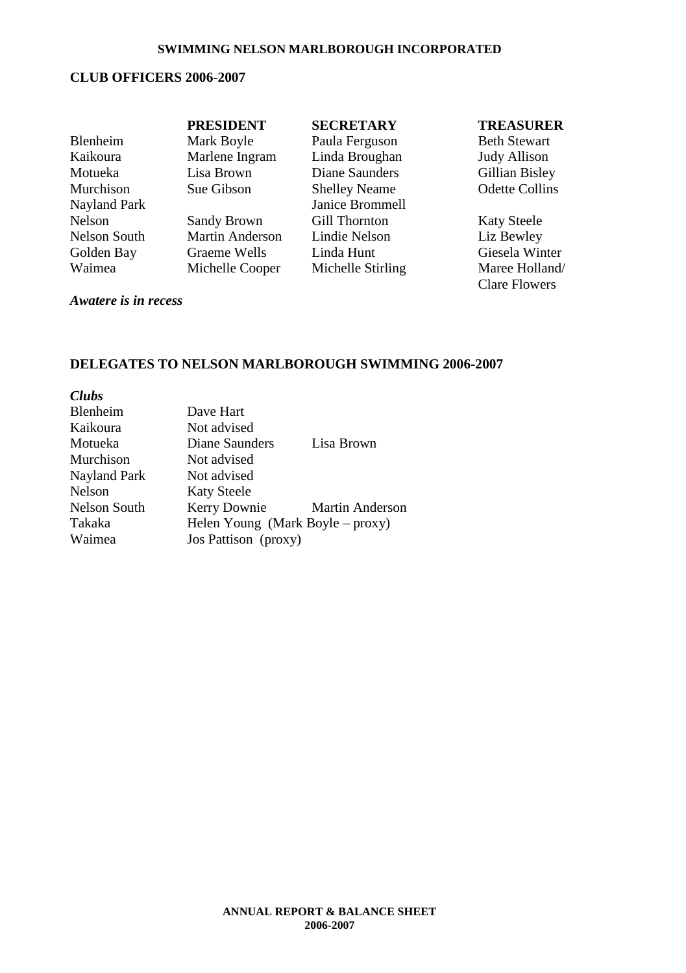#### **CLUB OFFICERS 2006-2007**

|              | <b>PRESIDENT</b>       | <b>SECRETARY</b>     | <b>TREASURER</b>      |
|--------------|------------------------|----------------------|-----------------------|
| Blenheim     | Mark Boyle             | Paula Ferguson       | <b>Beth Stewart</b>   |
| Kaikoura     | Marlene Ingram         | Linda Broughan       | <b>Judy Allison</b>   |
| Motueka      | Lisa Brown             | Diane Saunders       | Gillian Bisley        |
| Murchison    | Sue Gibson             | <b>Shelley Neame</b> | <b>Odette Collins</b> |
| Nayland Park |                        | Janice Brommell      |                       |
| Nelson       | <b>Sandy Brown</b>     | <b>Gill Thornton</b> | <b>Katy Steele</b>    |
| Nelson South | <b>Martin Anderson</b> | Lindie Nelson        | Liz Bewley            |
| Golden Bay   | Graeme Wells           | Linda Hunt           | Giesela Winter        |
| Waimea       | Michelle Cooper        | Michelle Stirling    | Maree Holland/        |

Clare Flowers

#### *Awatere is in recess*

#### **DELEGATES TO NELSON MARLBOROUGH SWIMMING 2006-2007**

| Clubs        |                                  |                        |
|--------------|----------------------------------|------------------------|
| Blenheim     | Dave Hart                        |                        |
| Kaikoura     | Not advised                      |                        |
| Motueka      | Diane Saunders                   | Lisa Brown             |
| Murchison    | Not advised                      |                        |
| Nayland Park | Not advised                      |                        |
| Nelson       | <b>Katy Steele</b>               |                        |
| Nelson South | Kerry Downie                     | <b>Martin Anderson</b> |
| Takaka       | Helen Young (Mark Boyle – proxy) |                        |
| Waimea       | Jos Pattison (proxy)             |                        |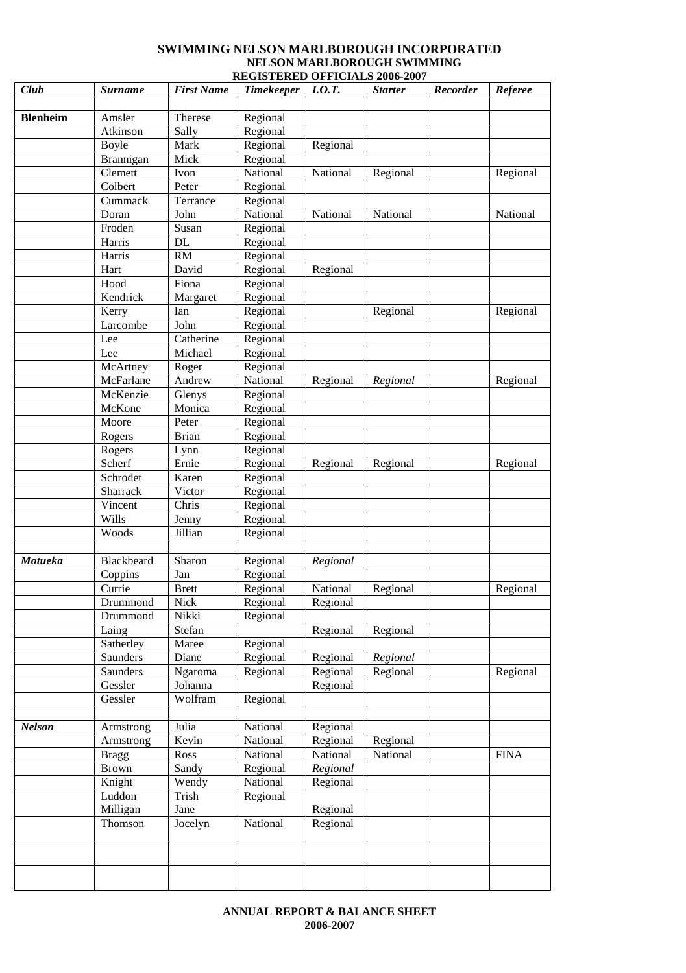#### **SWIMMING NELSON MARLBOROUGH INCORPORATED NELSON MARLBOROUGH SWIMMING REGISTERED OFFICIALS 2006-2007**

| Club            | <b>Surname</b>       | <b>First Name</b> | <b>Timekeeper</b>    | I.0.T.   | <b>Starter</b> | Recorder | Referee     |
|-----------------|----------------------|-------------------|----------------------|----------|----------------|----------|-------------|
|                 |                      |                   |                      |          |                |          |             |
| <b>Blenheim</b> | Amsler               | Therese           | Regional             |          |                |          |             |
|                 | Atkinson             | Sally             | Regional             |          |                |          |             |
|                 | <b>Boyle</b>         | Mark<br>Mick      | Regional             | Regional |                |          |             |
|                 | Brannigan<br>Clemett | Ivon              | Regional<br>National | National | Regional       |          | Regional    |
|                 | Colbert              | Peter             | Regional             |          |                |          |             |
|                 | Cummack              | Terrance          | Regional             |          |                |          |             |
|                 | Doran                | John              | National             | National | National       |          | National    |
|                 | Froden               | Susan             | Regional             |          |                |          |             |
|                 | Harris               | DL                | Regional             |          |                |          |             |
|                 | Harris               | RM                | Regional             |          |                |          |             |
|                 | Hart                 | David             | Regional             | Regional |                |          |             |
|                 | Hood                 | Fiona             | Regional             |          |                |          |             |
|                 | Kendrick             | Margaret          | Regional             |          |                |          |             |
|                 | Kerry                | Ian               | Regional             |          | Regional       |          | Regional    |
|                 | Larcombe             | John              | Regional             |          |                |          |             |
|                 | Lee                  | Catherine         | Regional             |          |                |          |             |
|                 | Lee                  | Michael           | Regional             |          |                |          |             |
|                 | McArtney             | Roger             | Regional             |          |                |          |             |
|                 | McFarlane            | Andrew            | National             | Regional | Regional       |          | Regional    |
|                 | McKenzie             | Glenys            | Regional             |          |                |          |             |
|                 | McKone               | Monica            | Regional             |          |                |          |             |
|                 | Moore                | Peter             | Regional             |          |                |          |             |
|                 | Rogers               | <b>Brian</b>      | Regional             |          |                |          |             |
|                 | Rogers               | Lynn              | Regional             |          |                |          |             |
|                 | Scherf               | Ernie             | Regional             | Regional | Regional       |          | Regional    |
|                 | Schrodet             | Karen             | Regional             |          |                |          |             |
|                 | Sharrack             | Victor            | Regional             |          |                |          |             |
|                 | Vincent              | Chris             | Regional             |          |                |          |             |
|                 | Wills                | Jenny             | Regional             |          |                |          |             |
|                 | Woods                | Jillian           | Regional             |          |                |          |             |
| Motueka         | Blackbeard           | Sharon            | Regional             | Regional |                |          |             |
|                 | Coppins              | Jan               | Regional             |          |                |          |             |
|                 | Currie               | <b>Brett</b>      | Regional             | National | Regional       |          | Regional    |
|                 | Drummond             | Nick              | Regional             | Regional |                |          |             |
|                 | Drummond             | Nikki             | Regional             |          |                |          |             |
|                 | Laing                | Stefan            |                      | Regional | Regional       |          |             |
|                 | Satherley            | Maree             | Regional             |          |                |          |             |
|                 | Saunders             | Diane             | Regional             | Regional | Regional       |          |             |
|                 | Saunders             | Ngaroma           | Regional             | Regional | Regional       |          | Regional    |
|                 | Gessler              | Johanna           |                      | Regional |                |          |             |
|                 | Gessler              | Wolfram           | Regional             |          |                |          |             |
|                 |                      |                   |                      |          |                |          |             |
| <b>Nelson</b>   | Armstrong            | Julia             | National             | Regional |                |          |             |
|                 | Armstrong            | Kevin             | National             | Regional | Regional       |          |             |
|                 | <b>Bragg</b>         | Ross              | National             | National | National       |          | <b>FINA</b> |
|                 | <b>Brown</b>         | Sandy             | Regional             | Regional |                |          |             |
|                 | Knight               | Wendy             | National             | Regional |                |          |             |
|                 | Luddon               | Trish             | Regional             |          |                |          |             |
|                 | Milligan             | Jane              |                      | Regional |                |          |             |
|                 | Thomson              | Jocelyn           | National             | Regional |                |          |             |
|                 |                      |                   |                      |          |                |          |             |
|                 |                      |                   |                      |          |                |          |             |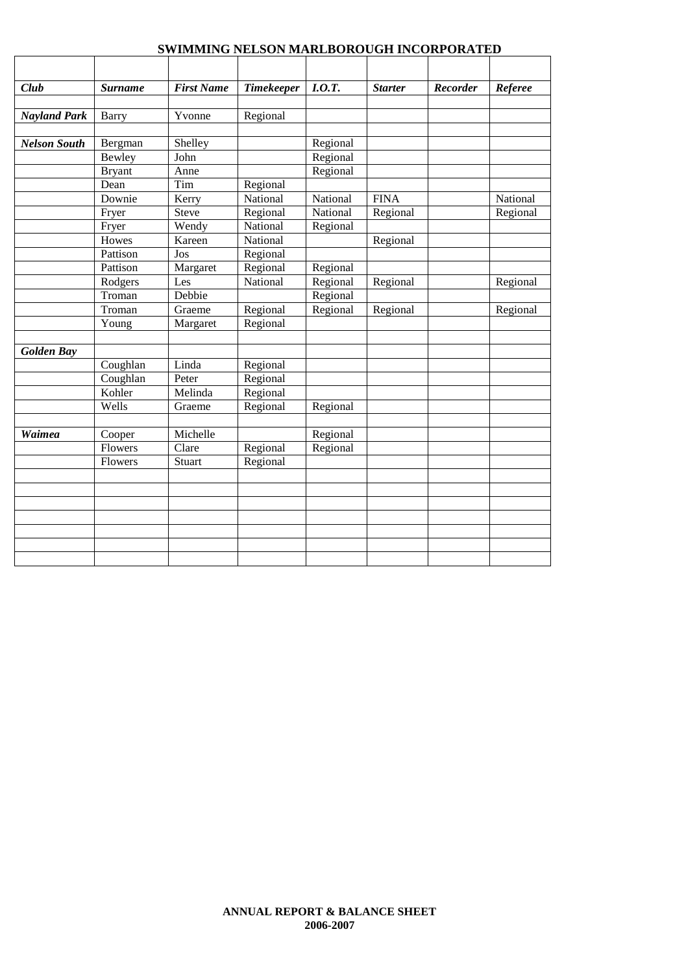| Club                | <b>Surname</b> | <b>First Name</b> | <b>Timekeeper</b> | I.0.T.   | <b>Starter</b> | <b>Recorder</b> | Referee  |
|---------------------|----------------|-------------------|-------------------|----------|----------------|-----------------|----------|
|                     |                |                   |                   |          |                |                 |          |
| <b>Nayland Park</b> | Barry          | Yvonne            | Regional          |          |                |                 |          |
|                     |                |                   |                   |          |                |                 |          |
| <b>Nelson South</b> | Bergman        | Shelley           |                   | Regional |                |                 |          |
|                     | Bewley         | John              |                   | Regional |                |                 |          |
|                     | <b>Bryant</b>  | Anne              |                   | Regional |                |                 |          |
|                     | Dean           | Tim               | Regional          |          |                |                 |          |
|                     | Downie         | Kerry             | National          | National | <b>FINA</b>    |                 | National |
|                     | Fryer          | Steve             | Regional          | National | Regional       |                 | Regional |
|                     | Fryer          | Wendy             | National          | Regional |                |                 |          |
|                     | Howes          | Kareen            | National          |          | Regional       |                 |          |
|                     | Pattison       | Jos               | Regional          |          |                |                 |          |
|                     | Pattison       | Margaret          | Regional          | Regional |                |                 |          |
|                     | Rodgers        | Les               | National          | Regional | Regional       |                 | Regional |
|                     | Troman         | Debbie            |                   | Regional |                |                 |          |
|                     | Troman         | Graeme            | Regional          | Regional | Regional       |                 | Regional |
|                     | Young          | Margaret          | Regional          |          |                |                 |          |
| <b>Golden Bay</b>   |                |                   |                   |          |                |                 |          |
|                     | Coughlan       | Linda             | Regional          |          |                |                 |          |
|                     | Coughlan       | Peter             | Regional          |          |                |                 |          |
|                     | Kohler         | Melinda           | Regional          |          |                |                 |          |
|                     | Wells          | Graeme            | Regional          | Regional |                |                 |          |
|                     |                |                   |                   |          |                |                 |          |
| <b>Waimea</b>       | Cooper         | Michelle          |                   | Regional |                |                 |          |
|                     | Flowers        | Clare             | Regional          | Regional |                |                 |          |
|                     | Flowers        | <b>Stuart</b>     | Regional          |          |                |                 |          |
|                     |                |                   |                   |          |                |                 |          |
|                     |                |                   |                   |          |                |                 |          |
|                     |                |                   |                   |          |                |                 |          |
|                     |                |                   |                   |          |                |                 |          |
|                     |                |                   |                   |          |                |                 |          |
|                     |                |                   |                   |          |                |                 |          |
|                     |                |                   |                   |          |                |                 |          |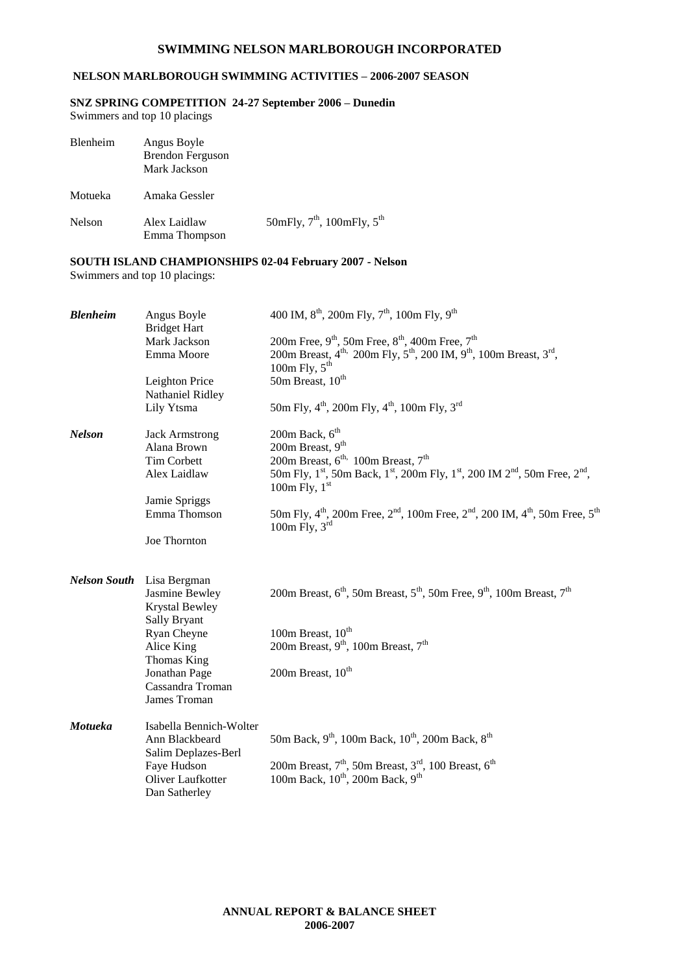#### **NELSON MARLBOROUGH SWIMMING ACTIVITIES – 2006-2007 SEASON**

#### **SNZ SPRING COMPETITION 24-27 September 2006 – Dunedin**

Swimmers and top 10 placings

| Blenheim | Angus Boyle<br><b>Brendon Ferguson</b><br>Mark Jackson |                                                    |
|----------|--------------------------------------------------------|----------------------------------------------------|
| Motueka  | Amaka Gessler                                          |                                                    |
| Nelson   | Alex Laidlaw<br>Emma Thompson                          | 50mFly, $7^{\text{th}}$ , 100mFly, $5^{\text{th}}$ |

#### **SOUTH ISLAND CHAMPIONSHIPS 02-04 February 2007 - Nelson**

Swimmers and top 10 placings:

| <b>Blenheim</b>     | Angus Boyle<br><b>Bridget Hart</b> | 400 IM, $8^{th}$ , 200m Fly, $7^{th}$ , 100m Fly, $9^{th}$                                                                                                  |
|---------------------|------------------------------------|-------------------------------------------------------------------------------------------------------------------------------------------------------------|
|                     | Mark Jackson                       | 200m Free, 9 <sup>th</sup> , 50m Free, 8 <sup>th</sup> , 400m Free, 7 <sup>th</sup>                                                                         |
|                     | Emma Moore                         | 200m Breast, 4 <sup>th,</sup> 200m Fly, 5 <sup>th</sup> , 200 IM, 9 <sup>th</sup> , 100m Breast, 3 <sup>rd</sup> ,                                          |
|                     |                                    | 100m Fly, $5th$                                                                                                                                             |
|                     | Leighton Price                     | 50m Breast, $10^{th}$                                                                                                                                       |
|                     | Nathaniel Ridley                   |                                                                                                                                                             |
|                     | Lily Ytsma                         | 50m Fly, $4^{th}$ , 200m Fly, $4^{th}$ , 100m Fly, 3 <sup>rd</sup>                                                                                          |
| <b>Nelson</b>       | <b>Jack Armstrong</b>              | 200m Back, $6th$                                                                                                                                            |
|                     | Alana Brown                        | 200m Breast, $9th$                                                                                                                                          |
|                     | Tim Corbett                        | 200m Breast, $6^{\text{th}}$ , 100m Breast, $7^{\text{th}}$                                                                                                 |
|                     | Alex Laidlaw                       | 50m Fly, 1 <sup>st</sup> , 50m Back, 1 <sup>st</sup> , 200m Fly, 1 <sup>st</sup> , 200 IM 2 <sup>nd</sup> , 50m Free, 2 <sup>nd</sup> ,<br>100m Fly, $1st$  |
|                     | Jamie Spriggs                      |                                                                                                                                                             |
|                     | Emma Thomson                       | 50m Fly, $4^{\text{th}}$ , 200m Free, $2^{\text{nd}}$ , 100m Free, $2^{\text{nd}}$ , 200 IM, $4^{\text{th}}$ , 50m Free, $5^{\text{th}}$<br>100m Fly, $3rd$ |
|                     | Joe Thornton                       |                                                                                                                                                             |
| <b>Nelson South</b> | Lisa Bergman                       |                                                                                                                                                             |
|                     | Jasmine Bewley                     | 200m Breast, $6th$ , 50m Breast, $5th$ , 50m Free, $9th$ , 100m Breast, $7th$                                                                               |
|                     | <b>Krystal Bewley</b>              |                                                                                                                                                             |
|                     | Sally Bryant                       |                                                                                                                                                             |
|                     | Ryan Cheyne                        | 100m Breast, 10 <sup>th</sup>                                                                                                                               |
|                     | Alice King                         | 200m Breast, 9 <sup>th</sup> , 100m Breast, 7 <sup>th</sup>                                                                                                 |
|                     | Thomas King                        |                                                                                                                                                             |
|                     | Jonathan Page                      | 200m Breast, 10 <sup>th</sup>                                                                                                                               |
|                     | Cassandra Troman                   |                                                                                                                                                             |
|                     | James Troman                       |                                                                                                                                                             |
| Motueka             | Isabella Bennich-Wolter            |                                                                                                                                                             |
|                     | Ann Blackbeard                     | 50m Back, 9 <sup>th</sup> , 100m Back, 10 <sup>th</sup> , 200m Back, 8 <sup>th</sup>                                                                        |
|                     | Salim Deplazes-Berl                |                                                                                                                                                             |
|                     | Faye Hudson                        | 200m Breast, $7th$ , 50m Breast, $3rd$ , 100 Breast, $6th$                                                                                                  |
|                     | Oliver Laufkotter                  | 100m Back, 10 <sup>th</sup> , 200m Back, 9 <sup>th</sup>                                                                                                    |
|                     | Dan Satherley                      |                                                                                                                                                             |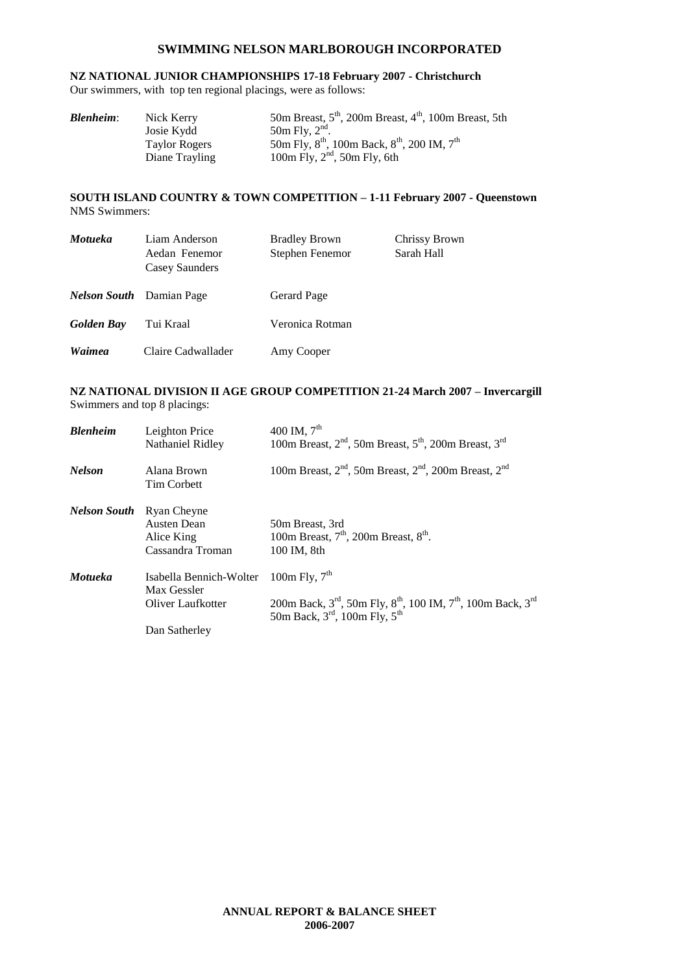### **NZ NATIONAL JUNIOR CHAMPIONSHIPS 17-18 February 2007 - Christchurch**

Our swimmers, with top ten regional placings, were as follows:

| <b>Blenheim:</b> | Nick Kerry           | 50m Breast, $5th$ , 200m Breast, $4th$ , 100m Breast, 5th  |
|------------------|----------------------|------------------------------------------------------------|
|                  | Josie Kydd           | 50m Fly, $2nd$ .                                           |
|                  | <b>Taylor Rogers</b> | 50m Fly, $8^{th}$ , 100m Back, $8^{th}$ , 200 IM, $7^{th}$ |
|                  | Diane Trayling       | 100m Fly, $2nd$ , 50m Fly, 6th                             |

#### **SOUTH ISLAND COUNTRY & TOWN COMPETITION – 1-11 February 2007 - Queenstown** NMS Swimmers:

| <b>Motueka</b>    | Liam Anderson<br>Aedan Fenemor<br>Casey Saunders | <b>Bradley Brown</b><br>Stephen Fenemor | Chrissy Brown<br>Sarah Hall |
|-------------------|--------------------------------------------------|-----------------------------------------|-----------------------------|
|                   | <i>Nelson South</i> Damian Page                  | Gerard Page                             |                             |
| <b>Golden Bay</b> | Tui Kraal                                        | Veronica Rotman                         |                             |
| Waimea            | Claire Cadwallader                               | Amy Cooper                              |                             |

#### **NZ NATIONAL DIVISION II AGE GROUP COMPETITION 21-24 March 2007 – Invercargill** Swimmers and top 8 placings:

| <b>Blenheim</b> | Leighton Price<br>Nathaniel Ridley                           | 400 IM, $7^{\text{th}}$<br>100m Breast, 2 <sup>nd</sup> , 50m Breast, 5 <sup>th</sup> , 200m Breast, 3 <sup>rd</sup>                                                                     |
|-----------------|--------------------------------------------------------------|------------------------------------------------------------------------------------------------------------------------------------------------------------------------------------------|
| <b>Nelson</b>   | Alana Brown<br><b>Tim Corbett</b>                            | 100m Breast, $2nd$ , 50m Breast, $2nd$ , 200m Breast, $2nd$                                                                                                                              |
| Nelson South    | Ryan Cheyne<br>Austen Dean<br>Alice King<br>Cassandra Troman | 50m Breast, 3rd<br>100m Breast, $7th$ , 200m Breast, $8th$ .<br>100 IM, 8th                                                                                                              |
| <b>Motueka</b>  | Isabella Bennich-Wolter<br>Max Gessler<br>Oliver Laufkotter  | 100m Fly, $7th$<br>200m Back, 3 <sup>rd</sup> , 50m Fly, 8 <sup>th</sup> , 100 IM, 7 <sup>th</sup> , 100m Back, 3 <sup>rd</sup><br>50m Back, $3^{\text{rd}}$ , 100m Fly, $5^{\text{th}}$ |
|                 | Dan Satherley                                                |                                                                                                                                                                                          |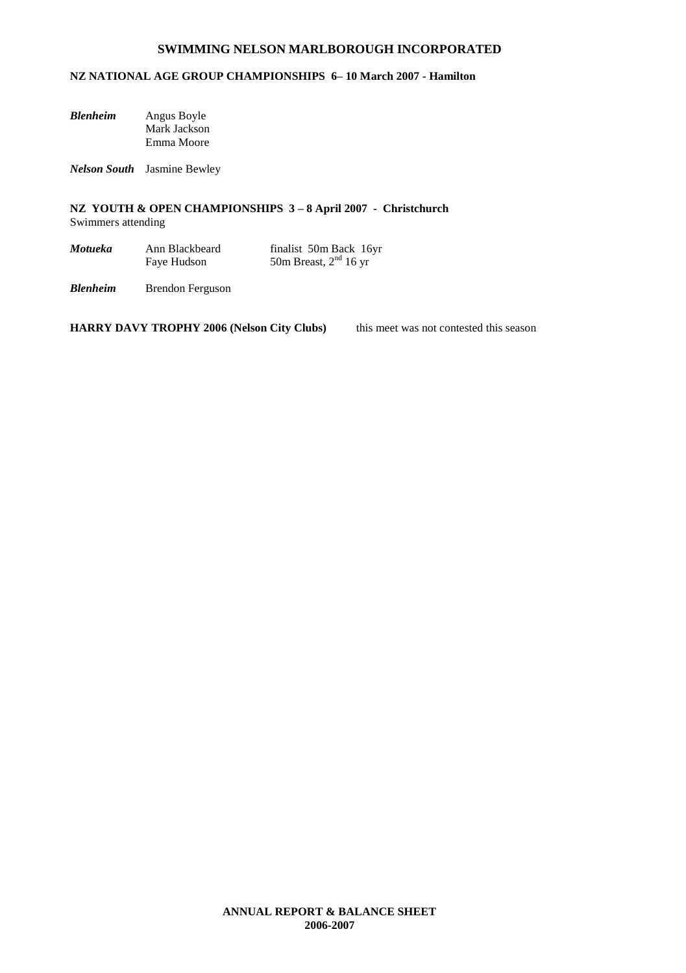#### **NZ NATIONAL AGE GROUP CHAMPIONSHIPS 6– 10 March 2007 - Hamilton**

| Blenheim | Angus Boyle  |
|----------|--------------|
|          | Mark Jackson |
|          | Emma Moore   |

*Nelson South* Jasmine Bewley

**NZ YOUTH & OPEN CHAMPIONSHIPS 3 – 8 April 2007 - Christchurch** Swimmers attending

| Motueka | Ann Blackbeard | finalist 50m Back 16yr  |
|---------|----------------|-------------------------|
|         | Faye Hudson    | 50m Breast, $2nd 16$ yr |

*Blenheim* Brendon Ferguson

**HARRY DAVY TROPHY 2006 (Nelson City Clubs)** this meet was not contested this season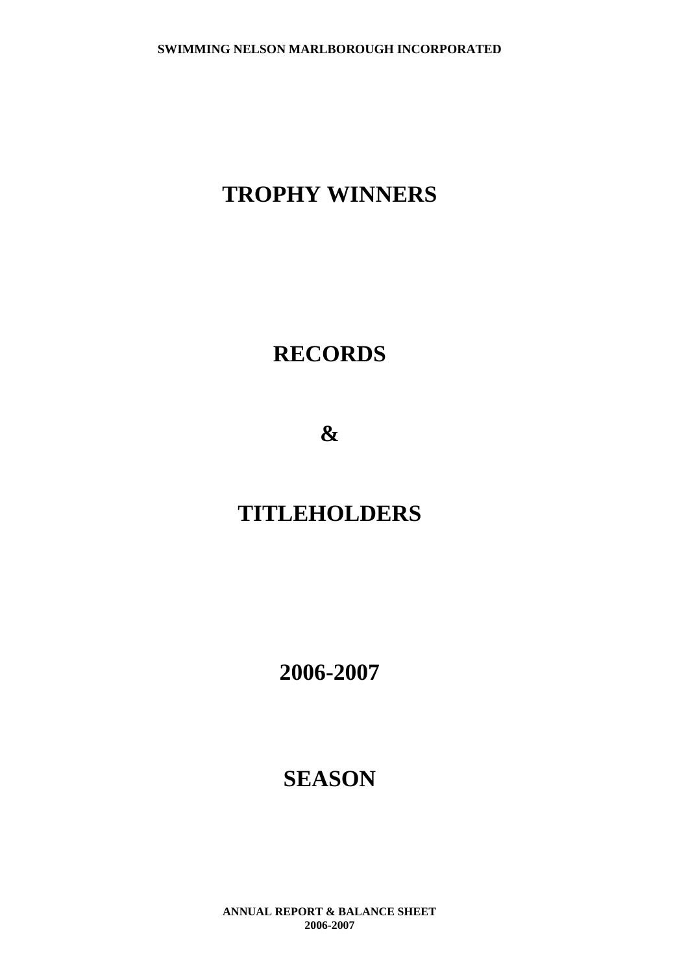# **TROPHY WINNERS**

# **RECORDS**

**&**

# **TITLEHOLDERS**

**2006-2007**

# **SEASON**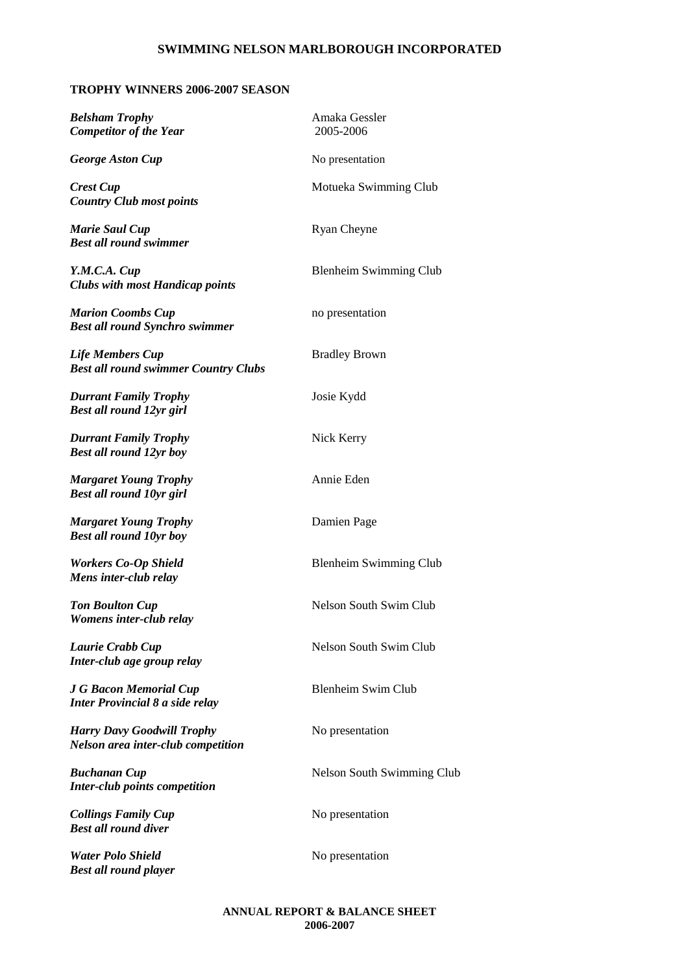#### **TROPHY WINNERS 2006-2007 SEASON**

**Belsham Trophy** Amaka Gessler<br> **Competitor of the Year** 2005-2006 *Competitor of the Year* 

*Country Club most points*

*Marie Saul Cup* Ryan Cheyne *Best all round swimmer*

*Clubs with most Handicap points*

*Marion Coombs Cup* no presentation *Best all round Synchro swimmer*

*Life Members Cup* Bradley Brown *Best all round swimmer Country Clubs*

*Durrant Family Trophy* Josie Kydd *Best all round 12yr girl*

*Durrant Family Trophy* Nick Kerry *Best all round 12yr boy*

*Margaret Young Trophy* Annie Eden *Best all round 10yr girl*

*Margaret Young Trophy* Damien Page *Best all round 10yr boy*

*Mens inter-club relay*

*Womens inter-club relay*

*Inter-club age group relay*

*Inter Provincial 8 a side relay*

*Harry Davy Goodwill Trophy* No presentation *Nelson area inter-club competition*

*Inter-club points competition*

*Collings Family Cup* No presentation *Best all round diver*

*Water Polo Shield* No presentation *Best all round player*

*George Aston Cup* No presentation **Crest Cup** Motueka Swimming Club *Y.M.C.A. Cup* Blenheim Swimming Club **Workers Co-Op Shield** Blenheim Swimming Club **Ton Boulton Cup** Nelson South Swim Club *Laurie Crabb Cup* Nelson South Swim Club *J G Bacon Memorial Cup* Blenheim Swim Club **Buchanan Cup** Nelson South Swimming Club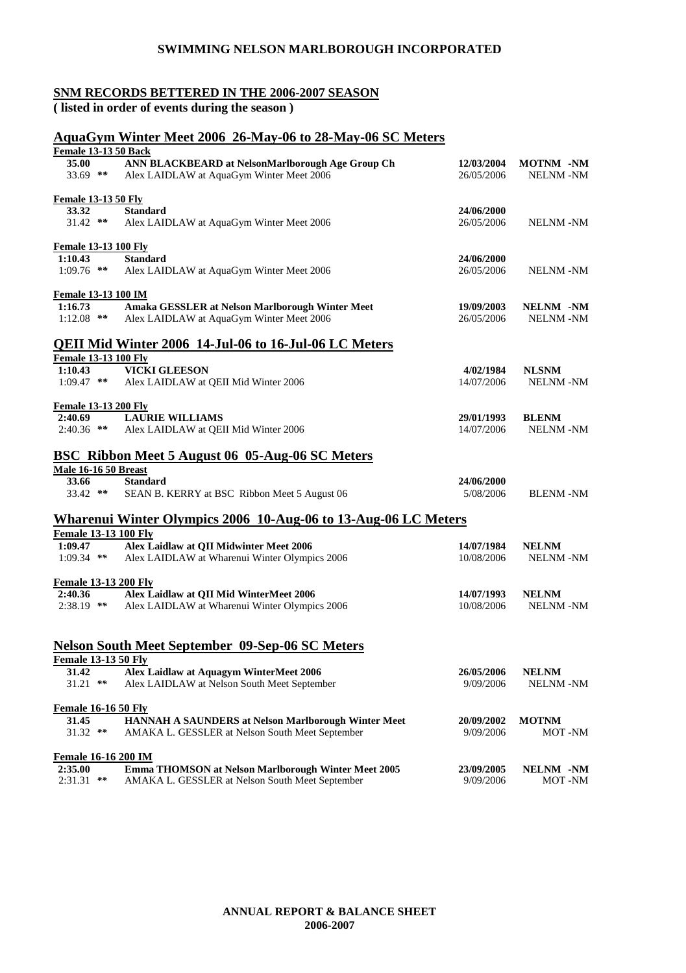#### **SNM RECORDS BETTERED IN THE 2006-2007 SEASON**

**( listed in order of events during the season )**

#### **AquaGym Winter Meet 2006 26-May-06 to 28-May-06 SC Meters**

| <b>Female 13-13 50 Back</b>            |                                                                                              |                          |                                     |
|----------------------------------------|----------------------------------------------------------------------------------------------|--------------------------|-------------------------------------|
| <b>35.00</b><br>33.69 **               | ANN BLACKBEARD at NelsonMarlborough Age Group Ch<br>Alex LAIDLAW at AquaGym Winter Meet 2006 | 12/03/2004<br>26/05/2006 | <b>MOTNM -NM</b><br><b>NELNM-NM</b> |
| <b>Female 13-13 50 Fly</b>             |                                                                                              |                          |                                     |
| 33.32                                  | <b>Standard</b>                                                                              | 24/06/2000               |                                     |
| $31.42$ **                             | Alex LAIDLAW at AquaGym Winter Meet 2006                                                     | 26/05/2006               | <b>NELNM-NM</b>                     |
| <b>Female 13-13 100 Fly</b>            |                                                                                              |                          |                                     |
| 1:10.43                                | <b>Standard</b>                                                                              | 24/06/2000               |                                     |
| $1:09.76$ **                           | Alex LAIDLAW at AquaGym Winter Meet 2006                                                     | 26/05/2006               | <b>NELNM-NM</b>                     |
| Female 13-13 100 IM                    |                                                                                              |                          |                                     |
| 1:16.73                                | Amaka GESSLER at Nelson Marlborough Winter Meet                                              | 19/09/2003               | NELNM -NM                           |
| $1:12.08$ **                           | Alex LAIDLAW at AquaGym Winter Meet 2006                                                     | 26/05/2006               | <b>NELNM-NM</b>                     |
|                                        | QEII Mid Winter 2006 14-Jul-06 to 16-Jul-06 LC Meters                                        |                          |                                     |
| <b>Female 13-13 100 Fly</b><br>1:10.43 | <b>VICKI GLEESON</b>                                                                         | 4/02/1984                |                                     |
| $1:09.47$ **                           | Alex LAIDLAW at QEII Mid Winter 2006                                                         | 14/07/2006               | <b>NLSNM</b><br><b>NELNM-NM</b>     |
|                                        |                                                                                              |                          |                                     |
| <b>Female 13-13 200 Fly</b>            |                                                                                              |                          |                                     |
| 2:40.69                                | <b>LAURIE WILLIAMS</b>                                                                       | 29/01/1993               | <b>BLENM</b>                        |
| $2:40.36$ **                           | Alex LAIDLAW at QEII Mid Winter 2006                                                         | 14/07/2006               | <b>NELNM-NM</b>                     |
|                                        | <b>BSC Ribbon Meet 5 August 06 05-Aug-06 SC Meters</b>                                       |                          |                                     |
| <b>Male 16-16 50 Breast</b>            |                                                                                              |                          |                                     |
| 33.66                                  | <b>Standard</b>                                                                              | 24/06/2000               |                                     |
| $33.42$ **                             | SEAN B. KERRY at BSC Ribbon Meet 5 August 06                                                 | 5/08/2006                | <b>BLENM-NM</b>                     |
|                                        | <b>Wharenui Winter Olympics 2006 10-Aug-06 to 13-Aug-06 LC Meters</b>                        |                          |                                     |
| <b>Female 13-13 100 Fly</b>            |                                                                                              |                          |                                     |
| 1:09.47                                | Alex Laidlaw at QII Midwinter Meet 2006                                                      | 14/07/1984               | <b>NELNM</b>                        |
| $1:09.34$ **                           | Alex LAIDLAW at Wharenui Winter Olympics 2006                                                | 10/08/2006               | <b>NELNM -NM</b>                    |
| <b>Female 13-13 200 Fly</b>            |                                                                                              |                          |                                     |
| 2:40.36                                | Alex Laidlaw at QII Mid WinterMeet 2006                                                      | 14/07/1993               | <b>NELNM</b>                        |
| $2:38.19$ **                           | Alex LAIDLAW at Wharenui Winter Olympics 2006                                                | 10/08/2006               | <b>NELNM-NM</b>                     |
|                                        |                                                                                              |                          |                                     |
|                                        | <b>Nelson South Meet September 09-Sep-06 SC Meters</b>                                       |                          |                                     |
| <b>Female 13-13 50 Fly</b>             |                                                                                              |                          |                                     |
| 31.42                                  | Alex Laidlaw at Aquagym WinterMeet 2006                                                      | 26/05/2006               | <b>NELNM</b>                        |
| $31.21$ **                             | Alex LAIDLAW at Nelson South Meet September                                                  | 9/09/2006                | NELNM-NM                            |
| <b>Female 16-16 50 Fly</b>             |                                                                                              |                          |                                     |
| 31.45                                  | HANNAH A SAUNDERS at Nelson Marlborough Winter Meet                                          | 20/09/2002               | <b>MOTNM</b>                        |
| 31.32 **                               | AMAKA L. GESSLER at Nelson South Meet September                                              | 9/09/2006                | MOT-NM                              |
| <b>Female 16-16 200 IM</b>             |                                                                                              |                          |                                     |
| 2:35.00                                | Emma THOMSON at Nelson Marlborough Winter Meet 2005                                          | 23/09/2005               | NELNM -NM                           |
| $2:31.31$ **                           | AMAKA L. GESSLER at Nelson South Meet September                                              | 9/09/2006                | MOT-NM                              |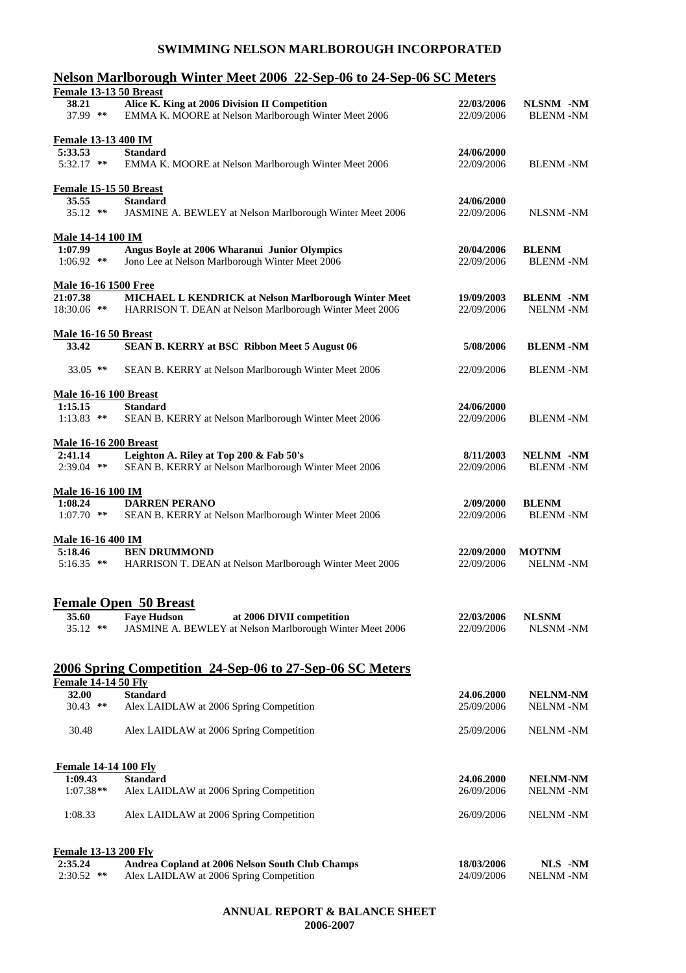### **Nelson Marlborough Winter Meet 2006 22-Sep-06 to 24-Sep-06 SC Meters**

| <b>Female 13-13 50 Breast</b> |                                                                                                                 |                          |                                     |
|-------------------------------|-----------------------------------------------------------------------------------------------------------------|--------------------------|-------------------------------------|
| 38.21<br>37.99 **             | Alice K. King at 2006 Division II Competition<br>EMMA K. MOORE at Nelson Marlborough Winter Meet 2006           | 22/03/2006<br>22/09/2006 | NLSNM -NM<br><b>BLENM -NM</b>       |
| <b>Female 13-13 400 IM</b>    |                                                                                                                 |                          |                                     |
| 5:33.53                       | <b>Standard</b>                                                                                                 | 24/06/2000               |                                     |
| 5:32.17 **                    | EMMA K. MOORE at Nelson Marlborough Winter Meet 2006                                                            | 22/09/2006               | <b>BLENM-NM</b>                     |
| Female 15-15 50 Breast        |                                                                                                                 |                          |                                     |
| 35.55<br>$35.12$ **           | <b>Standard</b><br>JASMINE A. BEWLEY at Nelson Marlborough Winter Meet 2006                                     | 24/06/2000<br>22/09/2006 | <b>NLSNM-NM</b>                     |
| <b>Male 14-14 100 IM</b>      |                                                                                                                 |                          |                                     |
| 1:07.99                       | Angus Boyle at 2006 Wharanui Junior Olympics                                                                    | 20/04/2006               | <b>BLENM</b>                        |
| $1:06.92$ **                  | Jono Lee at Nelson Marlborough Winter Meet 2006                                                                 | 22/09/2006               | <b>BLENM-NM</b>                     |
| <b>Male 16-16 1500 Free</b>   |                                                                                                                 |                          |                                     |
| 21:07.38<br>18:30.06 **       | MICHAEL L KENDRICK at Nelson Marlborough Winter Meet<br>HARRISON T. DEAN at Nelson Marlborough Winter Meet 2006 | 19/09/2003<br>22/09/2006 | <b>BLENM -NM</b><br><b>NELNM-NM</b> |
| <b>Male 16-16 50 Breast</b>   |                                                                                                                 |                          |                                     |
| 33.42                         | <b>SEAN B. KERRY at BSC Ribbon Meet 5 August 06</b>                                                             | 5/08/2006                | <b>BLENM-NM</b>                     |
| 33.05 **                      | SEAN B. KERRY at Nelson Marlborough Winter Meet 2006                                                            | 22/09/2006               | <b>BLENM-NM</b>                     |
| <b>Male 16-16 100 Breast</b>  |                                                                                                                 |                          |                                     |
| 1:15.15                       | <b>Standard</b>                                                                                                 | 24/06/2000               |                                     |
| $1:13.83$ **                  | SEAN B. KERRY at Nelson Marlborough Winter Meet 2006                                                            | 22/09/2006               | <b>BLENM-NM</b>                     |
| <b>Male 16-16 200 Breast</b>  |                                                                                                                 |                          |                                     |
| 2:41.14                       | Leighton A. Riley at Top 200 & Fab 50's                                                                         | 8/11/2003                | NELNM -NM                           |
| 2:39.04 **                    | SEAN B. KERRY at Nelson Marlborough Winter Meet 2006                                                            | 22/09/2006               | <b>BLENM -NM</b>                    |
| <u> Male 16-16 100 IM</u>     |                                                                                                                 |                          |                                     |
| 1:08.24                       | <b>DARREN PERANO</b>                                                                                            | 2/09/2000                | <b>BLENM</b>                        |
| $1:07.70$ **                  | SEAN B. KERRY at Nelson Marlborough Winter Meet 2006                                                            | 22/09/2006               | <b>BLENM -NM</b>                    |
| <u>Male 16-16 400 IM</u>      | <b>BEN DRUMMOND</b>                                                                                             |                          |                                     |
| 5:18.46<br>$5:16.35$ **       | HARRISON T. DEAN at Nelson Marlborough Winter Meet 2006                                                         | 22/09/2000<br>22/09/2006 | <b>MOTNM</b><br><b>NELNM-NM</b>     |
|                               | <u>Female Open 50 Breast</u>                                                                                    |                          |                                     |
| 35.60                         | at 2006 DIVII competition<br><b>Faye Hudson</b>                                                                 | 22/03/2006               | <b>NLSNM</b>                        |
| $35.12$ **                    | JASMINE A. BEWLEY at Nelson Marlborough Winter Meet 2006                                                        | 22/09/2006               | NLSNM-NM                            |
|                               | 2006 Spring Competition 24-Sep-06 to 27-Sep-06 SC Meters                                                        |                          |                                     |
| <b>Female 14-14 50 Fly</b>    |                                                                                                                 |                          |                                     |
| 32.00                         | <b>Standard</b>                                                                                                 | 24.06.2000               | <b>NELNM-NM</b>                     |
| $30.43$ **                    | Alex LAIDLAW at 2006 Spring Competition                                                                         | 25/09/2006               | <b>NELNM-NM</b>                     |
| 30.48                         | Alex LAIDLAW at 2006 Spring Competition                                                                         | 25/09/2006               | <b>NELNM-NM</b>                     |
| <b>Female 14-14 100 Fly</b>   |                                                                                                                 |                          |                                     |
| 1:09.43                       | <b>Standard</b>                                                                                                 | 24.06.2000               | <b>NELNM-NM</b>                     |
| $1:07.38**$                   | Alex LAIDLAW at 2006 Spring Competition                                                                         | 26/09/2006               | <b>NELNM-NM</b>                     |
| 1:08.33                       | Alex LAIDLAW at 2006 Spring Competition                                                                         | 26/09/2006               | <b>NELNM-NM</b>                     |
| <b>Female 13-13 200 Fly</b>   |                                                                                                                 |                          |                                     |
| 2:35.24                       | Andrea Copland at 2006 Nelson South Club Champs                                                                 | 18/03/2006               | NLS -NM                             |
| $2:30.52$ **                  | Alex LAIDLAW at 2006 Spring Competition                                                                         | 24/09/2006               | <b>NELNM-NM</b>                     |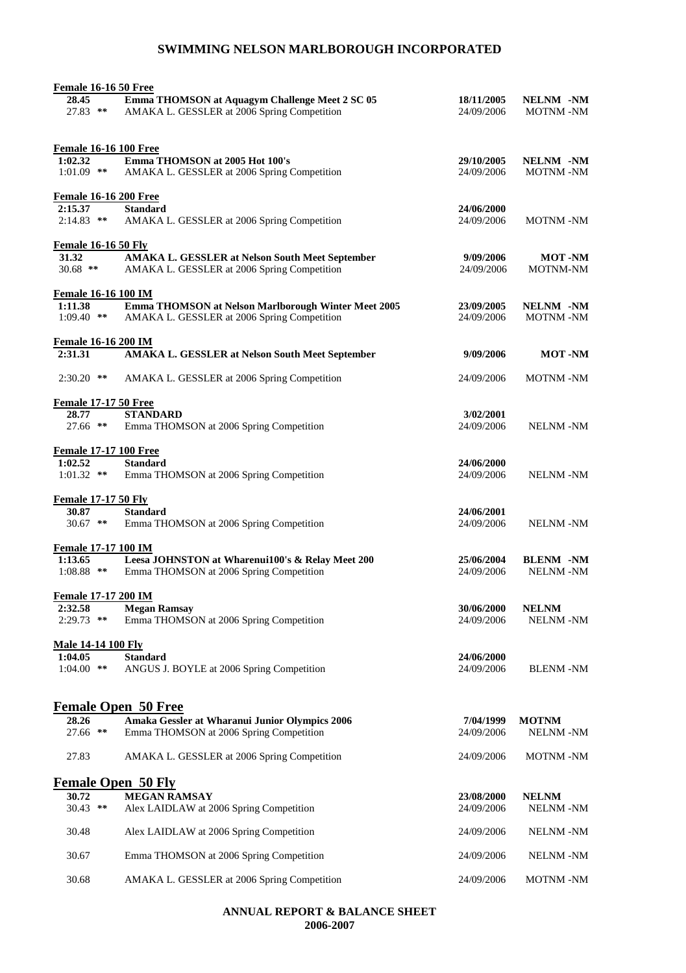| <b>Female 16-16 50 Free</b>  |                                                                                                |                          |                                     |
|------------------------------|------------------------------------------------------------------------------------------------|--------------------------|-------------------------------------|
| 28.45<br>$27.83$ **          | Emma THOMSON at Aquagym Challenge Meet 2 SC 05<br>AMAKA L. GESSLER at 2006 Spring Competition  | 18/11/2005<br>24/09/2006 | <b>NELNM -NM</b><br><b>MOTNM-NM</b> |
| <b>Female 16-16 100 Free</b> |                                                                                                |                          |                                     |
| 1:02.32<br>$1:01.09$ **      | Emma THOMSON at 2005 Hot 100's<br>AMAKA L. GESSLER at 2006 Spring Competition                  | 29/10/2005<br>24/09/2006 | <b>NELNM -NM</b><br><b>MOTNM-NM</b> |
| <b>Female 16-16 200 Free</b> |                                                                                                |                          |                                     |
| 2:15.37                      | <b>Standard</b>                                                                                | 24/06/2000               |                                     |
| $2:14.83$ **                 | AMAKA L. GESSLER at 2006 Spring Competition                                                    | 24/09/2006               | MOTNM-NM                            |
| <b>Female 16-16 50 Fly</b>   |                                                                                                |                          |                                     |
| 31.32<br>$30.68$ **          | AMAKA L. GESSLER at Nelson South Meet September<br>AMAKA L. GESSLER at 2006 Spring Competition | 9/09/2006<br>24/09/2006  | <b>MOT</b> -NM<br><b>MOTNM-NM</b>   |
| Female 16-16 100 IM          |                                                                                                |                          |                                     |
| 1:11.38                      | Emma THOMSON at Nelson Marlborough Winter Meet 2005                                            | 23/09/2005               | NELNM -NM                           |
| $1:09.40$ **                 | AMAKA L. GESSLER at 2006 Spring Competition                                                    | 24/09/2006               | MOTNM-NM                            |
| Female 16-16 200 IM          |                                                                                                |                          |                                     |
| 2:31.31                      | AMAKA L. GESSLER at Nelson South Meet September                                                | 9/09/2006                | <b>MOT-NM</b>                       |
| $2:30.20$ **                 | AMAKA L. GESSLER at 2006 Spring Competition                                                    | 24/09/2006               | <b>MOTNM -NM</b>                    |
| <b>Female 17-17 50 Free</b>  |                                                                                                |                          |                                     |
| 28.77                        | <b>STANDARD</b>                                                                                | 3/02/2001                |                                     |
| $27.66$ **                   | Emma THOMSON at 2006 Spring Competition                                                        | 24/09/2006               | <b>NELNM-NM</b>                     |
| <b>Female 17-17 100 Free</b> |                                                                                                |                          |                                     |
| 1:02.52<br>$1:01.32$ **      | <b>Standard</b><br>Emma THOMSON at 2006 Spring Competition                                     | 24/06/2000<br>24/09/2006 | <b>NELNM -NM</b>                    |
| <b>Female 17-17 50 Fly</b>   |                                                                                                |                          |                                     |
| 30.87                        | <b>Standard</b>                                                                                | 24/06/2001               |                                     |
| $30.67$ **                   | Emma THOMSON at 2006 Spring Competition                                                        | 24/09/2006               | <b>NELNM-NM</b>                     |
| <b>Female 17-17 100 IM</b>   |                                                                                                |                          |                                     |
| 1:13.65                      | Leesa JOHNSTON at Wharenui100's & Relay Meet 200                                               | 25/06/2004               | <b>BLENM -NM</b>                    |
| $1:08.88$ **                 | Emma THOMSON at 2006 Spring Competition                                                        | 24/09/2006               | <b>NELNM -NM</b>                    |
| Female 17-17 200 IM          |                                                                                                |                          |                                     |
| 2:32.58                      | <b>Megan Ramsay</b>                                                                            | 30/06/2000               | <b>NELNM</b>                        |
| $2:29.73$ **                 | Emma THOMSON at 2006 Spring Competition                                                        | 24/09/2006               | <b>NELNM-NM</b>                     |
| <b>Male 14-14 100 Fly</b>    |                                                                                                |                          |                                     |
| 1:04.05                      | <b>Standard</b>                                                                                | 24/06/2000               |                                     |
| $1:04.00$ **                 | ANGUS J. BOYLE at 2006 Spring Competition                                                      | 24/09/2006               | <b>BLENM-NM</b>                     |
|                              | <b>Female Open 50 Free</b>                                                                     |                          |                                     |
| 28.26                        | Amaka Gessler at Wharanui Junior Olympics 2006                                                 | 7/04/1999                | <b>MOTNM</b>                        |
| $27.66$ **                   | Emma THOMSON at 2006 Spring Competition                                                        | 24/09/2006               | <b>NELNM-NM</b>                     |
| 27.83                        | AMAKA L. GESSLER at 2006 Spring Competition                                                    | 24/09/2006               | <b>MOTNM-NM</b>                     |
| <b>Female Open 50 Fly</b>    |                                                                                                |                          |                                     |
| 30.72                        | <b>MEGAN RAMSAY</b>                                                                            | 23/08/2000               | <b>NELNM</b>                        |
| $30.43$ **                   | Alex LAIDLAW at 2006 Spring Competition                                                        | 24/09/2006               | <b>NELNM-NM</b>                     |
| 30.48                        | Alex LAIDLAW at 2006 Spring Competition                                                        | 24/09/2006               | <b>NELNM-NM</b>                     |
| 30.67                        | Emma THOMSON at 2006 Spring Competition                                                        | 24/09/2006               | <b>NELNM-NM</b>                     |
| 30.68                        | AMAKA L. GESSLER at 2006 Spring Competition                                                    | 24/09/2006               | MOTNM-NM                            |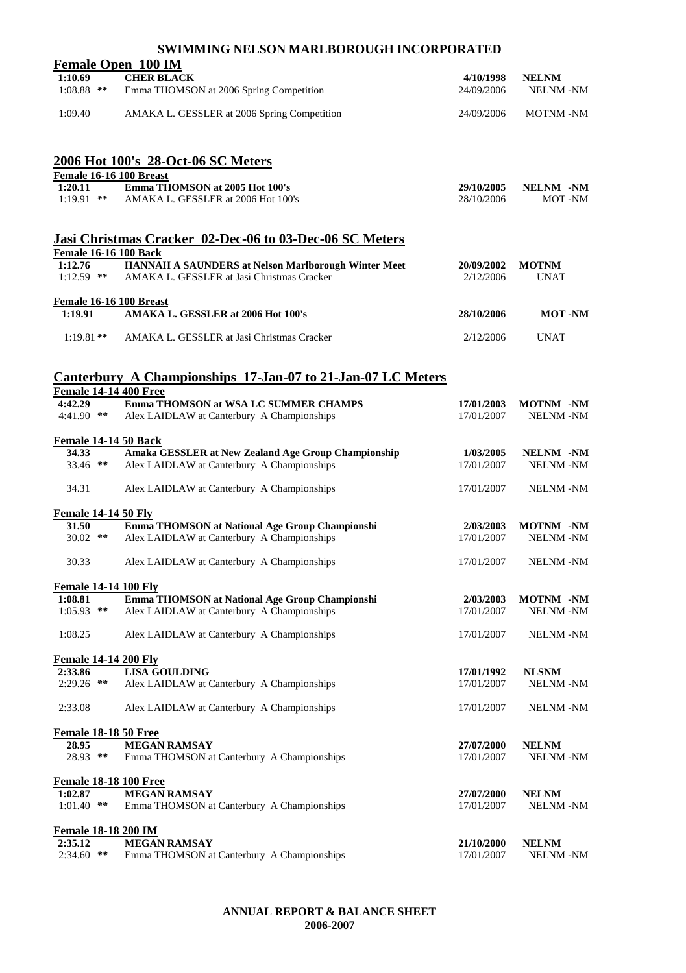|                                         | <b>Female Open 100 IM</b>                                                                    |                          |                                     |
|-----------------------------------------|----------------------------------------------------------------------------------------------|--------------------------|-------------------------------------|
| 1:10.69                                 | <b>CHER BLACK</b>                                                                            | 4/10/1998                | <b>NELNM</b>                        |
| $1:08.88$ **                            | Emma THOMSON at 2006 Spring Competition                                                      | 24/09/2006               | <b>NELNM-NM</b>                     |
| 1:09.40                                 | AMAKA L. GESSLER at 2006 Spring Competition                                                  | 24/09/2006               | <b>MOTNM-NM</b>                     |
|                                         | 2006 Hot 100's 28-Oct-06 SC Meters                                                           |                          |                                     |
| Female 16-16 100 Breast                 |                                                                                              |                          |                                     |
| 1:20.11<br>$1:19.91$ **                 | Emma THOMSON at 2005 Hot 100's<br>AMAKA L. GESSLER at 2006 Hot 100's                         | 29/10/2005<br>28/10/2006 | NELNM -NM<br>MOT-NM                 |
|                                         | Jasi Christmas Cracker 02-Dec-06 to 03-Dec-06 SC Meters                                      |                          |                                     |
| <b>Female 16-16 100 Back</b><br>1:12.76 | HANNAH A SAUNDERS at Nelson Marlborough Winter Meet                                          | 20/09/2002               | <b>MOTNM</b>                        |
| $1:12.59$ **                            | AMAKA L. GESSLER at Jasi Christmas Cracker                                                   | 2/12/2006                | <b>UNAT</b>                         |
| Female 16-16 100 Breast                 |                                                                                              |                          |                                     |
| 1:19.91                                 | AMAKA L. GESSLER at 2006 Hot 100's                                                           | 28/10/2006               | <b>MOT</b> -NM                      |
| $1:19.81**$                             | AMAKA L. GESSLER at Jasi Christmas Cracker                                                   | 2/12/2006                | <b>UNAT</b>                         |
|                                         | <b>Canterbury A Championships 17-Jan-07 to 21-Jan-07 LC Meters</b>                           |                          |                                     |
| <b>Female 14-14 400 Free</b>            |                                                                                              |                          |                                     |
| 4:42.29<br>$4:41.90$ **                 | Emma THOMSON at WSA LC SUMMER CHAMPS<br>Alex LAIDLAW at Canterbury A Championships           | 17/01/2003<br>17/01/2007 | <b>MOTNM -NM</b><br><b>NELNM-NM</b> |
| <b>Female 14-14 50 Back</b>             |                                                                                              |                          |                                     |
| 34.33                                   | Amaka GESSLER at New Zealand Age Group Championship                                          | 1/03/2005                | NELNM -NM                           |
| 33.46 **                                | Alex LAIDLAW at Canterbury A Championships                                                   | 17/01/2007               | <b>NELNM-NM</b>                     |
| 34.31                                   | Alex LAIDLAW at Canterbury A Championships                                                   | 17/01/2007               | <b>NELNM-NM</b>                     |
| <b>Female 14-14 50 Fly</b>              |                                                                                              |                          |                                     |
| 31.50<br>$30.02$ **                     | Emma THOMSON at National Age Group Championshi<br>Alex LAIDLAW at Canterbury A Championships | 2/03/2003<br>17/01/2007  | <b>MOTNM -NM</b><br><b>NELNM-NM</b> |
| 30.33                                   | Alex LAIDLAW at Canterbury A Championships                                                   | 17/01/2007               | <b>NELNM-NM</b>                     |
| <b>Female 14-14 100 Fly</b>             |                                                                                              |                          |                                     |
| 1:08.81                                 | Emma THOMSON at National Age Group Championshi                                               | 2/03/2003                | <b>MOTNM -NM</b>                    |
| $1:05.93$ **                            | Alex LAIDLAW at Canterbury A Championships                                                   | 17/01/2007               | <b>NELNM-NM</b>                     |
| 1:08.25                                 | Alex LAIDLAW at Canterbury A Championships                                                   | 17/01/2007               | <b>NELNM-NM</b>                     |
| <b>Female 14-14 200 Fly</b>             |                                                                                              |                          |                                     |
| 2:33.86                                 | <b>LISA GOULDING</b>                                                                         | 17/01/1992               | <b>NLSNM</b>                        |
| $2:29.26$ **                            | Alex LAIDLAW at Canterbury A Championships                                                   | 17/01/2007               | <b>NELNM-NM</b>                     |
| 2:33.08                                 | Alex LAIDLAW at Canterbury A Championships                                                   | 17/01/2007               | <b>NELNM-NM</b>                     |
| <b>Female 18-18 50 Free</b>             |                                                                                              |                          |                                     |
| 28.95<br>28.93 **                       | <b>MEGAN RAMSAY</b><br>Emma THOMSON at Canterbury A Championships                            | 27/07/2000<br>17/01/2007 | <b>NELNM</b><br><b>NELNM-NM</b>     |
|                                         |                                                                                              |                          |                                     |
| <b>Female 18-18 100 Free</b><br>1:02.87 | <b>MEGAN RAMSAY</b>                                                                          | 27/07/2000               | <b>NELNM</b>                        |
| $1:01.40$ **                            | Emma THOMSON at Canterbury A Championships                                                   | 17/01/2007               | <b>NELNM-NM</b>                     |
| <b>Female 18-18 200 IM</b>              |                                                                                              |                          |                                     |
| 2:35.12                                 | <b>MEGAN RAMSAY</b>                                                                          | 21/10/2000               | <b>NELNM</b>                        |
| 2:34.60 **                              | Emma THOMSON at Canterbury A Championships                                                   | 17/01/2007               | <b>NELNM-NM</b>                     |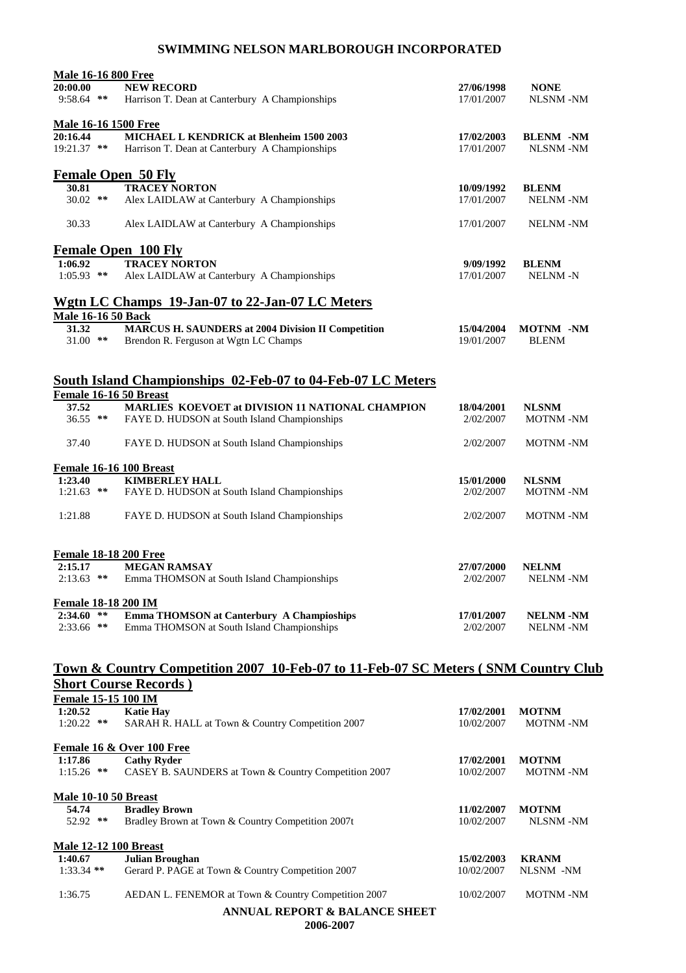| <b>Male 16-16 800 Free</b>   |                                                                                                                                |            |                  |
|------------------------------|--------------------------------------------------------------------------------------------------------------------------------|------------|------------------|
| 20:00.00                     | <b>NEW RECORD</b>                                                                                                              | 27/06/1998 | <b>NONE</b>      |
| $9:58.64$ **                 | Harrison T. Dean at Canterbury A Championships                                                                                 | 17/01/2007 | <b>NLSNM-NM</b>  |
| <b>Male 16-16 1500 Free</b>  |                                                                                                                                |            |                  |
| 20:16.44                     | MICHAEL L KENDRICK at Blenheim 1500 2003                                                                                       | 17/02/2003 | <b>BLENM -NM</b> |
| 19:21.37 **                  | Harrison T. Dean at Canterbury A Championships                                                                                 | 17/01/2007 | <b>NLSNM-NM</b>  |
|                              | <b>Female Open 50 Fly</b>                                                                                                      |            |                  |
| 30.81                        | <b>TRACEY NORTON</b>                                                                                                           | 10/09/1992 | <b>BLENM</b>     |
| 30.02 **                     | Alex LAIDLAW at Canterbury A Championships                                                                                     | 17/01/2007 | <b>NELNM-NM</b>  |
| 30.33                        | Alex LAIDLAW at Canterbury A Championships                                                                                     | 17/01/2007 | <b>NELNM-NM</b>  |
|                              | <b>Female Open 100 Fly</b>                                                                                                     |            |                  |
| 1:06.92                      | <b>TRACEY NORTON</b>                                                                                                           | 9/09/1992  | <b>BLENM</b>     |
| $1:05.93$ **                 | Alex LAIDLAW at Canterbury A Championships                                                                                     | 17/01/2007 | <b>NELNM-N</b>   |
|                              | Wgtn LC Champs 19-Jan-07 to 22-Jan-07 LC Meters                                                                                |            |                  |
| <b>Male 16-16 50 Back</b>    |                                                                                                                                |            |                  |
| 31.32                        | <b>MARCUS H. SAUNDERS at 2004 Division II Competition</b>                                                                      | 15/04/2004 | <b>MOTNM -NM</b> |
| 31.00 **                     | Brendon R. Ferguson at Wgtn LC Champs                                                                                          | 19/01/2007 | <b>BLENM</b>     |
|                              | <b>South Island Championships 02-Feb-07 to 04-Feb-07 LC Meters</b>                                                             |            |                  |
| Female 16-16 50 Breast       |                                                                                                                                |            |                  |
| 37.52                        | MARLIES KOEVOET at DIVISION 11 NATIONAL CHAMPION                                                                               | 18/04/2001 | <b>NLSNM</b>     |
| 36.55 **                     | FAYE D. HUDSON at South Island Championships                                                                                   | 2/02/2007  | <b>MOTNM-NM</b>  |
| 37.40                        | FAYE D. HUDSON at South Island Championships                                                                                   | 2/02/2007  | <b>MOTNM-NM</b>  |
|                              | Female 16-16 100 Breast                                                                                                        |            |                  |
| 1:23.40                      | <b>KIMBERLEY HALL</b>                                                                                                          | 15/01/2000 | <b>NLSNM</b>     |
| $1:21.63$ **                 | FAYE D. HUDSON at South Island Championships                                                                                   | 2/02/2007  | <b>MOTNM-NM</b>  |
| 1:21.88                      | FAYE D. HUDSON at South Island Championships                                                                                   | 2/02/2007  | <b>MOTNM-NM</b>  |
| <b>Female 18-18 200 Free</b> |                                                                                                                                |            |                  |
| 2:15.17                      | <b>MEGAN RAMSAY</b>                                                                                                            | 27/07/2000 | <b>NELNM</b>     |
| $2:13.63$ **                 | Emma THOMSON at South Island Championships                                                                                     | 2/02/2007  | <b>NELNM-NM</b>  |
| <b>Female 18-18 200 IM</b>   |                                                                                                                                |            |                  |
| $2:34.60$ **                 | <b>Emma THOMSON at Canterbury A Champioships</b>                                                                               | 17/01/2007 | <b>NELNM-NM</b>  |
| $2:33.66$ **                 | Emma THOMSON at South Island Championships                                                                                     | 2/02/2007  | <b>NELNM-NM</b>  |
|                              |                                                                                                                                |            |                  |
|                              | <u>Town &amp; Country Competition 2007 10-Feb-07 to 11-Feb-07 SC Meters (SNM Country Club</u><br><b>Short Course Records</b> ) |            |                  |
| Female 15-15 100 IM          |                                                                                                                                |            |                  |
| 1:20.52                      | <b>Katie Hay</b>                                                                                                               | 17/02/2001 | <b>MOTNM</b>     |
| $1:20.22$ **                 | SARAH R. HALL at Town & Country Competition 2007                                                                               | 10/02/2007 | <b>MOTNM-NM</b>  |
|                              | Female 16 & Over 100 Free                                                                                                      |            |                  |
| 1:17.86                      | <b>Cathy Ryder</b>                                                                                                             | 17/02/2001 | <b>MOTNM</b>     |
| $1:15.26$ **                 | CASEY B. SAUNDERS at Town & Country Competition 2007                                                                           | 10/02/2007 | <b>MOTNM-NM</b>  |
| <b>Male 10-10 50 Breast</b>  |                                                                                                                                |            |                  |
| 54.74                        | <b>Bradley Brown</b>                                                                                                           | 11/02/2007 | <b>MOTNM</b>     |
| 52.92 **                     | Bradley Brown at Town & Country Competition 2007t                                                                              | 10/02/2007 | <b>NLSNM-NM</b>  |
| <b>Male 12-12 100 Breast</b> |                                                                                                                                |            |                  |
| 1:40.67                      | Julian Broughan                                                                                                                | 15/02/2003 | <b>KRANM</b>     |
| 1:33.34 **                   | Gerard P. PAGE at Town & Country Competition 2007                                                                              | 10/02/2007 | NLSNM -NM        |

1:36.75 AEDAN L. FENEMOR at Town & Country Competition 2007 10/02/2007 MOTNM -NM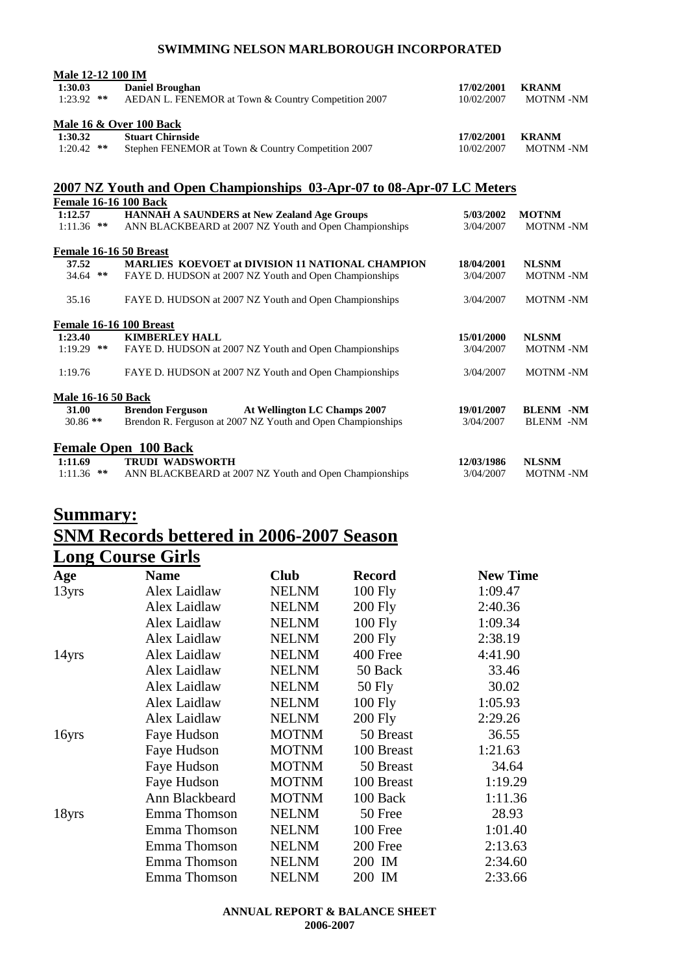| <b>Male 12-12 100 IM</b> |                                                     |            |                 |
|--------------------------|-----------------------------------------------------|------------|-----------------|
| 1:30.03                  | <b>Daniel Broughan</b>                              | 17/02/2001 | <b>KRANM</b>    |
| $1:23.92$ **             | AEDAN L. FENEMOR at Town & Country Competition 2007 | 10/02/2007 | <b>MOTNM-NM</b> |
|                          | <b>Male 16 &amp; Over 100 Back</b>                  |            |                 |
| 1:30.32                  | <b>Stuart Chirnside</b>                             | 17/02/2001 | <b>KRANM</b>    |
| $1:20.42$ **             | Stephen FENEMOR at Town & Country Competition 2007  | 10/02/2007 | <b>MOTNM-NM</b> |

### **2007 NZ Youth and Open Championships 03-Apr-07 to 08-Apr-07 LC Meters**

| <b>Female 16-16 100 Back</b> |                                                             |            |                  |
|------------------------------|-------------------------------------------------------------|------------|------------------|
| 1:12.57                      | <b>HANNAH A SAUNDERS at New Zealand Age Groups</b>          | 5/03/2002  | <b>MOTNM</b>     |
| $1:11.36$ **                 | ANN BLACKBEARD at 2007 NZ Youth and Open Championships      | 3/04/2007  | <b>MOTNM-NM</b>  |
| Female 16-16 50 Breast       |                                                             |            |                  |
| 37.52                        | <b>MARLIES KOEVOET at DIVISION 11 NATIONAL CHAMPION</b>     | 18/04/2001 | <b>NLSNM</b>     |
| **<br>34.64                  | FAYE D. HUDSON at 2007 NZ Youth and Open Championships      | 3/04/2007  | <b>MOTNM-NM</b>  |
| 35.16                        | FAYE D. HUDSON at 2007 NZ Youth and Open Championships      | 3/04/2007  | <b>MOTNM-NM</b>  |
| Female 16-16 100 Breast      |                                                             |            |                  |
| 1:23.40                      | <b>KIMBERLEY HALL</b>                                       | 15/01/2000 | <b>NLSNM</b>     |
| $1:19.29$ **                 | FAYE D. HUDSON at 2007 NZ Youth and Open Championships      | 3/04/2007  | <b>MOTNM-NM</b>  |
| 1:19.76                      | FAYE D. HUDSON at 2007 NZ Youth and Open Championships      | 3/04/2007  | <b>MOTNM-NM</b>  |
| <b>Male 16-16 50 Back</b>    |                                                             |            |                  |
| 31.00                        | At Wellington LC Champs 2007<br><b>Brendon Ferguson</b>     | 19/01/2007 | <b>BLENM -NM</b> |
| $30.86$ **                   | Brendon R. Ferguson at 2007 NZ Youth and Open Championships | 3/04/2007  | <b>BLENM -NM</b> |
|                              | <b>Female Open 100 Back</b>                                 |            |                  |
| 1:11.69                      | <b>TRUDI WADSWORTH</b>                                      | 12/03/1986 | <b>NLSNM</b>     |
| $1:11.36$ **                 | ANN BLACKBEARD at 2007 NZ Youth and Open Championships      | 3/04/2007  | <b>MOTNM-NM</b>  |

### **Summary: SNM Records bettered in 2006-2007 Season Long Course Girls**

| Age   | <b>Name</b>    | <b>Club</b>  | <b>Record</b>  | <b>New Time</b> |
|-------|----------------|--------------|----------------|-----------------|
| 13yrs | Alex Laidlaw   | <b>NELNM</b> | $100$ Fly      | 1:09.47         |
|       | Alex Laidlaw   | <b>NELNM</b> | <b>200 Fly</b> | 2:40.36         |
|       | Alex Laidlaw   | <b>NELNM</b> | 100 Fly        | 1:09.34         |
|       | Alex Laidlaw   | <b>NELNM</b> | <b>200 Fly</b> | 2:38.19         |
| 14yrs | Alex Laidlaw   | <b>NELNM</b> | 400 Free       | 4:41.90         |
|       | Alex Laidlaw   | <b>NELNM</b> | 50 Back        | 33.46           |
|       | Alex Laidlaw   | <b>NELNM</b> | $50$ Fly       | 30.02           |
|       | Alex Laidlaw   | <b>NELNM</b> | 100 Fly        | 1:05.93         |
|       | Alex Laidlaw   | <b>NELNM</b> | <b>200 Fly</b> | 2:29.26         |
| 16yrs | Faye Hudson    | <b>MOTNM</b> | 50 Breast      | 36.55           |
|       | Faye Hudson    | <b>MOTNM</b> | 100 Breast     | 1:21.63         |
|       | Faye Hudson    | <b>MOTNM</b> | 50 Breast      | 34.64           |
|       | Faye Hudson    | <b>MOTNM</b> | 100 Breast     | 1:19.29         |
|       | Ann Blackbeard | <b>MOTNM</b> | 100 Back       | 1:11.36         |
| 18yrs | Emma Thomson   | <b>NELNM</b> | 50 Free        | 28.93           |
|       | Emma Thomson   | <b>NELNM</b> | 100 Free       | 1:01.40         |
|       | Emma Thomson   | <b>NELNM</b> | 200 Free       | 2:13.63         |
|       | Emma Thomson   | <b>NELNM</b> | 200 IM         | 2:34.60         |
|       | Emma Thomson   | <b>NELNM</b> | 200 IM         | 2:33.66         |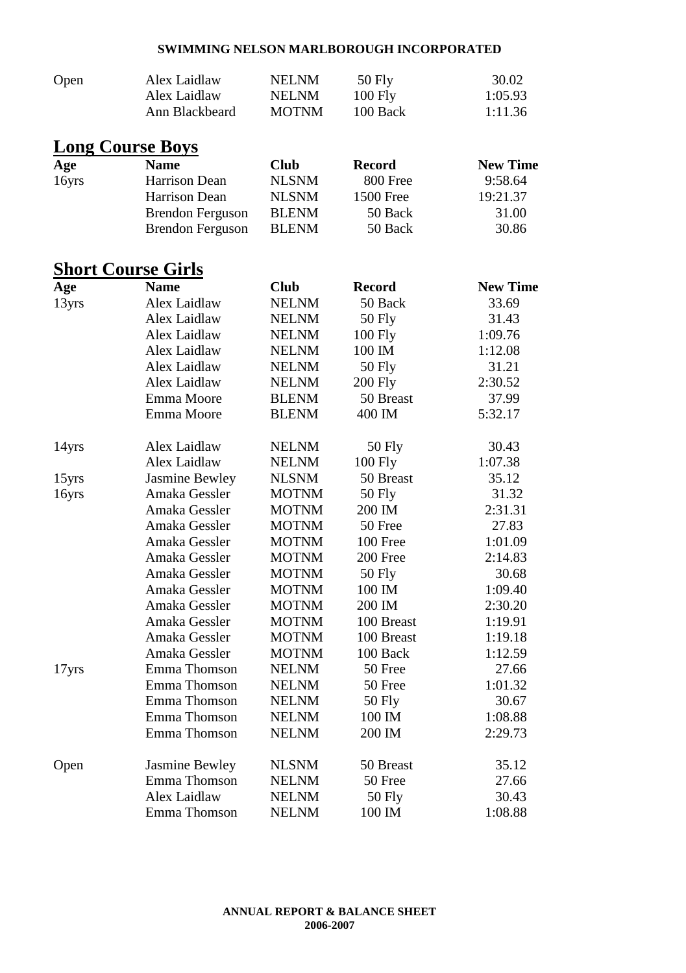| Open  | Alex Laidlaw              | <b>NELNM</b> | 50 Fly           | 30.02           |
|-------|---------------------------|--------------|------------------|-----------------|
|       | Alex Laidlaw              | <b>NELNM</b> | $100$ Fly        | 1:05.93         |
|       | Ann Blackbeard            | <b>MOTNM</b> | 100 Back         | 1:11.36         |
|       | <b>Long Course Boys</b>   |              |                  |                 |
| Age   | <b>Name</b>               | <b>Club</b>  | <b>Record</b>    | <b>New Time</b> |
| 16yrs | Harrison Dean             | <b>NLSNM</b> | 800 Free         | 9:58.64         |
|       | Harrison Dean             | <b>NLSNM</b> | <b>1500 Free</b> | 19:21.37        |
|       | <b>Brendon Ferguson</b>   | <b>BLENM</b> | 50 Back          | 31.00           |
|       | <b>Brendon Ferguson</b>   | <b>BLENM</b> | 50 Back          | 30.86           |
|       | <b>Short Course Girls</b> |              |                  |                 |
| Age   | <b>Name</b>               | <b>Club</b>  | <b>Record</b>    | <b>New Time</b> |
| 13yrs | Alex Laidlaw              | <b>NELNM</b> | 50 Back          | 33.69           |
|       | Alex Laidlaw              | <b>NELNM</b> | 50 Fly           | 31.43           |
|       | Alex Laidlaw              | <b>NELNM</b> | 100 Fly          | 1:09.76         |
|       | Alex Laidlaw              | <b>NELNM</b> | 100 IM           | 1:12.08         |
|       | Alex Laidlaw              | <b>NELNM</b> | <b>50 Fly</b>    | 31.21           |
|       | Alex Laidlaw              | <b>NELNM</b> | <b>200 Fly</b>   | 2:30.52         |
|       | Emma Moore                | <b>BLENM</b> | 50 Breast        | 37.99           |
|       | Emma Moore                | <b>BLENM</b> | 400 IM           | 5:32.17         |
| 14yrs | Alex Laidlaw              | <b>NELNM</b> | 50 Fly           | 30.43           |
|       | Alex Laidlaw              | <b>NELNM</b> | 100 Fly          | 1:07.38         |
| 15yrs | Jasmine Bewley            | <b>NLSNM</b> | 50 Breast        | 35.12           |
| 16yrs | Amaka Gessler             | <b>MOTNM</b> | 50 Fly           | 31.32           |
|       | Amaka Gessler             | <b>MOTNM</b> | 200 IM           | 2:31.31         |
|       | Amaka Gessler             | <b>MOTNM</b> | 50 Free          | 27.83           |
|       | Amaka Gessler             | <b>MOTNM</b> | 100 Free         | 1:01.09         |
|       | Amaka Gessler             | <b>MOTNM</b> | 200 Free         | 2:14.83         |
|       | Amaka Gessler             | <b>MOTNM</b> | 50 Fly           | 30.68           |
|       | Amaka Gessler             | <b>MOTNM</b> | 100 IM           | 1:09.40         |
|       | Amaka Gessler             | <b>MOTNM</b> | 200 IM           | 2:30.20         |
|       | Amaka Gessler             | <b>MOTNM</b> | 100 Breast       | 1:19.91         |
|       | Amaka Gessler             | <b>MOTNM</b> | 100 Breast       | 1:19.18         |
|       | Amaka Gessler             | <b>MOTNM</b> | 100 Back         | 1:12.59         |
| 17yrs | Emma Thomson              | <b>NELNM</b> | 50 Free          | 27.66           |
|       | Emma Thomson              | <b>NELNM</b> | 50 Free          | 1:01.32         |
|       | Emma Thomson              | <b>NELNM</b> | $50$ Fly         | 30.67           |
|       | Emma Thomson              | <b>NELNM</b> | 100 IM           | 1:08.88         |
|       | Emma Thomson              | <b>NELNM</b> | 200 IM           | 2:29.73         |
| Open  | Jasmine Bewley            | <b>NLSNM</b> | 50 Breast        | 35.12           |
|       | Emma Thomson              | <b>NELNM</b> | 50 Free          | 27.66           |
|       | Alex Laidlaw              | <b>NELNM</b> | 50 Fly           | 30.43           |
|       | Emma Thomson              | <b>NELNM</b> | 100 IM           | 1:08.88         |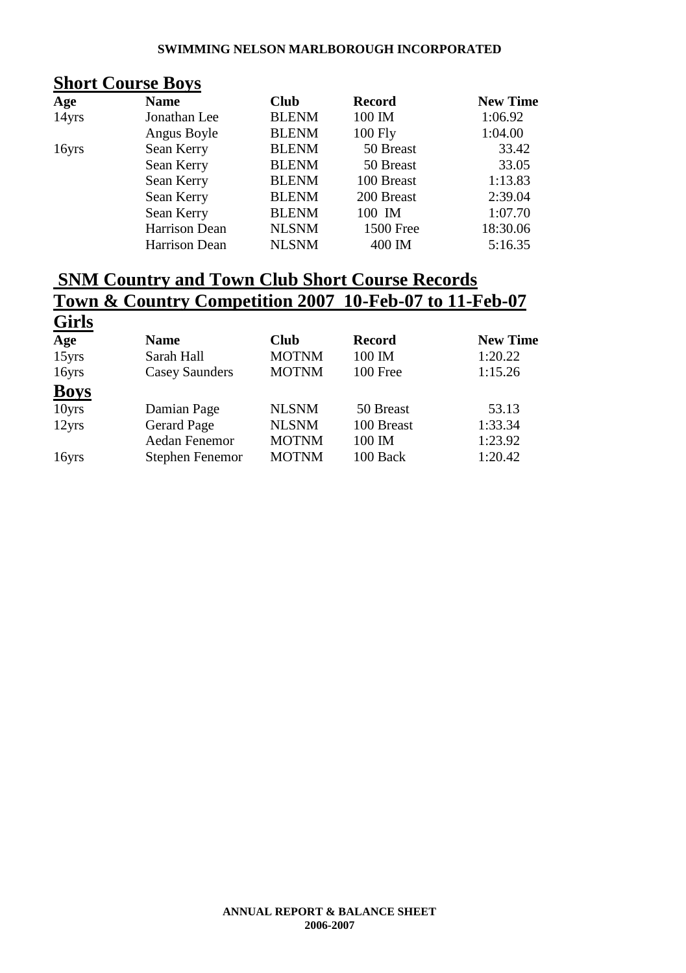### **Short Course Boys**

| Age   | <b>Name</b>   | <b>Club</b>  | <b>Record</b> | <b>New Time</b> |
|-------|---------------|--------------|---------------|-----------------|
| 14yrs | Jonathan Lee  | <b>BLENM</b> | 100 IM        | 1:06.92         |
|       | Angus Boyle   | <b>BLENM</b> | $100$ Fly     | 1:04.00         |
| 16yrs | Sean Kerry    | <b>BLENM</b> | 50 Breast     | 33.42           |
|       | Sean Kerry    | <b>BLENM</b> | 50 Breast     | 33.05           |
|       | Sean Kerry    | <b>BLENM</b> | 100 Breast    | 1:13.83         |
|       | Sean Kerry    | <b>BLENM</b> | 200 Breast    | 2:39.04         |
|       | Sean Kerry    | <b>BLENM</b> | 100 IM        | 1:07.70         |
|       | Harrison Dean | <b>NLSNM</b> | 1500 Free     | 18:30.06        |
|       | Harrison Dean | <b>NLSNM</b> | 400 IM        | 5:16.35         |

## **SNM Country and Town Club Short Course Records Town & Country Competition 2007 10-Feb-07 to 11-Feb-07**

| <b>Girls</b> |                       |              |               |                 |
|--------------|-----------------------|--------------|---------------|-----------------|
| Age          | <b>Name</b>           | <b>Club</b>  | <b>Record</b> | <b>New Time</b> |
| 15yrs        | Sarah Hall            | <b>MOTNM</b> | 100 IM        | 1:20.22         |
| 16yrs        | <b>Casey Saunders</b> | <b>MOTNM</b> | 100 Free      | 1:15.26         |
| <b>Boys</b>  |                       |              |               |                 |
| 10yrs        | Damian Page           | <b>NLSNM</b> | 50 Breast     | 53.13           |
| 12yrs        | <b>Gerard Page</b>    | <b>NLSNM</b> | 100 Breast    | 1:33.34         |
|              | Aedan Fenemor         | <b>MOTNM</b> | 100 IM        | 1:23.92         |
| 16yrs        | Stephen Fenemor       | <b>MOTNM</b> | 100 Back      | 1:20.42         |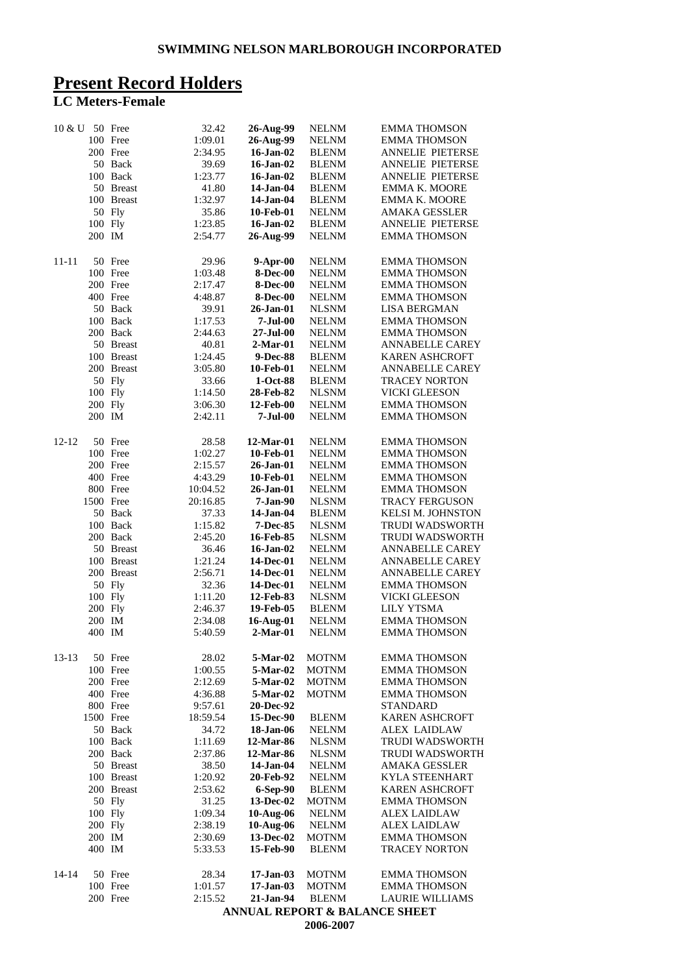### **Present Record Holders**

#### **LC Meters-Female**

| $10 \& U$ |           | 50 Free    | 32.42    | 26-Aug-99            | <b>NELNM</b> | <b>EMMA THOMSON</b>                      |
|-----------|-----------|------------|----------|----------------------|--------------|------------------------------------------|
|           |           | 100 Free   | 1:09.01  | 26-Aug-99            | <b>NELNM</b> | <b>EMMA THOMSON</b>                      |
|           |           | 200 Free   | 2:34.95  | 16-Jan-02            | <b>BLENM</b> | ANNELIE PIETERSE                         |
|           |           | 50 Back    | 39.69    | 16-Jan-02            | <b>BLENM</b> | <b>ANNELIE PIETERSE</b>                  |
|           |           | 100 Back   | 1:23.77  | 16-Jan-02            | <b>BLENM</b> | ANNELIE PIETERSE                         |
|           |           | 50 Breast  | 41.80    | 14-Jan-04            | <b>BLENM</b> | <b>EMMA K. MOORE</b>                     |
|           |           | 100 Breast | 1:32.97  | 14-Jan-04            | <b>BLENM</b> | EMMA K. MOORE                            |
|           |           | 50 Fly     | 35.86    | 10-Feb-01            | <b>NELNM</b> | <b>AMAKA GESSLER</b>                     |
|           | 100 Fly   |            | 1:23.85  | $16$ -Jan- $02$      | <b>BLENM</b> | ANNELIE PIETERSE                         |
|           | 200 IM    |            | 2:54.77  | 26-Aug-99            | <b>NELNM</b> | <b>EMMA THOMSON</b>                      |
| 11-11     |           | 50 Free    | 29.96    | 9-Apr-00             | <b>NELNM</b> | <b>EMMA THOMSON</b>                      |
|           |           | 100 Free   | 1:03.48  | <b>8-Dec-00</b>      | <b>NELNM</b> | <b>EMMA THOMSON</b>                      |
|           |           | 200 Free   | 2:17.47  | <b>8-Dec-00</b>      | <b>NELNM</b> | <b>EMMA THOMSON</b>                      |
|           |           | 400 Free   | 4:48.87  | <b>8-Dec-00</b>      | <b>NELNM</b> | <b>EMMA THOMSON</b>                      |
|           |           | 50 Back    | 39.91    | 26-Jan-01            | <b>NLSNM</b> | <b>LISA BERGMAN</b>                      |
|           |           | 100 Back   | 1:17.53  | $7-Jul-00$           | <b>NELNM</b> | <b>EMMA THOMSON</b>                      |
|           |           | 200 Back   | 2:44.63  | $27 - \text{Jul}-00$ | <b>NELNM</b> | <b>EMMA THOMSON</b>                      |
|           |           | 50 Breast  | 40.81    | $2-Mar-01$           | <b>NELNM</b> | <b>ANNABELLE CAREY</b>                   |
|           |           | 100 Breast | 1:24.45  | 9-Dec-88             | <b>BLENM</b> | KAREN ASHCROFT                           |
|           |           | 200 Breast | 3:05.80  | 10-Feb-01            | <b>NELNM</b> | <b>ANNABELLE CAREY</b>                   |
|           |           | 50 Fly     | 33.66    | 1-Oct-88             | <b>BLENM</b> | <b>TRACEY NORTON</b>                     |
|           | 100 Fly   |            | 1:14.50  | 28-Feb-82            | <b>NLSNM</b> | <b>VICKI GLEESON</b>                     |
|           | 200 Fly   |            | 3:06.30  | 12-Feb-00            | <b>NELNM</b> | <b>EMMA THOMSON</b>                      |
|           | 200 IM    |            | 2:42.11  | $7-Jul-00$           | <b>NELNM</b> | <b>EMMA THOMSON</b>                      |
| $12 - 12$ |           | 50 Free    | 28.58    | 12-Mar-01            | <b>NELNM</b> | <b>EMMA THOMSON</b>                      |
|           |           | 100 Free   | 1:02.27  | 10-Feb-01            | <b>NELNM</b> | <b>EMMA THOMSON</b>                      |
|           |           | 200 Free   | 2:15.57  | 26-Jan-01            | <b>NELNM</b> | <b>EMMA THOMSON</b>                      |
|           |           | 400 Free   | 4:43.29  | 10-Feb-01            | <b>NELNM</b> | <b>EMMA THOMSON</b>                      |
|           |           | 800 Free   | 10:04.52 | 26-Jan-01            | <b>NELNM</b> | <b>EMMA THOMSON</b>                      |
|           | 1500 Free |            | 20:16.85 | 7-Jan-90             | <b>NLSNM</b> | TRACY FERGUSON                           |
|           |           | 50 Back    | 37.33    | 14-Jan-04            | <b>BLENM</b> | <b>KELSI M. JOHNSTON</b>                 |
|           |           | 100 Back   | 1:15.82  | 7-Dec-85             | <b>NLSNM</b> | <b>TRUDI WADSWORTH</b>                   |
|           |           | 200 Back   | 2:45.20  | 16-Feb-85            | <b>NLSNM</b> | TRUDI WADSWORTH                          |
|           |           | 50 Breast  | 36.46    | 16-Jan-02            | <b>NELNM</b> | <b>ANNABELLE CAREY</b>                   |
|           |           | 100 Breast | 1:21.24  | 14-Dec-01            | <b>NELNM</b> | ANNABELLE CAREY                          |
|           |           | 200 Breast | 2:56.71  | 14-Dec-01            | <b>NELNM</b> | ANNABELLE CAREY                          |
|           |           | 50 Fly     | 32.36    | 14-Dec-01            | <b>NELNM</b> | <b>EMMA THOMSON</b>                      |
|           | 100 Fly   |            | 1:11.20  | 12-Feb-83            | <b>NLSNM</b> | <b>VICKI GLEESON</b>                     |
|           | 200 Fly   |            | 2:46.37  | 19-Feb-05            | <b>BLENM</b> | <b>LILY YTSMA</b>                        |
|           | 200 IM    |            | 2:34.08  | 16-Aug-01            | <b>NELNM</b> | <b>EMMA THOMSON</b>                      |
|           | 400 IM    |            | 5:40.59  | $2-Mar-01$           | <b>NELNM</b> | <b>EMMA THOMSON</b>                      |
| $13-13$   |           | 50 Free    | 28.02    | 5-Mar-02             | <b>MOTNM</b> | <b>EMMA THOMSON</b>                      |
|           |           | 100 Free   | 1:00.55  | 5-Mar-02             | <b>MOTNM</b> | <b>EMMA THOMSON</b>                      |
|           |           | 200 Free   | 2:12.69  | 5-Mar-02             | <b>MOTNM</b> | <b>EMMA THOMSON</b>                      |
|           |           | 400 Free   | 4:36.88  | 5-Mar-02             | <b>MOTNM</b> | <b>EMMA THOMSON</b>                      |
|           |           | 800 Free   | 9:57.61  | 20-Dec-92            |              | <b>STANDARD</b>                          |
|           | 1500 Free |            | 18:59.54 | 15-Dec-90            | <b>BLENM</b> | <b>KAREN ASHCROFT</b>                    |
|           |           | 50 Back    | 34.72    | 18-Jan-06            | <b>NELNM</b> | ALEX LAIDLAW                             |
|           |           | 100 Back   | 1:11.69  | 12-Mar-86            | <b>NLSNM</b> | <b>TRUDI WADSWORTH</b>                   |
|           |           | 200 Back   | 2:37.86  | 12-Mar-86            | <b>NLSNM</b> | TRUDI WADSWORTH                          |
|           |           | 50 Breast  | 38.50    | 14-Jan-04            | <b>NELNM</b> | <b>AMAKA GESSLER</b>                     |
|           |           | 100 Breast | 1:20.92  | 20-Feb-92            | <b>NELNM</b> | <b>KYLA STEENHART</b>                    |
|           |           | 200 Breast | 2:53.62  | 6-Sep-90             | <b>BLENM</b> | <b>KAREN ASHCROFT</b>                    |
|           |           | 50 Fly     | 31.25    | 13-Dec-02            | MOTNM        | <b>EMMA THOMSON</b>                      |
|           | 100 Fly   |            | 1:09.34  | 10-Aug-06            | <b>NELNM</b> | <b>ALEX LAIDLAW</b>                      |
|           | 200 Fly   |            | 2:38.19  | 10-Aug-06            | <b>NELNM</b> | <b>ALEX LAIDLAW</b>                      |
|           | 200 IM    |            | 2:30.69  | 13-Dec-02            | <b>MOTNM</b> | <b>EMMA THOMSON</b>                      |
|           | 400 IM    |            | 5:33.53  | 15-Feb-90            | <b>BLENM</b> | <b>TRACEY NORTON</b>                     |
| 14-14     |           | 50 Free    | 28.34    | $17-Jan-03$          | <b>MOTNM</b> | <b>EMMA THOMSON</b>                      |
|           |           | 100 Free   | 1:01.57  | 17-Jan-03            | <b>MOTNM</b> | <b>EMMA THOMSON</b>                      |
|           |           | 200 Free   | 2:15.52  | 21-Jan-94            | <b>BLENM</b> | <b>LAURIE WILLIAMS</b>                   |
|           |           |            |          |                      |              | <b>ANNUAL REPORT &amp; BALANCE SHEET</b> |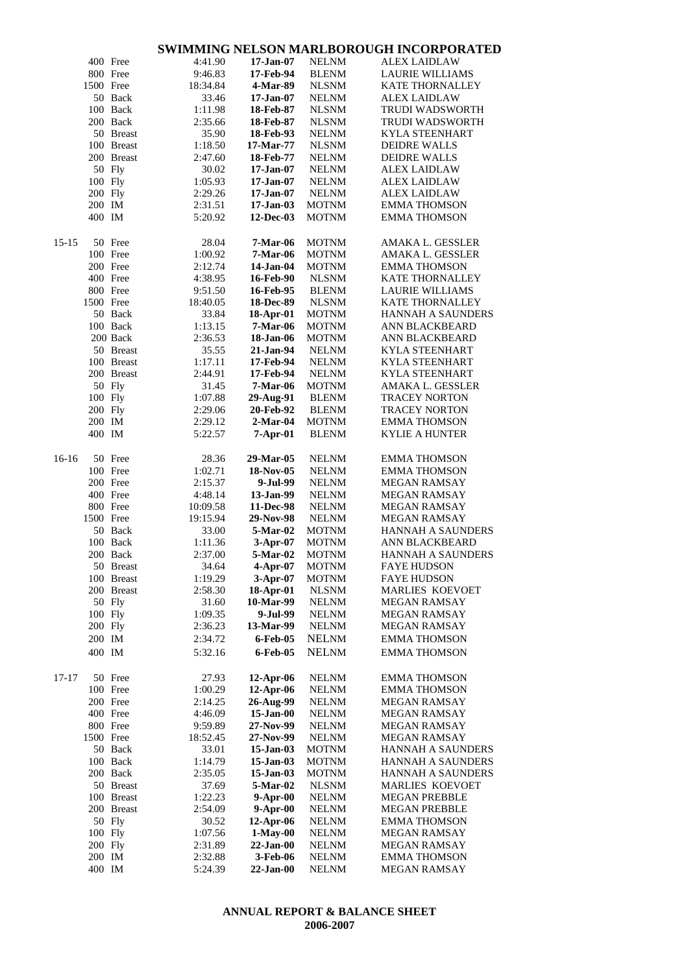|         |           | 400 Free   | 4:41.90  | $17-Jan-07$     | <b>NELNM</b> | <b>ALEX LAIDLAW</b>      |
|---------|-----------|------------|----------|-----------------|--------------|--------------------------|
|         |           | 800 Free   |          | 17-Feb-94       | <b>BLENM</b> | <b>LAURIE WILLIAMS</b>   |
|         |           |            | 9:46.83  |                 |              |                          |
|         | 1500 Free |            | 18:34.84 | 4-Mar-89        | <b>NLSNM</b> | <b>KATE THORNALLEY</b>   |
|         |           | 50 Back    | 33.46    | $17$ -Jan- $07$ | <b>NELNM</b> | <b>ALEX LAIDLAW</b>      |
|         |           | 100 Back   | 1:11.98  | 18-Feb-87       | <b>NLSNM</b> | <b>TRUDI WADSWORTH</b>   |
|         |           | 200 Back   | 2:35.66  | 18-Feb-87       | <b>NLSNM</b> | TRUDI WADSWORTH          |
|         |           | 50 Breast  | 35.90    | 18-Feb-93       | <b>NELNM</b> | <b>KYLA STEENHART</b>    |
|         |           | 100 Breast | 1:18.50  | 17-Mar-77       | <b>NLSNM</b> | <b>DEIDRE WALLS</b>      |
|         |           | 200 Breast | 2:47.60  | 18-Feb-77       | <b>NELNM</b> | <b>DEIDRE WALLS</b>      |
|         |           | 50 Fly     | 30.02    | $17 - Jan-07$   | <b>NELNM</b> | <b>ALEX LAIDLAW</b>      |
|         |           |            |          |                 |              |                          |
|         | 100 Fly   |            | 1:05.93  | $17$ -Jan- $07$ | <b>NELNM</b> | <b>ALEX LAIDLAW</b>      |
|         | 200 Fly   |            | 2:29.26  | 17-Jan-07       | <b>NELNM</b> | <b>ALEX LAIDLAW</b>      |
|         | 200 IM    |            | 2:31.51  | 17-Jan-03       | <b>MOTNM</b> | <b>EMMA THOMSON</b>      |
|         | 400 IM    |            | 5:20.92  | 12-Dec-03       | <b>MOTNM</b> | <b>EMMA THOMSON</b>      |
| 15-15   |           | 50 Free    | 28.04    | <b>7-Mar-06</b> | <b>MOTNM</b> | AMAKA L. GESSLER         |
|         |           | 100 Free   | 1:00.92  | <b>7-Mar-06</b> | <b>MOTNM</b> | AMAKA L. GESSLER         |
|         |           | 200 Free   | 2:12.74  | 14-Jan-04       | <b>MOTNM</b> | <b>EMMA THOMSON</b>      |
|         |           | 400 Free   | 4:38.95  | 16-Feb-90       | <b>NLSNM</b> | KATE THORNALLEY          |
|         |           | 800 Free   | 9:51.50  | 16-Feb-95       | <b>BLENM</b> | <b>LAURIE WILLIAMS</b>   |
|         | 1500 Free |            | 18:40.05 | 18-Dec-89       | <b>NLSNM</b> | <b>KATE THORNALLEY</b>   |
|         |           |            |          |                 |              |                          |
|         |           | 50 Back    | 33.84    | 18-Apr-01       | <b>MOTNM</b> | <b>HANNAH A SAUNDERS</b> |
|         |           | 100 Back   | 1:13.15  | 7-Mar-06        | <b>MOTNM</b> | ANN BLACKBEARD           |
|         |           | 200 Back   | 2:36.53  | 18-Jan-06       | <b>MOTNM</b> | ANN BLACKBEARD           |
|         |           | 50 Breast  | 35.55    | 21-Jan-94       | <b>NELNM</b> | <b>KYLA STEENHART</b>    |
|         |           | 100 Breast | 1:17.11  | 17-Feb-94       | <b>NELNM</b> | <b>KYLA STEENHART</b>    |
|         |           | 200 Breast | 2:44.91  | 17-Feb-94       | <b>NELNM</b> | KYLA STEENHART           |
|         |           | 50 Fly     | 31.45    | <b>7-Mar-06</b> | <b>MOTNM</b> | AMAKA L. GESSLER         |
|         | 100 Fly   |            | 1:07.88  | 29-Aug-91       | <b>BLENM</b> | <b>TRACEY NORTON</b>     |
|         |           |            |          |                 |              |                          |
|         | 200 Fly   |            | 2:29.06  | 20-Feb-92       | <b>BLENM</b> | <b>TRACEY NORTON</b>     |
|         | 200 IM    |            | 2:29.12  | $2-Mar-04$      | <b>MOTNM</b> | <b>EMMA THOMSON</b>      |
|         | 400 IM    |            | 5:22.57  | 7-Apr-01        | <b>BLENM</b> | <b>KYLIE A HUNTER</b>    |
| $16-16$ |           | 50 Free    | 28.36    | 29-Mar-05       | <b>NELNM</b> | <b>EMMA THOMSON</b>      |
|         |           | 100 Free   | 1:02.71  | 18-Nov-05       | <b>NELNM</b> | <b>EMMA THOMSON</b>      |
|         |           | 200 Free   | 2:15.37  | 9-Jul-99        | <b>NELNM</b> | <b>MEGAN RAMSAY</b>      |
|         |           | 400 Free   | 4:48.14  | 13-Jan-99       | <b>NELNM</b> | <b>MEGAN RAMSAY</b>      |
|         |           | 800 Free   | 10:09.58 | 11-Dec-98       | <b>NELNM</b> | <b>MEGAN RAMSAY</b>      |
|         | 1500 Free |            | 19:15.94 | 29-Nov-98       | <b>NELNM</b> | <b>MEGAN RAMSAY</b>      |
|         |           |            |          |                 |              | <b>HANNAH A SAUNDERS</b> |
|         |           | 50 Back    | 33.00    | 5-Mar-02        | <b>MOTNM</b> |                          |
|         |           | 100 Back   | 1:11.36  | $3-Apr-07$      | <b>MOTNM</b> | ANN BLACKBEARD           |
|         |           | 200 Back   | 2:37.00  | 5-Mar-02        | <b>MOTNM</b> | HANNAH A SAUNDERS        |
|         |           | 50 Breast  | 34.64    | $4-Apr-07$      | <b>MOTNM</b> | <b>FAYE HUDSON</b>       |
|         |           | 100 Breast | 1:19.29  | 3-Apr-07        | <b>MOTNM</b> | <b>FAYE HUDSON</b>       |
|         |           | 200 Breast | 2:58.30  | 18-Apr-01       | <b>NLSNM</b> | MARLIES KOEVOET          |
|         |           | 50 Fly     | 31.60    | 10-Mar-99       | <b>NELNM</b> | <b>MEGAN RAMSAY</b>      |
|         | 100 Fly   |            | 1:09.35  | 9-Jul-99        | <b>NELNM</b> | MEGAN RAMSAY             |
|         | 200 Fly   |            | 2:36.23  | 13-Mar-99       | <b>NELNM</b> | <b>MEGAN RAMSAY</b>      |
|         |           |            |          |                 |              |                          |
|         | 200 IM    |            | 2:34.72  | 6-Feb-05        | <b>NELNM</b> | <b>EMMA THOMSON</b>      |
|         | 400 IM    |            | 5:32.16  | 6-Feb-05        | <b>NELNM</b> | <b>EMMA THOMSON</b>      |
| 17-17   |           | 50 Free    | 27.93    | $12$ -Apr-06    | <b>NELNM</b> | <b>EMMA THOMSON</b>      |
|         |           | 100 Free   | 1:00.29  | $12$ -Apr-06    | <b>NELNM</b> | <b>EMMA THOMSON</b>      |
|         |           | 200 Free   | 2:14.25  | 26-Aug-99       | <b>NELNM</b> | MEGAN RAMSAY             |
|         |           | 400 Free   | 4:46.09  | 15-Jan-00       | <b>NELNM</b> | <b>MEGAN RAMSAY</b>      |
|         |           |            |          |                 |              |                          |
|         |           | 800 Free   | 9:59.89  | 27-Nov-99       | <b>NELNM</b> | <b>MEGAN RAMSAY</b>      |
|         | 1500 Free |            | 18:52.45 | 27-Nov-99       | <b>NELNM</b> | MEGAN RAMSAY             |
|         |           | 50 Back    | 33.01    | 15-Jan-03       | <b>MOTNM</b> | <b>HANNAH A SAUNDERS</b> |
|         |           | 100 Back   | 1:14.79  | $15$ -Jan-03    | <b>MOTNM</b> | <b>HANNAH A SAUNDERS</b> |
|         |           | 200 Back   | 2:35.05  | 15-Jan-03       | <b>MOTNM</b> | <b>HANNAH A SAUNDERS</b> |
|         |           | 50 Breast  | 37.69    | 5-Mar-02        | <b>NLSNM</b> | <b>MARLIES KOEVOET</b>   |
|         |           | 100 Breast | 1:22.23  | 9-Apr-00        | <b>NELNM</b> | <b>MEGAN PREBBLE</b>     |
|         |           | 200 Breast | 2:54.09  | $9-Apr-00$      | <b>NELNM</b> | <b>MEGAN PREBBLE</b>     |
|         |           |            |          |                 |              |                          |
|         |           | 50 Fly     | 30.52    | $12$ -Apr-06    | <b>NELNM</b> | <b>EMMA THOMSON</b>      |
|         | 100 Fly   |            | 1:07.56  | $1-May-00$      | <b>NELNM</b> | MEGAN RAMSAY             |
|         | 200 Fly   |            | 2:31.89  | $22$ -Jan-00    | <b>NELNM</b> | MEGAN RAMSAY             |
|         | 200 IM    |            | 2:32.88  | 3-Feb-06        | <b>NELNM</b> | <b>EMMA THOMSON</b>      |
|         | 400 IM    |            | 5:24.39  | $22$ -Jan-00    | <b>NELNM</b> | MEGAN RAMSAY             |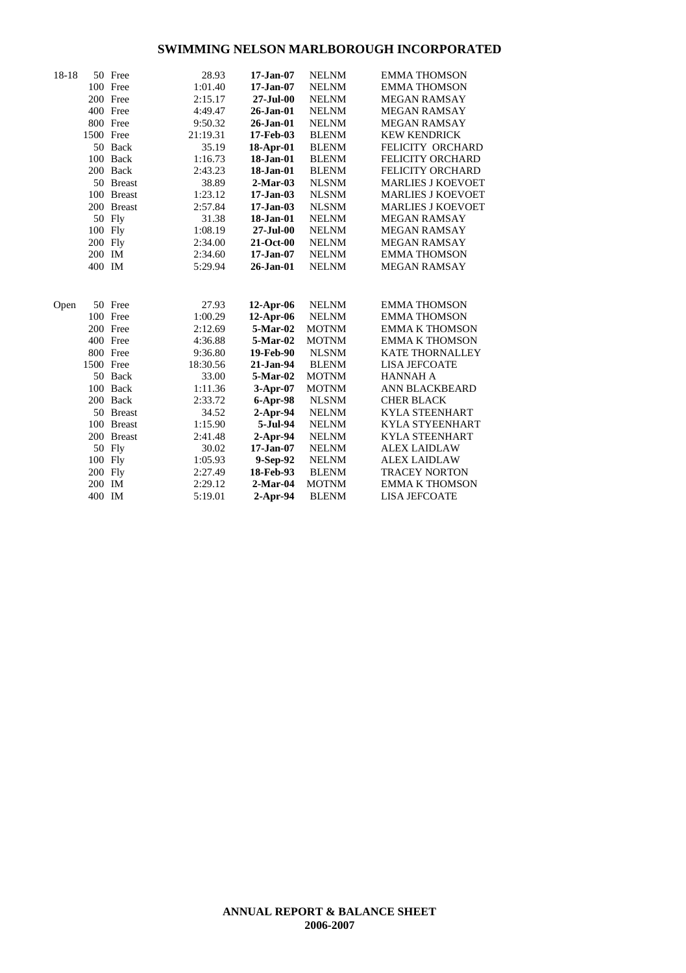| 18-18 |           | 50 Free    | 28.93    | $17-Jan-07$          | <b>NELNM</b> | <b>EMMA THOMSON</b>      |
|-------|-----------|------------|----------|----------------------|--------------|--------------------------|
|       |           | 100 Free   | 1:01.40  | $17 - Jan-07$        | <b>NELNM</b> | <b>EMMA THOMSON</b>      |
|       |           | 200 Free   | 2:15.17  | $27 - \text{Jul}-00$ | <b>NELNM</b> | <b>MEGAN RAMSAY</b>      |
|       |           | 400 Free   | 4:49.47  | 26-Jan-01            | <b>NELNM</b> | <b>MEGAN RAMSAY</b>      |
|       |           | 800 Free   | 9:50.32  | $26$ -Jan- $01$      | <b>NELNM</b> | <b>MEGAN RAMSAY</b>      |
|       | 1500 Free |            | 21:19.31 | 17-Feb-03            | <b>BLENM</b> | <b>KEW KENDRICK</b>      |
|       |           | 50 Back    | 35.19    | 18-Apr-01            | <b>BLENM</b> | FELICITY ORCHARD         |
|       |           | 100 Back   | 1:16.73  | 18-Jan-01            | <b>BLENM</b> | <b>FELICITY ORCHARD</b>  |
|       |           | 200 Back   | 2:43.23  | 18-Jan-01            | <b>BLENM</b> | <b>FELICITY ORCHARD</b>  |
|       |           | 50 Breast  | 38.89    | $2-Mar-03$           | <b>NLSNM</b> | <b>MARLIES J KOEVOET</b> |
|       |           | 100 Breast | 1:23.12  | $17-Jan-03$          | <b>NLSNM</b> | <b>MARLIES J KOEVOET</b> |
|       |           | 200 Breast | 2:57.84  | $17-Jan-03$          | <b>NLSNM</b> | <b>MARLIES J KOEVOET</b> |
|       |           | 50 Fly     | 31.38    | 18-Jan-01            | <b>NELNM</b> | <b>MEGAN RAMSAY</b>      |
|       | 100 Fly   |            | 1:08.19  | $27 -$ Jul $-00$     | <b>NELNM</b> | <b>MEGAN RAMSAY</b>      |
|       | 200 Fly   |            | 2:34.00  | 21-Oct-00            | <b>NELNM</b> | <b>MEGAN RAMSAY</b>      |
|       | 200 IM    |            | 2:34.60  | $17 - Jan-07$        | <b>NELNM</b> | <b>EMMA THOMSON</b>      |
|       | 400 IM    |            | 5:29.94  | 26-Jan-01            | <b>NELNM</b> | <b>MEGAN RAMSAY</b>      |
|       |           |            |          |                      |              |                          |
| Open  |           | 50 Free    | 27.93    | 12-Apr-06            | <b>NELNM</b> | <b>EMMA THOMSON</b>      |
|       |           | 100 Free   | 1:00.29  | 12-Apr-06            | <b>NELNM</b> | <b>EMMA THOMSON</b>      |
|       |           | 200 Free   | 2:12.69  | 5-Mar-02             | <b>MOTNM</b> | <b>EMMA K THOMSON</b>    |
|       |           | 400 Free   | 4:36.88  | 5-Mar-02             | <b>MOTNM</b> | <b>EMMA K THOMSON</b>    |
|       |           | 800 Free   | 9:36.80  | 19-Feb-90            | <b>NLSNM</b> | <b>KATE THORNALLEY</b>   |
|       | 1500 Free |            | 18:30.56 | 21-Jan-94            | <b>BLENM</b> | <b>LISA JEFCOATE</b>     |
|       |           | 50 Back    | 33.00    | 5-Mar-02             | <b>MOTNM</b> | <b>HANNAH A</b>          |
|       |           | 100 Back   | 1:11.36  | $3-Apr-07$           | <b>MOTNM</b> | ANN BLACKBEARD           |
|       |           | 200 Back   | 2:33.72  | 6-Apr-98             | <b>NLSNM</b> | <b>CHER BLACK</b>        |
|       |           | 50 Breast  | 34.52    | $2-Apr-94$           | <b>NELNM</b> | <b>KYLA STEENHART</b>    |
|       |           | 100 Breast | 1:15.90  | 5-Jul-94             | <b>NELNM</b> | <b>KYLA STYEENHART</b>   |
|       |           | 200 Breast | 2:41.48  | $2-Apr-94$           | <b>NELNM</b> | <b>KYLA STEENHART</b>    |
|       |           | 50 Fly     | 30.02    | $17 - Jan-07$        | <b>NELNM</b> | <b>ALEX LAIDLAW</b>      |
|       | 100 Fly   |            | 1:05.93  | 9-Sep-92             | <b>NELNM</b> | <b>ALEX LAIDLAW</b>      |
|       | 200 Fly   |            | 2:27.49  | 18-Feb-93            | <b>BLENM</b> | <b>TRACEY NORTON</b>     |
|       | 200 IM    |            | 2:29.12  | $2$ -Mar-04          | <b>MOTNM</b> | <b>EMMA K THOMSON</b>    |
|       | 400 IM    |            | 5:19.01  | 2-Apr-94             | <b>BLENM</b> | <b>LISA JEFCOATE</b>     |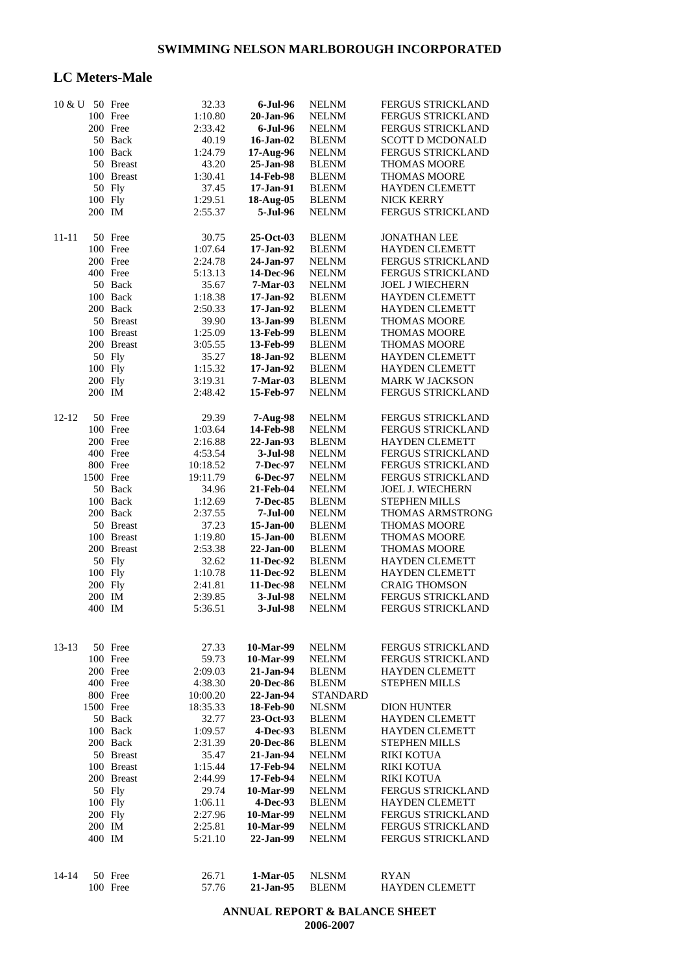### **LC Meters-Male**

| 10 & U 50 Free |           |            | 32.33    | 6-Jul-96         | <b>NELNM</b>    | FERGUS STRICKLAND        |
|----------------|-----------|------------|----------|------------------|-----------------|--------------------------|
|                |           | 100 Free   | 1:10.80  | 20-Jan-96        | <b>NELNM</b>    | FERGUS STRICKLAND        |
|                |           | 200 Free   | 2:33.42  | $6$ -Jul- $96$   | <b>NELNM</b>    | FERGUS STRICKLAND        |
|                |           | 50 Back    | 40.19    | $16$ -Jan- $02$  | <b>BLENM</b>    | SCOTT D MCDONALD         |
|                |           |            |          |                  |                 |                          |
|                |           | 100 Back   | 1:24.79  | 17-Aug-96        | <b>NELNM</b>    | FERGUS STRICKLAND        |
|                |           | 50 Breast  | 43.20    | 25-Jan-98        | <b>BLENM</b>    | <b>THOMAS MOORE</b>      |
|                |           | 100 Breast | 1:30.41  | 14-Feb-98        | <b>BLENM</b>    | <b>THOMAS MOORE</b>      |
|                |           | 50 Fly     | 37.45    | 17-Jan-91        | <b>BLENM</b>    | <b>HAYDEN CLEMETT</b>    |
|                |           | 100 Fly    | 1:29.51  | 18-Aug-05        | <b>BLENM</b>    | <b>NICK KERRY</b>        |
|                | 200 IM    |            | 2:55.37  | 5-Jul-96         | <b>NELNM</b>    | FERGUS STRICKLAND        |
|                |           |            |          |                  |                 |                          |
| $11 - 11$      |           | 50 Free    | 30.75    | $25-Oct-03$      | <b>BLENM</b>    | <b>JONATHAN LEE</b>      |
|                |           | 100 Free   | 1:07.64  | 17-Jan-92        | <b>BLENM</b>    | <b>HAYDEN CLEMETT</b>    |
|                |           | 200 Free   |          | 24-Jan-97        |                 |                          |
|                |           |            | 2:24.78  |                  | <b>NELNM</b>    | FERGUS STRICKLAND        |
|                |           | 400 Free   | 5:13.13  | 14-Dec-96        | <b>NELNM</b>    | FERGUS STRICKLAND        |
|                |           | 50 Back    | 35.67    | 7-Mar-03         | <b>NELNM</b>    | <b>JOEL J WIECHERN</b>   |
|                |           | 100 Back   | 1:18.38  | 17-Jan-92        | <b>BLENM</b>    | <b>HAYDEN CLEMETT</b>    |
|                |           | 200 Back   | 2:50.33  | 17-Jan-92        | <b>BLENM</b>    | <b>HAYDEN CLEMETT</b>    |
|                |           | 50 Breast  | 39.90    | 13-Jan-99        | <b>BLENM</b>    | <b>THOMAS MOORE</b>      |
|                |           | 100 Breast | 1:25.09  | 13-Feb-99        | <b>BLENM</b>    | <b>THOMAS MOORE</b>      |
|                |           | 200 Breast |          |                  |                 |                          |
|                |           |            | 3:05.55  | 13-Feb-99        | <b>BLENM</b>    | <b>THOMAS MOORE</b>      |
|                |           | 50 Fly     | 35.27    | 18-Jan-92        | <b>BLENM</b>    | <b>HAYDEN CLEMETT</b>    |
|                |           | 100 Fly    | 1:15.32  | 17-Jan-92        | <b>BLENM</b>    | <b>HAYDEN CLEMETT</b>    |
|                |           | 200 Fly    | 3:19.31  | $7-Mar-03$       | <b>BLENM</b>    | <b>MARK W JACKSON</b>    |
|                | 200 IM    |            | 2:48.42  | 15-Feb-97        | <b>NELNM</b>    | FERGUS STRICKLAND        |
|                |           |            |          |                  |                 |                          |
| $12 - 12$      |           | 50 Free    | 29.39    | 7-Aug-98         | <b>NELNM</b>    | FERGUS STRICKLAND        |
|                |           | 100 Free   | 1:03.64  | 14-Feb-98        | <b>NELNM</b>    | FERGUS STRICKLAND        |
|                |           | 200 Free   | 2:16.88  | 22-Jan-93        | <b>BLENM</b>    | <b>HAYDEN CLEMETT</b>    |
|                |           | 400 Free   |          |                  |                 |                          |
|                |           |            | 4:53.54  | 3-Jul-98         | <b>NELNM</b>    | FERGUS STRICKLAND        |
|                |           | 800 Free   | 10:18.52 | <b>7-Dec-97</b>  | <b>NELNM</b>    | <b>FERGUS STRICKLAND</b> |
|                | 1500 Free |            | 19:11.79 | <b>6-Dec-97</b>  | <b>NELNM</b>    | FERGUS STRICKLAND        |
|                |           | 50 Back    | 34.96    | 21-Feb-04        | <b>NELNM</b>    | <b>JOEL J. WIECHERN</b>  |
|                |           | 100 Back   | 1:12.69  | <b>7-Dec-85</b>  | <b>BLENM</b>    | STEPHEN MILLS            |
|                |           | 200 Back   | 2:37.55  | $7-Jul-00$       | <b>NELNM</b>    | THOMAS ARMSTRONG         |
|                |           | 50 Breast  | 37.23    | $15$ -Jan-00     | <b>BLENM</b>    | <b>THOMAS MOORE</b>      |
|                |           | 100 Breast |          |                  |                 |                          |
|                |           |            | 1:19.80  | $15$ -Jan-00     | <b>BLENM</b>    | <b>THOMAS MOORE</b>      |
|                |           | 200 Breast | 2:53.38  | $22$ -Jan-00     | <b>BLENM</b>    | <b>THOMAS MOORE</b>      |
|                |           | 50 Fly     | 32.62    | 11-Dec-92        | <b>BLENM</b>    | <b>HAYDEN CLEMETT</b>    |
|                |           | 100 Fly    | 1:10.78  | 11-Dec-92        | <b>BLENM</b>    | <b>HAYDEN CLEMETT</b>    |
|                |           | 200 Fly    | 2:41.81  | 11-Dec-98        | <b>NELNM</b>    | <b>CRAIG THOMSON</b>     |
|                | 200 IM    |            | 2:39.85  | 3-Jul-98         | <b>NELNM</b>    | <b>FERGUS STRICKLAND</b> |
|                | 400 IM    |            | 5:36.51  | 3-Jul-98         | <b>NELNM</b>    | FERGUS STRICKLAND        |
|                |           |            |          |                  |                 |                          |
|                |           |            |          |                  |                 |                          |
| $13-13$        |           | 50 Free    | 27.33    | 10-Mar-99        | <b>NELNM</b>    | <b>FERGUS STRICKLAND</b> |
|                |           | 100 Free   | 59.73    | 10-Mar-99        | <b>NELNM</b>    | <b>FERGUS STRICKLAND</b> |
|                |           | 200 Free   | 2:09.03  | 21-Jan-94        | <b>BLENM</b>    | <b>HAYDEN CLEMETT</b>    |
|                |           | 400 Free   | 4:38.30  | 20-Dec-86        | <b>BLENM</b>    | <b>STEPHEN MILLS</b>     |
|                |           |            |          |                  |                 |                          |
|                |           | 800 Free   | 10:00.20 | 22-Jan-94        | <b>STANDARD</b> |                          |
|                |           | 1500 Free  | 18:35.33 | 18-Feb-90        | <b>NLSNM</b>    | <b>DION HUNTER</b>       |
|                |           | 50 Back    | 32.77    | 23-Oct-93        | <b>BLENM</b>    | <b>HAYDEN CLEMETT</b>    |
|                |           | 100 Back   | 1:09.57  | 4-Dec-93         | <b>BLENM</b>    | <b>HAYDEN CLEMETT</b>    |
|                |           | 200 Back   | 2:31.39  | <b>20-Dec-86</b> | <b>BLENM</b>    | <b>STEPHEN MILLS</b>     |
|                |           | 50 Breast  | 35.47    | 21-Jan-94        | <b>NELNM</b>    | RIKI KOTUA               |
|                |           | 100 Breast | 1:15.44  | 17-Feb-94        | <b>NELNM</b>    | <b>RIKI KOTUA</b>        |
|                |           |            |          |                  |                 |                          |
|                |           | 200 Breast | 2:44.99  | 17-Feb-94        | <b>NELNM</b>    | <b>RIKI KOTUA</b>        |
|                |           | 50 Fly     | 29.74    | 10-Mar-99        | <b>NELNM</b>    | <b>FERGUS STRICKLAND</b> |
|                |           | 100 Fly    | 1:06.11  | 4-Dec-93         | <b>BLENM</b>    | <b>HAYDEN CLEMETT</b>    |
|                |           | 200 Fly    | 2:27.96  | 10-Mar-99        | <b>NELNM</b>    | <b>FERGUS STRICKLAND</b> |
|                | 200 IM    |            | 2:25.81  | 10-Mar-99        | <b>NELNM</b>    | <b>FERGUS STRICKLAND</b> |
|                | 400 IM    |            | 5:21.10  | 22-Jan-99        | <b>NELNM</b>    | <b>FERGUS STRICKLAND</b> |
|                |           |            |          |                  |                 |                          |
|                |           |            |          |                  |                 |                          |
| 14-14          |           | 50 Free    | 26.71    | $1-Mar-05$       | <b>NLSNM</b>    | RYAN                     |
|                |           | 100 Free   | 57.76    | 21-Jan-95        | <b>BLENM</b>    | <b>HAYDEN CLEMETT</b>    |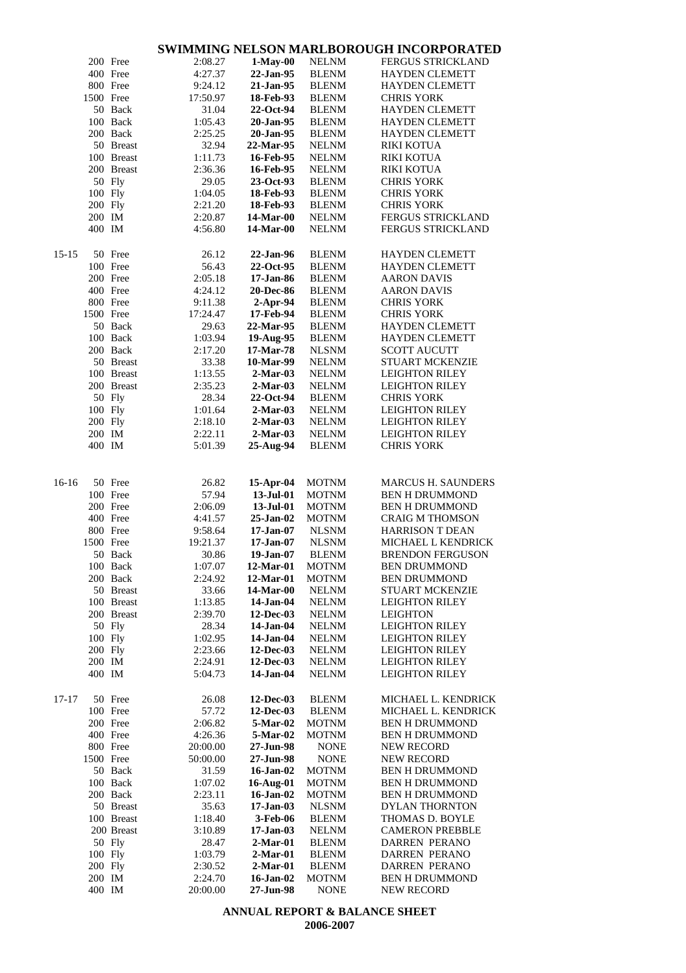|         |                  |            |                     |                              |                             | <u>WIMMING NEEBON MAREDOROOGH INCORFORATEE</u> |
|---------|------------------|------------|---------------------|------------------------------|-----------------------------|------------------------------------------------|
|         |                  | 200 Free   | 2:08.27             | $1-May-00$                   | <b>NELNM</b>                | FERGUS STRICKLAND                              |
|         |                  | 400 Free   | 4:27.37             | 22-Jan-95                    | <b>BLENM</b>                | <b>HAYDEN CLEMETT</b>                          |
|         |                  |            |                     |                              |                             |                                                |
|         |                  | 800 Free   | 9:24.12             | 21-Jan-95                    | <b>BLENM</b>                | <b>HAYDEN CLEMETT</b>                          |
|         | 1500 Free        |            | 17:50.97            | 18-Feb-93                    | <b>BLENM</b>                | <b>CHRIS YORK</b>                              |
|         |                  | 50 Back    | 31.04               | 22-Oct-94                    | <b>BLENM</b>                | HAYDEN CLEMETT                                 |
|         |                  | 100 Back   | 1:05.43             | 20-Jan-95                    | <b>BLENM</b>                | <b>HAYDEN CLEMETT</b>                          |
|         |                  | 200 Back   | 2:25.25             | 20-Jan-95                    | <b>BLENM</b>                | <b>HAYDEN CLEMETT</b>                          |
|         |                  | 50 Breast  | 32.94               | 22-Mar-95                    | <b>NELNM</b>                | <b>RIKI KOTUA</b>                              |
|         |                  |            |                     |                              |                             |                                                |
|         |                  | 100 Breast | 1:11.73             | 16-Feb-95                    | <b>NELNM</b>                | RIKI KOTUA                                     |
|         |                  | 200 Breast | 2:36.36             | 16-Feb-95                    | <b>NELNM</b>                | <b>RIKI KOTUA</b>                              |
|         |                  | 50 Fly     | 29.05               | 23-Oct-93                    | <b>BLENM</b>                | <b>CHRIS YORK</b>                              |
|         | 100 Fly          |            | 1:04.05             | 18-Feb-93                    | <b>BLENM</b>                | <b>CHRIS YORK</b>                              |
|         | 200 Fly          |            | 2:21.20             | 18-Feb-93                    | <b>BLENM</b>                | <b>CHRIS YORK</b>                              |
|         | 200 IM           |            | 2:20.87             | 14-Mar-00                    | <b>NELNM</b>                | FERGUS STRICKLAND                              |
|         | 400 IM           |            | 4:56.80             | 14-Mar-00                    | <b>NELNM</b>                | FERGUS STRICKLAND                              |
|         |                  |            |                     |                              |                             |                                                |
|         |                  |            |                     |                              |                             |                                                |
| 15-15   |                  | 50 Free    | 26.12               | 22-Jan-96                    | <b>BLENM</b>                | <b>HAYDEN CLEMETT</b>                          |
|         |                  | 100 Free   | 56.43               | 22-Oct-95                    | <b>BLENM</b>                | <b>HAYDEN CLEMETT</b>                          |
|         |                  | 200 Free   | 2:05.18             | 17-Jan-86                    | <b>BLENM</b>                | <b>AARON DAVIS</b>                             |
|         |                  | 400 Free   | 4:24.12             | <b>20-Dec-86</b>             | <b>BLENM</b>                | <b>AARON DAVIS</b>                             |
|         |                  |            |                     |                              |                             |                                                |
|         |                  | 800 Free   | 9:11.38             | $2-Apr-94$                   | <b>BLENM</b>                | <b>CHRIS YORK</b>                              |
|         | 1500 Free        |            | 17:24.47            | 17-Feb-94                    | <b>BLENM</b>                | <b>CHRIS YORK</b>                              |
|         |                  | 50 Back    | 29.63               | 22-Mar-95                    | <b>BLENM</b>                | <b>HAYDEN CLEMETT</b>                          |
|         |                  | 100 Back   | 1:03.94             | 19-Aug-95                    | <b>BLENM</b>                | <b>HAYDEN CLEMETT</b>                          |
|         |                  | 200 Back   | 2:17.20             | 17-Mar-78                    | <b>NLSNM</b>                | <b>SCOTT AUCUTT</b>                            |
|         |                  | 50 Breast  | 33.38               | 10-Mar-99                    | <b>NELNM</b>                | <b>STUART MCKENZIE</b>                         |
|         |                  |            |                     |                              |                             |                                                |
|         |                  | 100 Breast | 1:13.55             | $2-Mar-03$                   | <b>NELNM</b>                | <b>LEIGHTON RILEY</b>                          |
|         |                  | 200 Breast | 2:35.23             | $2-Mar-03$                   | <b>NELNM</b>                | <b>LEIGHTON RILEY</b>                          |
|         |                  | 50 Fly     | 28.34               | 22-Oct-94                    | <b>BLENM</b>                | <b>CHRIS YORK</b>                              |
|         | 100 Fly          |            | 1:01.64             | $2-Mar-03$                   | <b>NELNM</b>                | <b>LEIGHTON RILEY</b>                          |
|         | 200 Fly          |            | 2:18.10             | $2-Mar-03$                   | <b>NELNM</b>                | <b>LEIGHTON RILEY</b>                          |
|         | 200 IM           |            | 2:22.11             | $2-Mar-03$                   | <b>NELNM</b>                | <b>LEIGHTON RILEY</b>                          |
|         |                  |            |                     |                              |                             |                                                |
|         | 400 IM           |            | 5:01.39             | 25-Aug-94                    | <b>BLENM</b>                | <b>CHRIS YORK</b>                              |
|         |                  |            |                     |                              |                             |                                                |
|         |                  |            |                     |                              |                             |                                                |
| $16-16$ |                  | 50 Free    | 26.82               | $15$ -Apr-04                 | <b>MOTNM</b>                | MARCUS H. SAUNDERS                             |
|         |                  | 100 Free   | 57.94               | 13-Jul-01                    | <b>MOTNM</b>                | <b>BEN H DRUMMOND</b>                          |
|         |                  |            |                     | $13$ -Jul- $01$              | <b>MOTNM</b>                | <b>BEN H DRUMMOND</b>                          |
|         |                  |            |                     |                              |                             |                                                |
|         | 200 Free         |            | 2:06.09             |                              |                             |                                                |
|         |                  | 400 Free   | 4:41.57             | 25-Jan-02                    | <b>MOTNM</b>                | <b>CRAIG M THOMSON</b>                         |
|         |                  | 800 Free   | 9:58.64             | $17 - Jan-07$                | <b>NLSNM</b>                | <b>HARRISON T DEAN</b>                         |
|         | 1500 Free        |            | 19:21.37            | $17 - Jan-07$                | <b>NLSNM</b>                | MICHAEL L KENDRICK                             |
|         |                  |            |                     |                              |                             |                                                |
|         |                  | 50 Back    | 30.86               | 19-Jan-07                    | <b>BLENM</b>                | <b>BRENDON FERGUSON</b>                        |
|         |                  | 100 Back   | 1:07.07             | 12-Mar-01                    | <b>MOTNM</b>                | <b>BEN DRUMMOND</b>                            |
|         |                  | 200 Back   | 2:24.92             | 12-Mar-01                    | <b>MOTNM</b>                | <b>BEN DRUMMOND</b>                            |
|         |                  | 50 Breast  | 33.66               | 14-Mar-00                    | <b>NELNM</b>                | <b>STUART MCKENZIE</b>                         |
|         |                  | 100 Breast | 1:13.85             | 14-Jan-04                    | <b>NELNM</b>                | <b>LEIGHTON RILEY</b>                          |
|         |                  | 200 Breast | 2:39.70             | $12$ -Dec-03                 | <b>NELNM</b>                | <b>LEIGHTON</b>                                |
|         |                  |            |                     |                              |                             |                                                |
|         |                  | 50 Fly     | 28.34               | 14-Jan-04                    | <b>NELNM</b>                | <b>LEIGHTON RILEY</b>                          |
|         | 100 Fly          |            | 1:02.95             | 14-Jan-04                    | <b>NELNM</b>                | <b>LEIGHTON RILEY</b>                          |
|         | 200 Fly          |            | 2:23.66             | 12-Dec-03                    | <b>NELNM</b>                | <b>LEIGHTON RILEY</b>                          |
|         | 200 IM           |            | 2:24.91             | 12-Dec-03                    | <b>NELNM</b>                | <b>LEIGHTON RILEY</b>                          |
|         | 400 IM           |            | 5:04.73             | 14-Jan-04                    | <b>NELNM</b>                | <b>LEIGHTON RILEY</b>                          |
|         |                  |            |                     |                              |                             |                                                |
|         |                  |            |                     |                              |                             |                                                |
| 17-17   |                  | 50 Free    | 26.08               | 12-Dec-03                    | <b>BLENM</b>                | MICHAEL L. KENDRICK                            |
|         |                  | 100 Free   | 57.72               | 12-Dec-03                    | <b>BLENM</b>                | MICHAEL L. KENDRICK                            |
|         |                  | 200 Free   | 2:06.82             | 5-Mar-02                     | <b>MOTNM</b>                | <b>BEN H DRUMMOND</b>                          |
|         |                  | 400 Free   | 4:26.36             | 5-Mar-02                     | <b>MOTNM</b>                | <b>BEN H DRUMMOND</b>                          |
|         |                  | 800 Free   | 20:00.00            | 27-Jun-98                    | <b>NONE</b>                 | <b>NEW RECORD</b>                              |
|         | 1500 Free        |            | 50:00.00            | 27-Jun-98                    | <b>NONE</b>                 | <b>NEW RECORD</b>                              |
|         |                  |            |                     |                              |                             |                                                |
|         |                  | 50 Back    | 31.59               | 16-Jan-02                    | <b>MOTNM</b>                | <b>BEN H DRUMMOND</b>                          |
|         |                  | 100 Back   | 1:07.02             | 16-Aug-01                    | <b>MOTNM</b>                | <b>BEN H DRUMMOND</b>                          |
|         |                  | 200 Back   | 2:23.11             | 16-Jan-02                    | <b>MOTNM</b>                | <b>BEN H DRUMMOND</b>                          |
|         |                  | 50 Breast  | 35.63               | $17-Jan-03$                  | <b>NLSNM</b>                | DYLAN THORNTON                                 |
|         |                  | 100 Breast | 1:18.40             | 3-Feb-06                     | <b>BLENM</b>                | THOMAS D. BOYLE                                |
|         |                  | 200 Breast | 3:10.89             | $17-Jan-03$                  | <b>NELNM</b>                | <b>CAMERON PREBBLE</b>                         |
|         |                  |            |                     | $2-Mar-01$                   |                             | <b>DARREN PERANO</b>                           |
|         |                  | 50 Fly     | 28.47               |                              | <b>BLENM</b>                |                                                |
|         | 100 Fly          |            | 1:03.79             | $2-Mar-01$                   | <b>BLENM</b>                | DARREN PERANO                                  |
|         | 200 Fly          |            | 2:30.52             | $2-Mar-01$                   | <b>BLENM</b>                | DARREN PERANO                                  |
|         | 200 IM<br>400 IM |            | 2:24.70<br>20:00.00 | $16$ -Jan- $02$<br>27-Jun-98 | <b>MOTNM</b><br><b>NONE</b> | <b>BEN H DRUMMOND</b><br><b>NEW RECORD</b>     |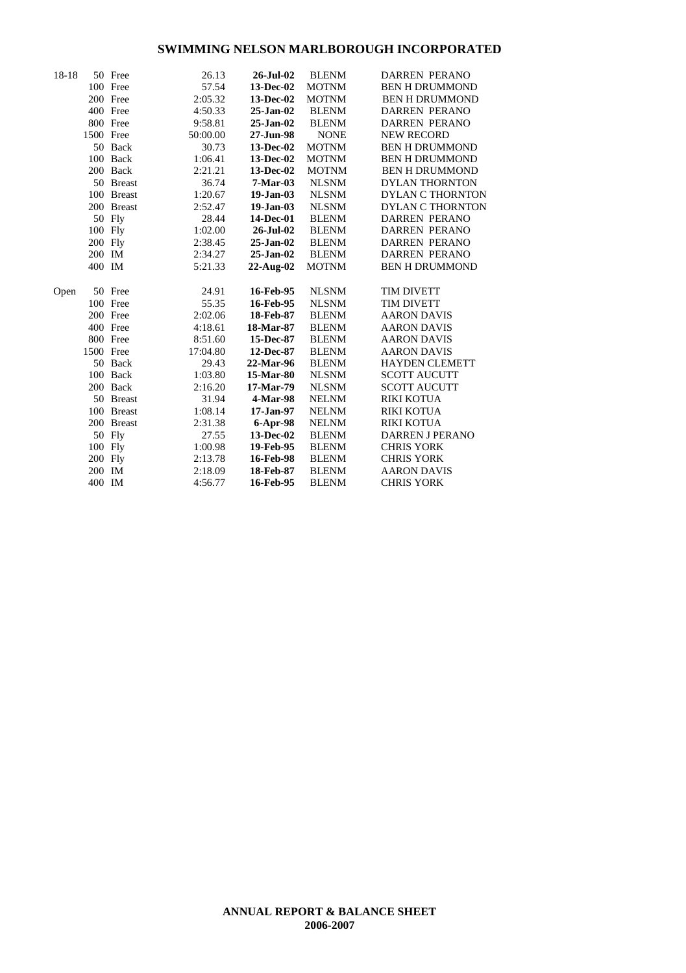| $18-18$ |           | 50 Free    | 26.13    | 26-Jul-02       | <b>BLENM</b> | <b>DARREN PERANO</b>    |
|---------|-----------|------------|----------|-----------------|--------------|-------------------------|
|         |           | 100 Free   | 57.54    | 13-Dec-02       | <b>MOTNM</b> | <b>BEN H DRUMMOND</b>   |
|         |           | 200 Free   | 2:05.32  | 13-Dec-02       | <b>MOTNM</b> | <b>BEN H DRUMMOND</b>   |
|         |           | 400 Free   | 4:50.33  | $25$ -Jan- $02$ | <b>BLENM</b> | <b>DARREN PERANO</b>    |
|         |           | 800 Free   | 9:58.81  | $25 - Jan-02$   | <b>BLENM</b> | <b>DARREN PERANO</b>    |
|         | 1500 Free |            | 50:00.00 | 27-Jun-98       | <b>NONE</b>  | <b>NEW RECORD</b>       |
|         |           | 50 Back    | 30.73    | 13-Dec-02       | <b>MOTNM</b> | <b>BEN H DRUMMOND</b>   |
|         |           | 100 Back   | 1:06.41  | 13-Dec-02       | <b>MOTNM</b> | <b>BEN H DRUMMOND</b>   |
|         |           | 200 Back   | 2:21.21  | 13-Dec-02       | <b>MOTNM</b> | <b>BEN H DRUMMOND</b>   |
|         |           | 50 Breast  | 36.74    | $7-Mar-03$      | <b>NLSNM</b> | <b>DYLAN THORNTON</b>   |
|         |           | 100 Breast | 1:20.67  | $19-Jan-03$     | <b>NLSNM</b> | <b>DYLAN C THORNTON</b> |
|         |           | 200 Breast | 2:52.47  | $19-Jan-03$     | <b>NLSNM</b> | <b>DYLAN C THORNTON</b> |
|         |           | 50 Fly     | 28.44    | 14-Dec-01       | <b>BLENM</b> | <b>DARREN PERANO</b>    |
|         | 100 Fly   |            | 1:02.00  | 26-Jul-02       | <b>BLENM</b> | <b>DARREN PERANO</b>    |
|         | 200 Fly   |            | 2:38.45  | $25$ -Jan-02    | <b>BLENM</b> | <b>DARREN PERANO</b>    |
|         | 200 IM    |            | 2:34.27  | $25$ -Jan- $02$ | <b>BLENM</b> | <b>DARREN PERANO</b>    |
|         | 400 IM    |            | 5:21.33  | $22$ -Aug- $02$ | <b>MOTNM</b> | <b>BEN H DRUMMOND</b>   |
|         |           |            |          |                 |              |                         |
| Open    |           | 50 Free    | 24.91    | 16-Feb-95       | <b>NLSNM</b> | <b>TIM DIVETT</b>       |
|         |           | 100 Free   | 55.35    | 16-Feb-95       | <b>NLSNM</b> | <b>TIM DIVETT</b>       |
|         |           | 200 Free   | 2:02.06  | 18-Feb-87       | <b>BLENM</b> | <b>AARON DAVIS</b>      |
|         |           | 400 Free   | 4:18.61  | 18-Mar-87       | <b>BLENM</b> | <b>AARON DAVIS</b>      |
|         |           | 800 Free   | 8:51.60  | 15-Dec-87       | <b>BLENM</b> | <b>AARON DAVIS</b>      |
|         | 1500 Free |            | 17:04.80 | 12-Dec-87       | <b>BLENM</b> | <b>AARON DAVIS</b>      |
|         |           | 50 Back    | 29.43    | 22-Mar-96       | <b>BLENM</b> | <b>HAYDEN CLEMETT</b>   |
|         |           | 100 Back   | 1:03.80  | 15-Mar-80       | <b>NLSNM</b> | <b>SCOTT AUCUTT</b>     |
|         |           | 200 Back   | 2:16.20  | 17-Mar-79       | <b>NLSNM</b> | <b>SCOTT AUCUTT</b>     |
|         |           | 50 Breast  | 31.94    | 4-Mar-98        | <b>NELNM</b> | <b>RIKI KOTUA</b>       |
|         |           | 100 Breast | 1:08.14  | 17-Jan-97       | <b>NELNM</b> | <b>RIKI KOTUA</b>       |
|         |           | 200 Breast | 2:31.38  | 6-Apr-98        | <b>NELNM</b> | RIKI KOTUA              |
|         |           | 50 Fly     | 27.55    | 13-Dec-02       | <b>BLENM</b> | <b>DARREN J PERANO</b>  |
|         | 100 Fly   |            | 1:00.98  | 19-Feb-95       | <b>BLENM</b> | <b>CHRIS YORK</b>       |
|         | 200 Fly   |            | 2:13.78  | 16-Feb-98       | <b>BLENM</b> | <b>CHRIS YORK</b>       |
|         | 200 IM    |            | 2:18.09  | 18-Feb-87       | <b>BLENM</b> | <b>AARON DAVIS</b>      |
|         | 400 IM    |            | 4:56.77  | 16-Feb-95       | <b>BLENM</b> | <b>CHRIS YORK</b>       |
|         |           |            |          |                 |              |                         |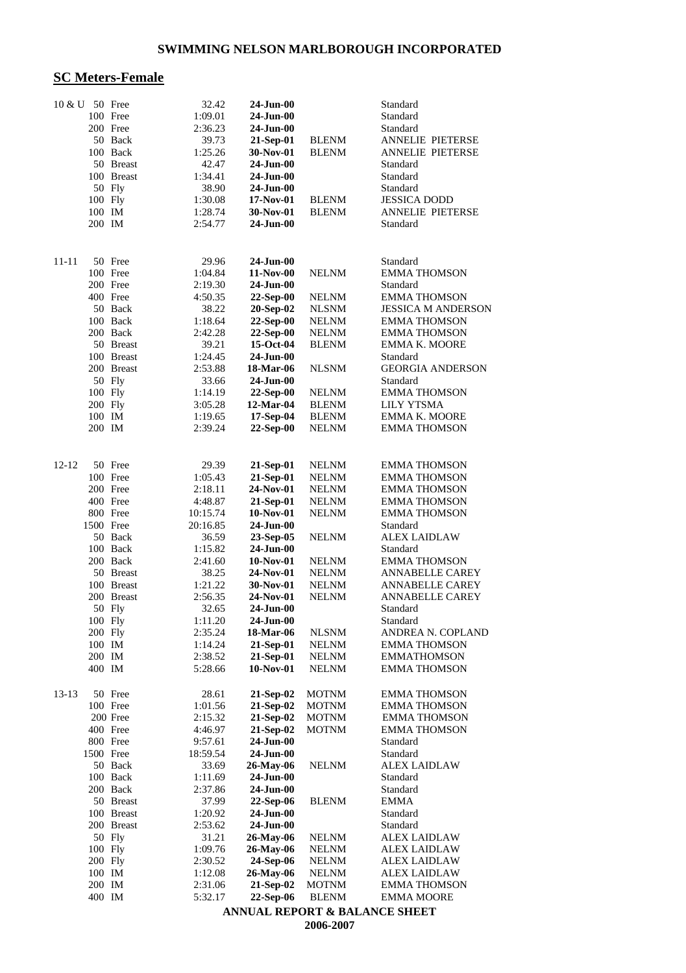### **SC Meters-Female**

| 10 & U  |                   | 50 Free    | 32.42              | $24$ -Jun-00             |                              | Standard                                       |
|---------|-------------------|------------|--------------------|--------------------------|------------------------------|------------------------------------------------|
|         |                   | 100 Free   | 1:09.01            | $24$ -Jun-00             |                              | Standard                                       |
|         |                   | 200 Free   | 2:36.23            | 24-Jun-00                |                              | Standard                                       |
|         |                   | 50 Back    | 39.73              | 21-Sep-01                | <b>BLENM</b>                 | <b>ANNELIE PIETERSE</b>                        |
|         |                   | 100 Back   | 1:25.26            | 30-Nov-01                | <b>BLENM</b>                 | <b>ANNELIE PIETERSE</b>                        |
|         |                   | 50 Breast  | 42.47              | $24-Jun-00$              |                              | Standard                                       |
|         |                   | 100 Breast | 1:34.41            | $24-Jun-00$              |                              | Standard                                       |
|         |                   | 50 Fly     | 38.90              | $24-Jun-00$              |                              | Standard                                       |
|         | 100 Fly<br>100 IM |            | 1:30.08            | 17-Nov-01                | <b>BLENM</b>                 | <b>JESSICA DODD</b><br><b>ANNELIE PIETERSE</b> |
|         | 200 IM            |            | 1:28.74<br>2:54.77 | 30-Nov-01<br>$24-Jun-00$ | <b>BLENM</b>                 | Standard                                       |
|         |                   |            |                    |                          |                              |                                                |
|         |                   |            |                    |                          |                              |                                                |
| 11-11   |                   | 50 Free    | 29.96              | $24$ -Jun- $00$          |                              | Standard                                       |
|         |                   | 100 Free   | 1:04.84            | 11-Nov-00                | <b>NELNM</b>                 | <b>EMMA THOMSON</b>                            |
|         |                   | 200 Free   | 2:19.30            | 24-Jun-00                |                              | Standard                                       |
|         |                   | 400 Free   | 4:50.35            | 22-Sep-00                | <b>NELNM</b>                 | <b>EMMA THOMSON</b>                            |
|         |                   | 50 Back    | 38.22              | 20-Sep-02                | <b>NLSNM</b>                 | <b>JESSICA M ANDERSON</b>                      |
|         |                   | 100 Back   | 1:18.64            | 22-Sep-00                | <b>NELNM</b>                 | <b>EMMA THOMSON</b>                            |
|         |                   | 200 Back   | 2:42.28            | 22-Sep-00                | <b>NELNM</b>                 | <b>EMMA THOMSON</b>                            |
|         |                   | 50 Breast  | 39.21              | 15-Oct-04                | <b>BLENM</b>                 | <b>EMMA K. MOORE</b>                           |
|         |                   | 100 Breast | 1:24.45            | $24$ -Jun- $00$          |                              | Standard                                       |
|         |                   | 200 Breast | 2:53.88            | 18-Mar-06<br>$24-Jun-00$ | <b>NLSNM</b>                 | <b>GEORGIA ANDERSON</b>                        |
|         | 100 Fly           | 50 Fly     | 33.66<br>1:14.19   |                          | <b>NELNM</b>                 | Standard<br><b>EMMA THOMSON</b>                |
|         | 200 Fly           |            | 3:05.28            | 22-Sep-00<br>12-Mar-04   | <b>BLENM</b>                 | <b>LILY YTSMA</b>                              |
|         | 100 IM            |            | 1:19.65            | 17-Sep-04                | <b>BLENM</b>                 | <b>EMMA K. MOORE</b>                           |
|         | 200 IM            |            | 2:39.24            | $22-Sep-00$              | <b>NELNM</b>                 | <b>EMMA THOMSON</b>                            |
|         |                   |            |                    |                          |                              |                                                |
|         |                   |            |                    |                          |                              |                                                |
| 12-12   |                   | 50 Free    | 29.39              | 21-Sep-01                | <b>NELNM</b>                 | <b>EMMA THOMSON</b>                            |
|         |                   | 100 Free   | 1:05.43            | 21-Sep-01                | <b>NELNM</b>                 | <b>EMMA THOMSON</b>                            |
|         |                   | 200 Free   | 2:18.11            | 24-Nov-01                | <b>NELNM</b>                 | <b>EMMA THOMSON</b>                            |
|         |                   | 400 Free   | 4:48.87            | 21-Sep-01                | <b>NELNM</b>                 | <b>EMMA THOMSON</b>                            |
|         |                   | 800 Free   | 10:15.74           | 10-Nov-01                | <b>NELNM</b>                 | <b>EMMA THOMSON</b>                            |
|         | 1500 Free         | 50 Back    | 20:16.85           | $24-Jun-00$              |                              | Standard                                       |
|         |                   | 100 Back   | 36.59<br>1:15.82   | 23-Sep-05<br>24-Jun-00   | <b>NELNM</b>                 | <b>ALEX LAIDLAW</b><br>Standard                |
|         |                   | 200 Back   | 2:41.60            | 10-Nov-01                | <b>NELNM</b>                 | <b>EMMA THOMSON</b>                            |
|         |                   | 50 Breast  | 38.25              | 24-Nov-01                | <b>NELNM</b>                 | <b>ANNABELLE CAREY</b>                         |
|         |                   | 100 Breast | 1:21.22            | 30-Nov-01                | <b>NELNM</b>                 | <b>ANNABELLE CAREY</b>                         |
|         |                   | 200 Breast | 2:56.35            | 24-Nov-01                | <b>NELNM</b>                 | <b>ANNABELLE CAREY</b>                         |
|         |                   | 50 Fly     | 32.65              | 24-Jun-00                |                              | Standard                                       |
|         | 100 Fly           |            | 1:11.20            | 24-Jun-00                |                              | Standard                                       |
|         | 200 Fly           |            | 2:35.24            | 18-Mar-06                | <b>NLSNM</b>                 | ANDREA N. COPLAND                              |
|         | 100 IM            |            | 1:14.24            | 21-Sep-01                | <b>NELNM</b>                 | <b>EMMA THOMSON</b>                            |
|         | 200 IM            |            | 2:38.52            | 21-Sep-01                | <b>NELNM</b>                 | <b>EMMATHOMSON</b>                             |
|         | 400 IM            |            | 5:28.66            | 10-Nov-01                | <b>NELNM</b>                 | <b>EMMA THOMSON</b>                            |
| $13-13$ |                   | 50 Free    | 28.61              | 21-Sep-02                | <b>MOTNM</b>                 | <b>EMMA THOMSON</b>                            |
|         |                   | 100 Free   | 1:01.56            | 21-Sep-02                | <b>MOTNM</b>                 | <b>EMMA THOMSON</b>                            |
|         |                   | 200 Free   | 2:15.32            | 21-Sep-02                | <b>MOTNM</b>                 | <b>EMMA THOMSON</b>                            |
|         |                   | 400 Free   | 4:46.97            | 21-Sep-02                | <b>MOTNM</b>                 | <b>EMMA THOMSON</b>                            |
|         |                   | 800 Free   | 9:57.61            | $24$ -Jun-00             |                              | Standard                                       |
|         | 1500 Free         |            | 18:59.54           | 24-Jun-00                |                              | Standard                                       |
|         |                   | 50 Back    | 33.69              | 26-May-06                | <b>NELNM</b>                 | <b>ALEX LAIDLAW</b>                            |
|         |                   | 100 Back   | 1:11.69            | 24-Jun-00                |                              | Standard                                       |
|         |                   | 200 Back   | 2:37.86            | $24-Jun-00$              |                              | Standard                                       |
|         |                   | 50 Breast  | 37.99              | 22-Sep-06                | <b>BLENM</b>                 | EMMA                                           |
|         |                   | 100 Breast | 1:20.92            | $24-Jun-00$              |                              | Standard                                       |
|         |                   | 200 Breast | 2:53.62            | 24-Jun-00                |                              | Standard                                       |
|         |                   | 50 Fly     | 31.21              | 26-May-06                | <b>NELNM</b>                 | <b>ALEX LAIDLAW</b>                            |
|         | 100 Fly           |            | 1:09.76            | 26-May-06                | <b>NELNM</b>                 | <b>ALEX LAIDLAW</b>                            |
|         | 200 Fly<br>100 IM |            | 2:30.52<br>1:12.08 | 24-Sep-06<br>26-May-06   | <b>NELNM</b><br><b>NELNM</b> | ALEX LAIDLAW<br><b>ALEX LAIDLAW</b>            |
|         | 200 IM            |            | 2:31.06            | 21-Sep-02                | <b>MOTNM</b>                 | <b>EMMA THOMSON</b>                            |
|         | 400 IM            |            | 5:32.17            | 22-Sep-06                | <b>BLENM</b>                 | <b>EMMA MOORE</b>                              |
|         |                   |            |                    |                          |                              |                                                |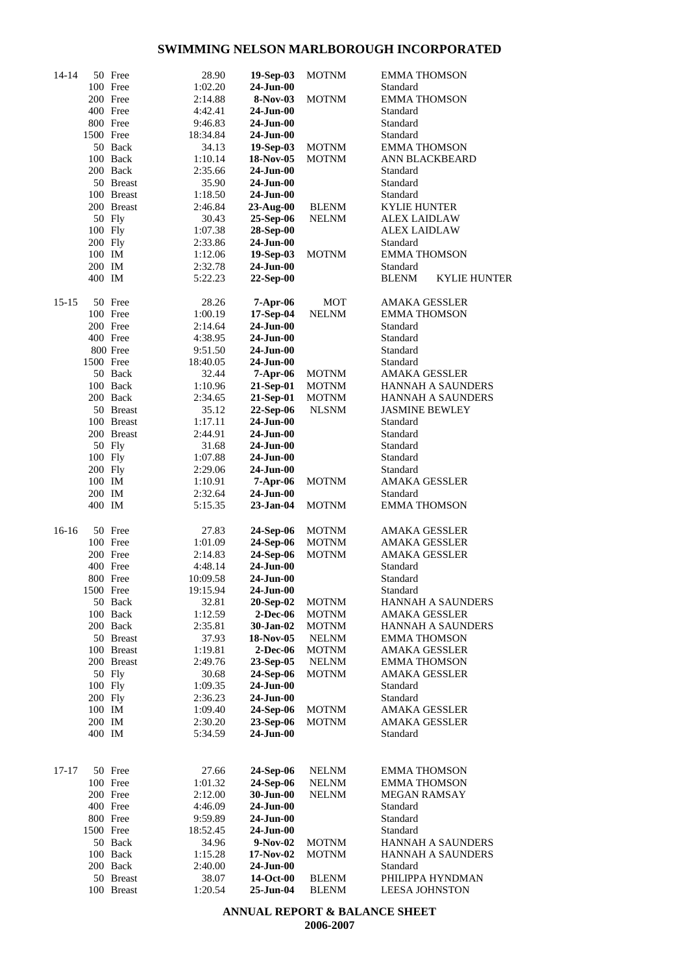| 14-14 |           | 50 Free    | 28.90    | 19-Sep-03       | <b>MOTNM</b> | <b>EMMA THOMSON</b>   |                          |
|-------|-----------|------------|----------|-----------------|--------------|-----------------------|--------------------------|
|       |           | 100 Free   | 1:02.20  | 24-Jun-00       |              | Standard              |                          |
|       |           | 200 Free   | 2:14.88  | $8-Nov-03$      | <b>MOTNM</b> | <b>EMMA THOMSON</b>   |                          |
|       |           | 400 Free   | 4:42.41  | 24-Jun-00       |              | Standard              |                          |
|       |           | 800 Free   | 9:46.83  | 24-Jun-00       |              | Standard              |                          |
|       | 1500 Free |            | 18:34.84 | 24-Jun-00       |              | Standard              |                          |
|       |           |            |          |                 |              |                       |                          |
|       |           | 50 Back    | 34.13    | 19-Sep-03       | <b>MOTNM</b> | <b>EMMA THOMSON</b>   |                          |
|       |           | 100 Back   | 1:10.14  | 18-Nov-05       | <b>MOTNM</b> |                       | ANN BLACKBEARD           |
|       |           | 200 Back   | 2:35.66  | 24-Jun-00       |              | Standard              |                          |
|       |           | 50 Breast  | 35.90    | 24-Jun-00       |              | Standard              |                          |
|       |           | 100 Breast | 1:18.50  | $24-Jun-00$     |              | Standard              |                          |
|       |           | 200 Breast | 2:46.84  | $23$ -Aug- $00$ | <b>BLENM</b> | <b>KYLIE HUNTER</b>   |                          |
|       |           | 50 Fly     | 30.43    | 25-Sep-06       | <b>NELNM</b> | <b>ALEX LAIDLAW</b>   |                          |
|       | 100 Fly   |            | 1:07.38  | 28-Sep-00       |              | <b>ALEX LAIDLAW</b>   |                          |
|       |           |            |          |                 |              |                       |                          |
|       | 200 Fly   |            | 2:33.86  | $24$ -Jun-00    |              | Standard              |                          |
|       | 100 IM    |            | 1:12.06  | 19-Sep-03       | <b>MOTNM</b> | <b>EMMA THOMSON</b>   |                          |
|       | 200 IM    |            | 2:32.78  | 24-Jun-00       |              | Standard              |                          |
|       | 400 IM    |            | 5:22.23  | 22-Sep-00       |              | <b>BLENM</b>          | <b>KYLIE HUNTER</b>      |
|       |           |            |          |                 |              |                       |                          |
| 15-15 |           | 50 Free    | 28.26    | 7-Apr-06        | MOT          | <b>AMAKA GESSLER</b>  |                          |
|       |           | 100 Free   | 1:00.19  | 17-Sep-04       | <b>NELNM</b> | <b>EMMA THOMSON</b>   |                          |
|       |           | 200 Free   | 2:14.64  | $24-Jun-00$     |              | Standard              |                          |
|       |           | 400 Free   | 4:38.95  | $24$ -Jun-00    |              | Standard              |                          |
|       |           | 800 Free   | 9:51.50  | 24-Jun-00       |              | Standard              |                          |
|       | 1500 Free |            | 18:40.05 | 24-Jun-00       |              | Standard              |                          |
|       |           | 50 Back    | 32.44    | 7-Apr-06        | <b>MOTNM</b> | AMAKA GESSLER         |                          |
|       |           | 100 Back   | 1:10.96  | 21-Sep-01       | <b>MOTNM</b> |                       | HANNAH A SAUNDERS        |
|       |           |            |          |                 |              |                       |                          |
|       |           | 200 Back   | 2:34.65  | 21-Sep-01       | <b>MOTNM</b> |                       | <b>HANNAH A SAUNDERS</b> |
|       |           | 50 Breast  | 35.12    | 22-Sep-06       | <b>NLSNM</b> | <b>JASMINE BEWLEY</b> |                          |
|       |           | 100 Breast | 1:17.11  | $24-Jun-00$     |              | Standard              |                          |
|       |           | 200 Breast | 2:44.91  | 24-Jun-00       |              | Standard              |                          |
|       |           | 50 Fly     | 31.68    | 24-Jun-00       |              | Standard              |                          |
|       | 100 Fly   |            | 1:07.88  | 24-Jun-00       |              | Standard              |                          |
|       | 200 Fly   |            | 2:29.06  | 24-Jun-00       |              | Standard              |                          |
|       | 100 IM    |            | 1:10.91  | 7-Apr-06        | <b>MOTNM</b> | AMAKA GESSLER         |                          |
|       | 200 IM    |            | 2:32.64  | $24$ -Jun-00    |              | Standard              |                          |
|       | 400 IM    |            | 5:15.35  | 23-Jan-04       | <b>MOTNM</b> | <b>EMMA THOMSON</b>   |                          |
|       |           |            |          |                 |              |                       |                          |
| 16-16 |           | 50 Free    | 27.83    | 24-Sep-06       | <b>MOTNM</b> | AMAKA GESSLER         |                          |
|       |           | 100 Free   | 1:01.09  | 24-Sep-06       | <b>MOTNM</b> | <b>AMAKA GESSLER</b>  |                          |
|       |           | 200 Free   | 2:14.83  | 24-Sep-06       | <b>MOTNM</b> | <b>AMAKA GESSLER</b>  |                          |
|       |           | 400 Free   | 4:48.14  | 24-Jun-00       |              | Standard              |                          |
|       |           | 800 Free   | 10:09.58 | 24-Jun-00       |              | Standard              |                          |
|       | 1500 Free |            | 19:15.94 | 24-Jun-00       |              | Standard              |                          |
|       |           |            |          |                 |              |                       |                          |
|       |           | 50 Back    | 32.81    | 20-Sep-02       | <b>MOTNM</b> |                       | <b>HANNAH A SAUNDERS</b> |
|       |           | 100 Back   | 1:12.59  | 2-Dec-06        | <b>MOTNM</b> | AMAKA GESSLER         |                          |
|       |           | 200 Back   | 2:35.81  | 30-Jan-02       | <b>MOTNM</b> |                       | HANNAH A SAUNDERS        |
|       |           | 50 Breast  | 37.93    | 18-Nov-05       | <b>NELNM</b> | <b>EMMA THOMSON</b>   |                          |
|       |           | 100 Breast | 1:19.81  | $2$ -Dec-06     | <b>MOTNM</b> | AMAKA GESSLER         |                          |
|       |           | 200 Breast | 2:49.76  | $23-Sep-05$     | <b>NELNM</b> | <b>EMMA THOMSON</b>   |                          |
|       |           | 50 Fly     | 30.68    | 24-Sep-06       | <b>MOTNM</b> | <b>AMAKA GESSLER</b>  |                          |
|       | 100 Fly   |            | 1:09.35  | 24-Jun-00       |              | Standard              |                          |
|       | 200 Fly   |            | 2:36.23  | $24-Jun-00$     |              | Standard              |                          |
|       | 100 IM    |            | 1:09.40  | 24-Sep-06       | <b>MOTNM</b> | <b>AMAKA GESSLER</b>  |                          |
|       |           |            |          |                 |              |                       |                          |
|       | 200 IM    |            | 2:30.20  | 23-Sep-06       | <b>MOTNM</b> | <b>AMAKA GESSLER</b>  |                          |
|       | 400 IM    |            | 5:34.59  | $24$ -Jun-00    |              | Standard              |                          |
|       |           |            |          |                 |              |                       |                          |
| 17-17 |           | 50 Free    | 27.66    | 24-Sep-06       | <b>NELNM</b> | <b>EMMA THOMSON</b>   |                          |
|       |           | 100 Free   | 1:01.32  | 24-Sep-06       | <b>NELNM</b> | <b>EMMA THOMSON</b>   |                          |
|       |           | 200 Free   | 2:12.00  | 30-Jun-00       | <b>NELNM</b> | MEGAN RAMSAY          |                          |
|       |           |            |          |                 |              |                       |                          |
|       |           | 400 Free   | 4:46.09  | $24$ -Jun-00    |              | Standard              |                          |
|       |           | 800 Free   | 9:59.89  | 24-Jun-00       |              | Standard              |                          |
|       | 1500 Free |            | 18:52.45 | 24-Jun-00       |              | Standard              |                          |
|       |           | 50 Back    | 34.96    | $9-Nov-02$      | <b>MOTNM</b> |                       | <b>HANNAH A SAUNDERS</b> |
|       |           | 100 Back   | 1:15.28  | $17-Nov-02$     | <b>MOTNM</b> |                       | <b>HANNAH A SAUNDERS</b> |
|       |           | 200 Back   | 2:40.00  | 24-Jun-00       |              | Standard              |                          |
|       |           | 50 Breast  | 38.07    | 14-Oct-00       | <b>BLENM</b> |                       | PHILIPPA HYNDMAN         |
|       |           | 100 Breast | 1:20.54  | 25-Jun-04       | <b>BLENM</b> | <b>LEESA JOHNSTON</b> |                          |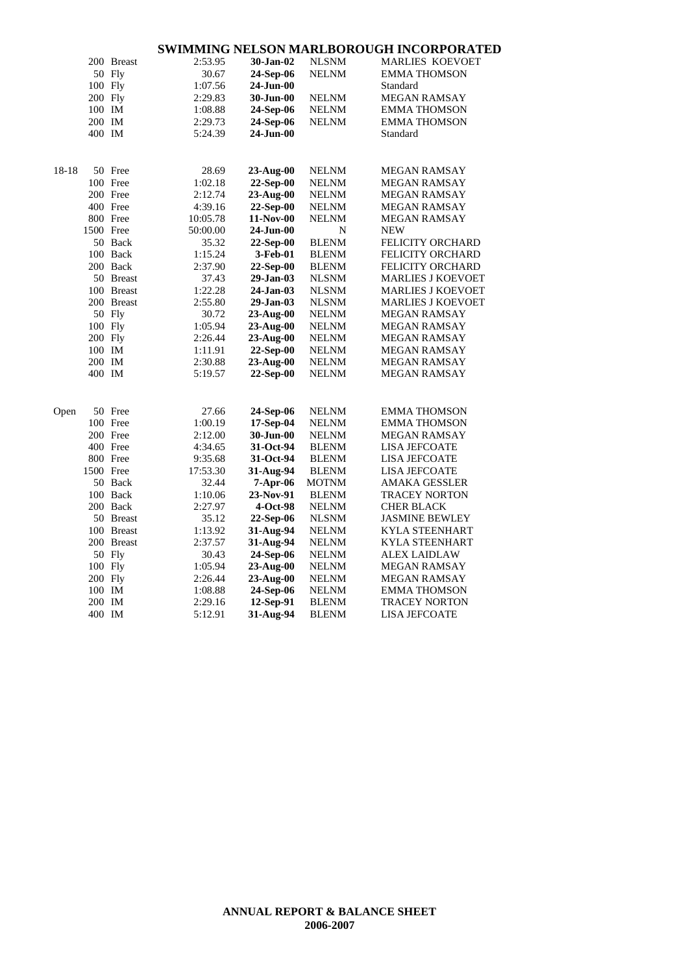|       |         | 200 Breast | 2:53.95  | 30-Jan-02       | <b>NLSNM</b> | <b>MARLIES KOEVOET</b>   |
|-------|---------|------------|----------|-----------------|--------------|--------------------------|
|       |         | 50 Fly     | 30.67    | 24-Sep-06       | <b>NELNM</b> | <b>EMMA THOMSON</b>      |
|       |         | 100 Fly    | 1:07.56  | 24-Jun-00       |              | Standard                 |
|       |         | 200 Fly    | 2:29.83  | 30-Jun-00       | <b>NELNM</b> | <b>MEGAN RAMSAY</b>      |
|       | 100 IM  |            | 1:08.88  | 24-Sep-06       | <b>NELNM</b> | <b>EMMA THOMSON</b>      |
|       | 200 IM  |            | 2:29.73  | 24-Sep-06       | <b>NELNM</b> | <b>EMMA THOMSON</b>      |
|       | 400 IM  |            | 5:24.39  | 24-Jun-00       |              | Standard                 |
|       |         |            |          |                 |              |                          |
| 18-18 |         | 50 Free    | 28.69    | 23-Aug-00       | <b>NELNM</b> | <b>MEGAN RAMSAY</b>      |
|       |         | 100 Free   | 1:02.18  | 22-Sep-00       | <b>NELNM</b> | <b>MEGAN RAMSAY</b>      |
|       |         | 200 Free   | 2:12.74  | $23$ -Aug- $00$ | <b>NELNM</b> | <b>MEGAN RAMSAY</b>      |
|       |         | 400 Free   | 4:39.16  | 22-Sep-00       | <b>NELNM</b> | MEGAN RAMSAY             |
|       |         | 800 Free   | 10:05.78 | 11-Nov-00       | <b>NELNM</b> | <b>MEGAN RAMSAY</b>      |
|       |         | 1500 Free  | 50:00.00 | 24-Jun-00       | N            | <b>NEW</b>               |
|       |         | 50 Back    | 35.32    | $22-Sep-00$     | <b>BLENM</b> | <b>FELICITY ORCHARD</b>  |
|       |         | 100 Back   | 1:15.24  | 3-Feb-01        | <b>BLENM</b> | <b>FELICITY ORCHARD</b>  |
|       |         | 200 Back   | 2:37.90  | 22-Sep-00       | <b>BLENM</b> | <b>FELICITY ORCHARD</b>  |
|       |         | 50 Breast  | 37.43    | 29-Jan-03       | NLSNM        | <b>MARLIES J KOEVOET</b> |
|       |         | 100 Breast | 1:22.28  | 24-Jan-03       | <b>NLSNM</b> | <b>MARLIES J KOEVOET</b> |
|       |         | 200 Breast | 2:55.80  | 29-Jan-03       | <b>NLSNM</b> | <b>MARLIES J KOEVOET</b> |
|       |         | 50 Fly     | 30.72    | 23-Aug-00       | <b>NELNM</b> | <b>MEGAN RAMSAY</b>      |
|       |         | 100 Fly    | 1:05.94  | $23$ -Aug- $00$ | <b>NELNM</b> | <b>MEGAN RAMSAY</b>      |
|       | 200 Fly |            | 2:26.44  | 23-Aug-00       | <b>NELNM</b> | <b>MEGAN RAMSAY</b>      |
|       | 100 IM  |            | 1:11.91  | 22-Sep-00       | <b>NELNM</b> | <b>MEGAN RAMSAY</b>      |
|       | 200 IM  |            | 2:30.88  | $23-Aug-00$     | <b>NELNM</b> | MEGAN RAMSAY             |
|       | 400 IM  |            | 5:19.57  | $22-Sep-00$     | <b>NELNM</b> | <b>MEGAN RAMSAY</b>      |
|       |         |            |          |                 |              |                          |
| Open  |         | 50 Free    | 27.66    | 24-Sep-06       | <b>NELNM</b> | <b>EMMA THOMSON</b>      |
|       |         | 100 Free   | 1:00.19  | 17-Sep-04       | <b>NELNM</b> | <b>EMMA THOMSON</b>      |
|       |         | 200 Free   | 2:12.00  | 30-Jun-00       | <b>NELNM</b> | <b>MEGAN RAMSAY</b>      |
|       |         | 400 Free   | 4:34.65  | 31-Oct-94       | <b>BLENM</b> | LISA JEFCOATE            |
|       |         | 800 Free   | 9:35.68  | 31-Oct-94       | <b>BLENM</b> | <b>LISA JEFCOATE</b>     |
|       |         | 1500 Free  | 17:53.30 | 31-Aug-94       | <b>BLENM</b> | <b>LISA JEFCOATE</b>     |
|       |         | 50 Back    | 32.44    | 7-Apr-06        | <b>MOTNM</b> | <b>AMAKA GESSLER</b>     |
|       |         | 100 Back   | 1:10.06  | 23-Nov-91       | <b>BLENM</b> | <b>TRACEY NORTON</b>     |
|       |         | 200 Back   | 2:27.97  | 4-Oct-98        | <b>NELNM</b> | <b>CHER BLACK</b>        |
|       |         | 50 Breast  | 35.12    | 22-Sep-06       | <b>NLSNM</b> | <b>JASMINE BEWLEY</b>    |
|       |         | 100 Breast | 1:13.92  | 31-Aug-94       | <b>NELNM</b> | <b>KYLA STEENHART</b>    |
|       |         | 200 Breast | 2:37.57  | 31-Aug-94       | <b>NELNM</b> | <b>KYLA STEENHART</b>    |
|       |         | 50 Fly     | 30.43    | 24-Sep-06       | <b>NELNM</b> | <b>ALEX LAIDLAW</b>      |
|       |         | 100 Fly    | 1:05.94  | 23-Aug-00       | <b>NELNM</b> | <b>MEGAN RAMSAY</b>      |
|       | 200 Fly |            | 2:26.44  | 23-Aug-00       | <b>NELNM</b> | <b>MEGAN RAMSAY</b>      |
|       | 100 IM  |            | 1:08.88  | 24-Sep-06       | <b>NELNM</b> | <b>EMMA THOMSON</b>      |
|       | 200 IM  |            | 2:29.16  | 12-Sep-91       | <b>BLENM</b> | <b>TRACEY NORTON</b>     |
|       | 400 IM  |            | 5:12.91  | 31-Aug-94       | <b>BLENM</b> | <b>LISA JEFCOATE</b>     |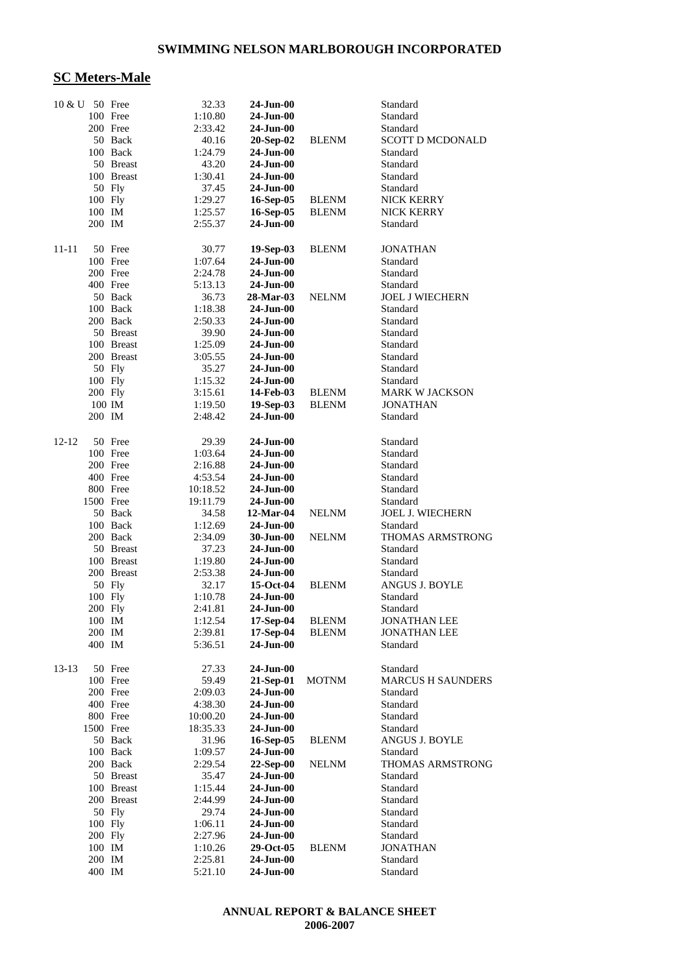### **SC Meters-Male**

| 10 & U 50 Free |         |                          | 32.33              | 24-Jun-00                  |              | Standard                             |
|----------------|---------|--------------------------|--------------------|----------------------------|--------------|--------------------------------------|
|                |         | 100 Free                 | 1:10.80            | 24-Jun-00                  |              | Standard                             |
|                |         | 200 Free                 | 2:33.42            | 24-Jun-00                  |              | Standard                             |
|                |         | 50 Back                  | 40.16              | 20-Sep-02                  | <b>BLENM</b> | <b>SCOTT D MCDONALD</b>              |
|                |         | 100 Back                 | 1:24.79            | 24-Jun-00                  |              | Standard                             |
|                |         | 50 Breast                | 43.20              | 24-Jun-00                  |              | Standard                             |
|                |         | 100 Breast               | 1:30.41            | 24-Jun-00                  |              | Standard                             |
|                |         | 50 Fly                   | 37.45              | 24-Jun-00                  |              | Standard                             |
|                | 100 Fly |                          | 1:29.27            | 16-Sep-05                  | <b>BLENM</b> | NICK KERRY                           |
|                | 100 IM  |                          | 1:25.57            | 16-Sep-05                  | <b>BLENM</b> | NICK KERRY                           |
|                | 200 IM  |                          | 2:55.37            | 24-Jun-00                  |              | Standard                             |
| 11-11          |         | 50 Free                  | 30.77              | 19-Sep-03                  | <b>BLENM</b> | <b>JONATHAN</b>                      |
|                |         | 100 Free                 | 1:07.64            | $24-Jun-00$                |              | Standard                             |
|                |         | 200 Free                 | 2:24.78            | 24-Jun-00                  |              | Standard                             |
|                |         | 400 Free                 | 5:13.13            | 24-Jun-00                  |              | Standard                             |
|                |         | 50 Back                  | 36.73              | 28-Mar-03                  | <b>NELNM</b> | <b>JOEL J WIECHERN</b>               |
|                |         | 100 Back                 | 1:18.38            | 24-Jun-00                  |              | Standard                             |
|                |         | 200 Back                 | 2:50.33            | 24-Jun-00                  |              | Standard                             |
|                |         | 50 Breast                | 39.90              | 24-Jun-00                  |              | Standard                             |
|                |         | 100 Breast               | 1:25.09            | 24-Jun-00                  |              | Standard                             |
|                |         | 200 Breast               | 3:05.55            | 24-Jun-00                  |              | Standard                             |
|                |         | 50 Fly                   | 35.27              | 24-Jun-00                  |              | Standard                             |
|                |         | 100 Fly                  | 1:15.32            | 24-Jun-00                  |              | Standard                             |
|                | 200 Fly |                          | 3:15.61            | 14-Feb-03                  | <b>BLENM</b> | <b>MARK W JACKSON</b>                |
|                |         | 100 IM                   | 1:19.50            | 19-Sep-03                  | <b>BLENM</b> | JONATHAN                             |
|                | 200 IM  |                          | 2:48.42            | $24-Jun-00$                |              | Standard                             |
| 12-12          |         | 50 Free                  | 29.39              | 24-Jun-00                  |              | Standard                             |
|                |         | 100 Free                 | 1:03.64            | 24-Jun-00                  |              | Standard                             |
|                |         | 200 Free                 | 2:16.88            | 24-Jun-00                  |              | Standard                             |
|                |         | 400 Free                 | 4:53.54            | 24-Jun-00                  |              | Standard                             |
|                |         | 800 Free                 | 10:18.52           | 24-Jun-00                  |              | Standard                             |
|                |         | 1500 Free                | 19:11.79           | 24-Jun-00                  |              | Standard                             |
|                |         | 50 Back                  | 34.58              | 12-Mar-04                  | <b>NELNM</b> | <b>JOEL J. WIECHERN</b>              |
|                |         | 100 Back                 | 1:12.69            | 24-Jun-00                  |              | Standard                             |
|                |         | 200 Back                 | 2:34.09            | 30-Jun-00                  | <b>NELNM</b> | <b>THOMAS ARMSTRONG</b>              |
|                |         | 50 Breast                | 37.23              | 24-Jun-00                  |              | Standard                             |
|                |         | 100 Breast<br>200 Breast | 1:19.80<br>2:53.38 | $24-Jun-00$<br>$24-Jun-00$ |              | Standard                             |
|                |         | 50 Fly                   | 32.17              | 15-Oct-04                  | <b>BLENM</b> | Standard<br>ANGUS J. BOYLE           |
|                |         | 100 Fly                  | 1:10.78            | 24-Jun-00                  |              | Standard                             |
|                | 200 Fly |                          | 2:41.81            | 24-Jun-00                  |              | Standard                             |
|                | 100 IM  |                          | 1:12.54            | 17-Sep-04                  | <b>BLENM</b> | <b>JONATHAN LEE</b>                  |
|                | 200 IM  |                          | 2:39.81            | 17-Sep-04                  | <b>BLENM</b> | <b>JONATHAN LEE</b>                  |
|                | 400 IM  |                          | 5:36.51            | 24-Jun-00                  |              | Standard                             |
|                |         |                          |                    |                            |              |                                      |
| $13-13$        |         | 50 Free<br>100 Free      | 27.33<br>59.49     | 24-Jun-00<br>21-Sep-01     | <b>MOTNM</b> | Standard<br><b>MARCUS H SAUNDERS</b> |
|                |         | 200 Free                 | 2:09.03            | $24-Jun-00$                |              | Standard                             |
|                |         | 400 Free                 | 4:38.30            | 24-Jun-00                  |              | Standard                             |
|                |         | 800 Free                 | 10:00.20           | 24-Jun-00                  |              | Standard                             |
|                |         | 1500 Free                | 18:35.33           | $24$ -Jun-00               |              | Standard                             |
|                |         | 50 Back                  | 31.96              | 16-Sep-05                  | <b>BLENM</b> | ANGUS J. BOYLE                       |
|                |         | 100 Back                 | 1:09.57            | $24-Jun-00$                |              | Standard                             |
|                |         | 200 Back                 | 2:29.54            | 22-Sep-00                  | <b>NELNM</b> | THOMAS ARMSTRONG                     |
|                |         | 50 Breast                | 35.47              | $24-Jun-00$                |              | Standard                             |
|                |         | 100 Breast               | 1:15.44            | $24$ -Jun-00               |              | Standard                             |
|                |         | 200 Breast               | 2:44.99            | 24-Jun-00                  |              | Standard                             |
|                |         | 50 Fly                   | 29.74              | 24-Jun-00                  |              | Standard                             |
|                | 100 Fly |                          | 1:06.11            | $24$ -Jun-00               |              | Standard                             |
|                | 200 Fly |                          | 2:27.96            | 24-Jun-00                  |              | Standard                             |
|                | 100 IM  |                          | 1:10.26            | 29-Oct-05                  | <b>BLENM</b> | <b>JONATHAN</b>                      |
|                | 200 IM  |                          | 2:25.81            | 24-Jun-00                  |              | Standard                             |
|                | 400 IM  |                          | 5:21.10            | 24-Jun-00                  |              | Standard                             |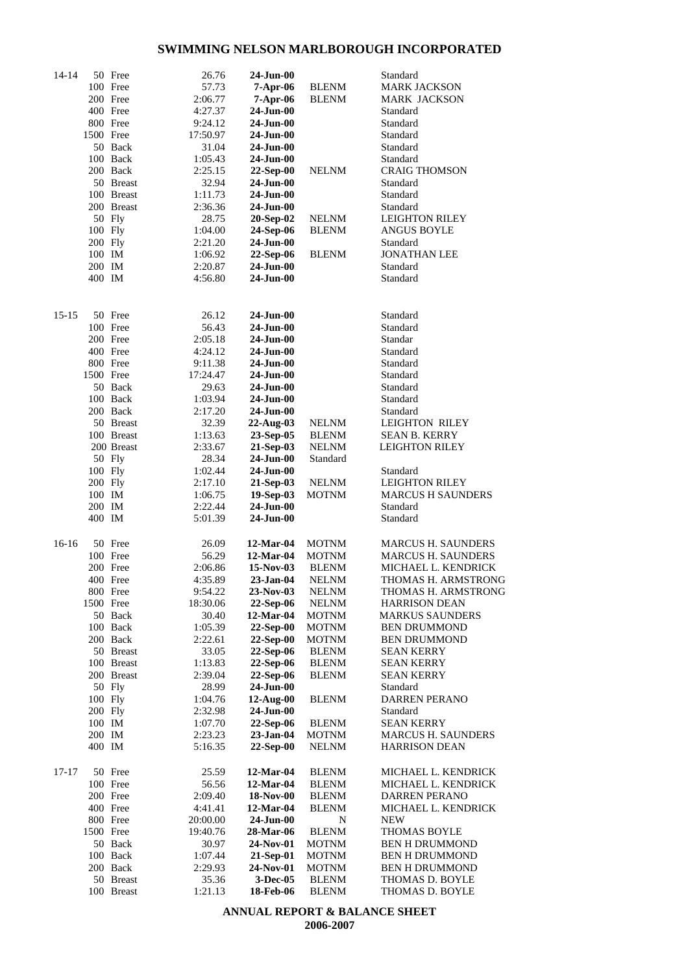| 14-14 |           | 50 Free    | 26.76              | $24-Jun-00$     |              | Standard                  |
|-------|-----------|------------|--------------------|-----------------|--------------|---------------------------|
|       |           | 100 Free   | 57.73              | $7-Apr-06$      | <b>BLENM</b> | <b>MARK JACKSON</b>       |
|       |           | 200 Free   | 2:06.77            | $7-Apr-06$      | <b>BLENM</b> | MARK JACKSON              |
|       |           | 400 Free   | 4:27.37            | $24-Jun-00$     |              | Standard                  |
|       |           | 800 Free   | 9:24.12            | $24-Jun-00$     |              | Standard                  |
|       | 1500 Free |            | 17:50.97           | 24-Jun-00       |              | Standard                  |
|       |           | 50 Back    | 31.04              | 24-Jun-00       |              | Standard                  |
|       |           | 100 Back   | 1:05.43            | 24-Jun-00       |              | Standard                  |
|       |           | 200 Back   | 2:25.15            | $22$ -Sep-00    | NELNM        | <b>CRAIG THOMSON</b>      |
|       |           | 50 Breast  | 32.94              | 24-Jun-00       |              | Standard                  |
|       |           | 100 Breast | 1:11.73            | $24-Jun-00$     |              | Standard                  |
|       |           | 200 Breast | 2:36.36            | $24-Jun-00$     |              | Standard                  |
|       |           | 50 Fly     | 28.75              | 20-Sep-02       | <b>NELNM</b> | <b>LEIGHTON RILEY</b>     |
|       | 100 Fly   |            | 1:04.00            | 24-Sep-06       | <b>BLENM</b> | <b>ANGUS BOYLE</b>        |
|       | $200$ Fly |            | 2:21.20            | 24-Jun-00       |              | Standard                  |
|       | 100 IM    |            | 1:06.92            | 22-Sep-06       | <b>BLENM</b> | JONATHAN LEE              |
|       | 200 IM    |            |                    | $24-Jun-00$     |              | Standard                  |
|       | 400 IM    |            | 2:20.87<br>4:56.80 | $24-Jun-00$     |              | Standard                  |
|       |           |            |                    |                 |              |                           |
|       |           |            |                    |                 |              |                           |
| 15-15 |           | 50 Free    | 26.12              | 24-Jun-00       |              | Standard                  |
|       |           | 100 Free   | 56.43              | $24-Jun-00$     |              | Standard                  |
|       |           | 200 Free   | 2:05.18            | 24-Jun-00       |              | Standar                   |
|       |           | 400 Free   | 4:24.12            | 24-Jun-00       |              | Standard                  |
|       |           | 800 Free   | 9:11.38            | 24-Jun-00       |              | Standard                  |
|       | 1500 Free |            | 17:24.47           | 24-Jun-00       |              | Standard                  |
|       |           | 50 Back    | 29.63              | 24-Jun-00       |              | Standard                  |
|       |           | 100 Back   | 1:03.94            | 24-Jun-00       |              | Standard                  |
|       |           | 200 Back   | 2:17.20            | 24-Jun-00       |              | Standard                  |
|       |           | 50 Breast  | 32.39              | 22-Aug-03       | <b>NELNM</b> | <b>LEIGHTON RILEY</b>     |
|       |           | 100 Breast | 1:13.63            | 23-Sep-05       | <b>BLENM</b> | <b>SEAN B. KERRY</b>      |
|       |           | 200 Breast | 2:33.67            | 21-Sep-03       | <b>NELNM</b> | <b>LEIGHTON RILEY</b>     |
|       |           | 50 Fly     | 28.34              | $24-Jun-00$     | Standard     |                           |
|       | 100 Fly   |            | 1:02.44            | 24-Jun-00       |              | Standard                  |
|       | 200 Fly   |            | 2:17.10            | 21-Sep-03       | <b>NELNM</b> | <b>LEIGHTON RILEY</b>     |
|       | 100 IM    |            | 1:06.75            | 19-Sep-03       | MOTNM        | MARCUS H SAUNDERS         |
|       | 200 IM    |            | 2:22.44            | 24-Jun-00       |              | Standard                  |
|       | 400 IM    |            | 5:01.39            | $24-Jun-00$     |              | Standard                  |
| 16-16 |           | 50 Free    | 26.09              | 12-Mar-04       | <b>MOTNM</b> | <b>MARCUS H. SAUNDERS</b> |
|       |           | 100 Free   | 56.29              | 12-Mar-04       | <b>MOTNM</b> | <b>MARCUS H. SAUNDERS</b> |
|       |           | 200 Free   | 2:06.86            | $15-Nov-03$     | <b>BLENM</b> | MICHAEL L. KENDRICK       |
|       |           | 400 Free   | 4:35.89            | 23-Jan-04       | NELNM        | THOMAS H. ARMSTRONG       |
|       |           | 800 Free   | 9:54.22            | 23-Nov-03       | <b>NELNM</b> | THOMAS H. ARMSTRONG       |
|       | 1500 Free |            | 18:30.06           | 22-Sep-06       | <b>NELNM</b> | <b>HARRISON DEAN</b>      |
|       |           | 50 Back    | 30.40              | 12-Mar-04       | <b>MOTNM</b> | <b>MARKUS SAUNDERS</b>    |
|       |           | 100 Back   | 1:05.39            | 22-Sep-00       | <b>MOTNM</b> | <b>BEN DRUMMOND</b>       |
|       |           | 200 Back   | 2:22.61            | 22-Sep-00       | <b>MOTNM</b> | <b>BEN DRUMMOND</b>       |
|       |           | 50 Breast  | 33.05              | 22-Sep-06       | <b>BLENM</b> | <b>SEAN KERRY</b>         |
|       |           | 100 Breast | 1:13.83            | 22-Sep-06       | <b>BLENM</b> | SEAN KERRY                |
|       |           | 200 Breast | 2:39.04            | 22-Sep-06       | <b>BLENM</b> | <b>SEAN KERRY</b>         |
|       |           | 50 Fly     | 28.99              | 24-Jun-00       |              | Standard                  |
|       | 100 Fly   |            | 1:04.76            | $12$ -Aug- $00$ | <b>BLENM</b> | <b>DARREN PERANO</b>      |
|       | 200 Fly   |            | 2:32.98            | 24-Jun-00       |              | Standard                  |
|       | 100 IM    |            | 1:07.70            | 22-Sep-06       | <b>BLENM</b> | <b>SEAN KERRY</b>         |
|       | 200 IM    |            | 2:23.23            | $23$ -Jan-04    | <b>MOTNM</b> | <b>MARCUS H. SAUNDERS</b> |
|       | 400 IM    |            | 5:16.35            | 22-Sep-00       | <b>NELNM</b> | <b>HARRISON DEAN</b>      |
|       |           |            |                    |                 |              |                           |
| 17-17 |           | 50 Free    | 25.59              | 12-Mar-04       | <b>BLENM</b> | MICHAEL L. KENDRICK       |
|       |           | 100 Free   | 56.56              | 12-Mar-04       | <b>BLENM</b> | MICHAEL L. KENDRICK       |
|       |           | 200 Free   | 2:09.40            | 18-Nov-00       | <b>BLENM</b> | DARREN PERANO             |
|       |           | 400 Free   | 4:41.41            | 12-Mar-04       | <b>BLENM</b> | MICHAEL L. KENDRICK       |
|       |           | 800 Free   | 20:00.00           | 24-Jun-00       | N            | <b>NEW</b>                |
|       | 1500 Free |            | 19:40.76           | 28-Mar-06       | <b>BLENM</b> | <b>THOMAS BOYLE</b>       |
|       |           | 50 Back    | 30.97              | 24-Nov-01       | <b>MOTNM</b> | <b>BEN H DRUMMOND</b>     |
|       |           | 100 Back   | 1:07.44            | 21-Sep-01       | <b>MOTNM</b> | <b>BEN H DRUMMOND</b>     |
|       |           | 200 Back   | 2:29.93            | 24-Nov-01       | <b>MOTNM</b> | <b>BEN H DRUMMOND</b>     |
|       |           | 50 Breast  | 35.36              | 3-Dec-05        | <b>BLENM</b> | THOMAS D. BOYLE           |
|       |           | 100 Breast | 1:21.13            | 18-Feb-06       | <b>BLENM</b> | THOMAS D. BOYLE           |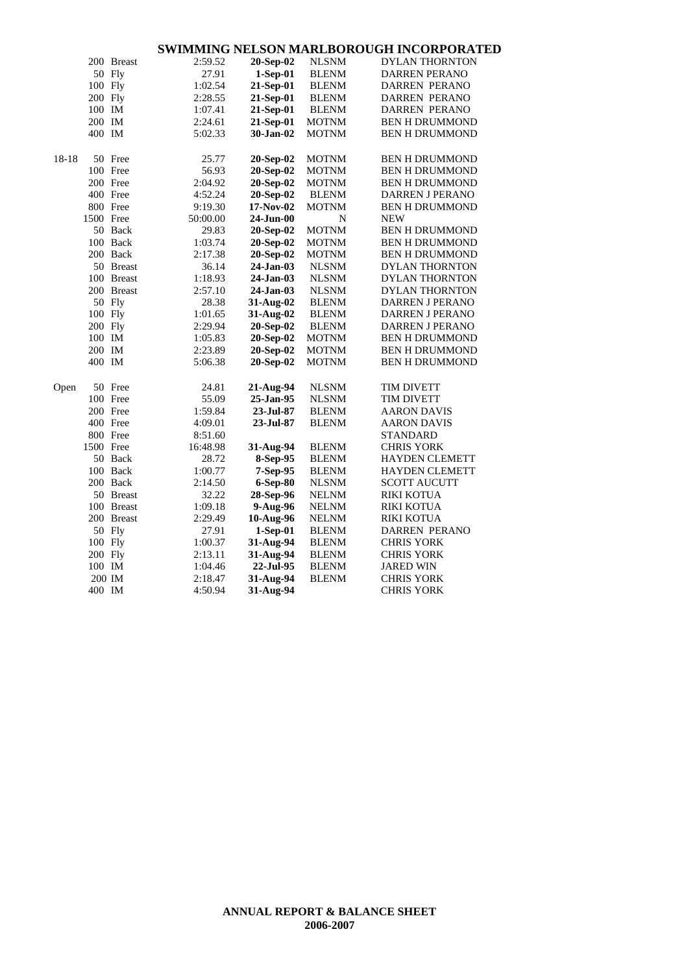|       |           | 200 Breast | 2:59.52  | 20-Sep-02  | <b>NLSNM</b> | <b>DYLAN THORNTON</b> |
|-------|-----------|------------|----------|------------|--------------|-----------------------|
|       |           | 50 Fly     | 27.91    | 1-Sep-01   | <b>BLENM</b> | <b>DARREN PERANO</b>  |
|       | 100 Fly   |            | 1:02.54  | 21-Sep-01  | <b>BLENM</b> | <b>DARREN PERANO</b>  |
|       | 200 Fly   |            | 2:28.55  | 21-Sep-01  | <b>BLENM</b> | <b>DARREN PERANO</b>  |
|       | 100 IM    |            | 1:07.41  | 21-Sep-01  | <b>BLENM</b> | DARREN PERANO         |
|       | 200 IM    |            | 2:24.61  | 21-Sep-01  | <b>MOTNM</b> | <b>BEN H DRUMMOND</b> |
|       | 400 IM    |            | 5:02.33  | 30-Jan-02  | <b>MOTNM</b> | <b>BEN H DRUMMOND</b> |
|       |           |            |          |            |              |                       |
| 18-18 |           | 50 Free    | 25.77    | 20-Sep-02  | MOTNM        | <b>BEN H DRUMMOND</b> |
|       |           | 100 Free   | 56.93    | 20-Sep-02  | <b>MOTNM</b> | <b>BEN H DRUMMOND</b> |
|       |           | 200 Free   | 2:04.92  | 20-Sep-02  | <b>MOTNM</b> | <b>BEN H DRUMMOND</b> |
|       |           | 400 Free   | 4:52.24  | 20-Sep-02  | <b>BLENM</b> | DARREN J PERANO       |
|       |           | 800 Free   | 9:19.30  | 17-Nov-02  | MOTNM        | <b>BEN H DRUMMOND</b> |
|       | 1500 Free |            | 50:00.00 | 24-Jun-00  | N            | <b>NEW</b>            |
|       |           | 50 Back    | 29.83    | 20-Sep-02  | <b>MOTNM</b> | <b>BEN H DRUMMOND</b> |
|       |           | 100 Back   | 1:03.74  | 20-Sep-02  | <b>MOTNM</b> | <b>BEN H DRUMMOND</b> |
|       |           | 200 Back   | 2:17.38  | 20-Sep-02  | <b>MOTNM</b> | <b>BEN H DRUMMOND</b> |
|       |           | 50 Breast  | 36.14    | 24-Jan-03  | <b>NLSNM</b> | <b>DYLAN THORNTON</b> |
|       |           | 100 Breast | 1:18.93  | 24-Jan-03  | <b>NLSNM</b> | <b>DYLAN THORNTON</b> |
|       |           | 200 Breast | 2:57.10  | 24-Jan-03  | <b>NLSNM</b> | DYLAN THORNTON        |
|       |           | 50 Fly     | 28.38    | 31-Aug-02  | <b>BLENM</b> | DARREN J PERANO       |
|       | 100 Fly   |            | 1:01.65  | 31-Aug-02  | <b>BLENM</b> | DARREN J PERANO       |
|       | 200 Fly   |            | 2:29.94  | 20-Sep-02  | <b>BLENM</b> | DARREN J PERANO       |
|       | 100 IM    |            | 1:05.83  | 20-Sep-02  | <b>MOTNM</b> | <b>BEN H DRUMMOND</b> |
|       | 200 IM    |            | 2:23.89  | 20-Sep-02  | MOTNM        | <b>BEN H DRUMMOND</b> |
|       | 400 IM    |            | 5:06.38  | 20-Sep-02  | MOTNM        | <b>BEN H DRUMMOND</b> |
|       |           |            |          |            |              |                       |
| Open  |           | 50 Free    | 24.81    | 21-Aug-94  | <b>NLSNM</b> | <b>TIM DIVETT</b>     |
|       |           | 100 Free   | 55.09    | 25-Jan-95  | <b>NLSNM</b> | <b>TIM DIVETT</b>     |
|       |           | 200 Free   | 1:59.84  | 23-Jul-87  | <b>BLENM</b> | <b>AARON DAVIS</b>    |
|       |           | 400 Free   | 4:09.01  | 23-Jul-87  | <b>BLENM</b> | <b>AARON DAVIS</b>    |
|       |           | 800 Free   | 8:51.60  |            |              | <b>STANDARD</b>       |
|       | 1500 Free |            | 16:48.98 | 31-Aug-94  | <b>BLENM</b> | <b>CHRIS YORK</b>     |
|       |           | 50 Back    | 28.72    | 8-Sep-95   | <b>BLENM</b> | HAYDEN CLEMETT        |
|       |           | 100 Back   | 1:00.77  | 7-Sep-95   | <b>BLENM</b> | <b>HAYDEN CLEMETT</b> |
|       |           | 200 Back   | 2:14.50  | 6-Sep-80   | <b>NLSNM</b> | <b>SCOTT AUCUTT</b>   |
|       |           | 50 Breast  | 32.22    | 28-Sep-96  | <b>NELNM</b> | <b>RIKI KOTUA</b>     |
|       |           | 100 Breast | 1:09.18  | 9-Aug-96   | <b>NELNM</b> | <b>RIKI KOTUA</b>     |
|       |           | 200 Breast | 2:29.49  | 10-Aug-96  | <b>NELNM</b> | <b>RIKI KOTUA</b>     |
|       |           | 50 Fly     | 27.91    | $1-Sep-01$ | <b>BLENM</b> | <b>DARREN PERANO</b>  |
|       | 100 Fly   |            | 1:00.37  | 31-Aug-94  | <b>BLENM</b> | <b>CHRIS YORK</b>     |
|       | 200 Fly   |            | 2:13.11  | 31-Aug-94  | <b>BLENM</b> | <b>CHRIS YORK</b>     |
|       | 100 IM    |            | 1:04.46  | 22-Jul-95  | <b>BLENM</b> | <b>JARED WIN</b>      |
|       |           | 200 IM     | 2:18.47  | 31-Aug-94  | <b>BLENM</b> | <b>CHRIS YORK</b>     |
|       | 400 IM    |            | 4:50.94  | 31-Aug-94  |              | CHRIS YORK            |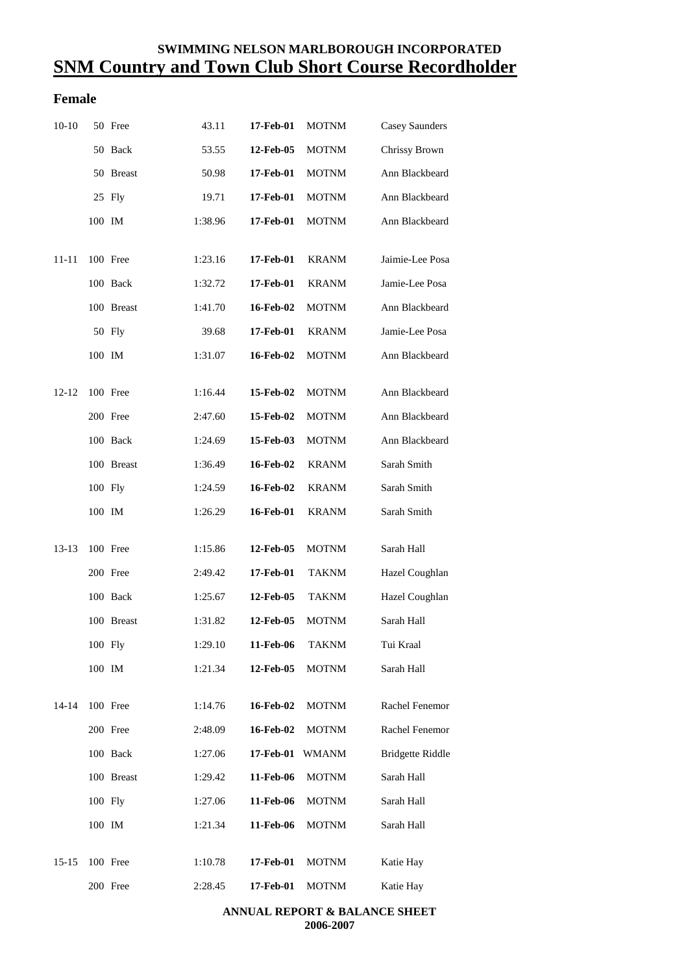### **SWIMMING NELSON MARLBOROUGH INCORPORATED SNM Country and Town Club Short Course Recordholder**

### **Female**

| $10-10$   |         | 50 Free    | 43.11   | 17-Feb-01 | <b>MOTNM</b> | Casey Saunders          |
|-----------|---------|------------|---------|-----------|--------------|-------------------------|
|           |         | 50 Back    | 53.55   | 12-Feb-05 | <b>MOTNM</b> | Chrissy Brown           |
|           |         | 50 Breast  | 50.98   | 17-Feb-01 | <b>MOTNM</b> | Ann Blackbeard          |
|           |         | 25 Fly     | 19.71   | 17-Feb-01 | <b>MOTNM</b> | Ann Blackbeard          |
|           | 100 IM  |            | 1:38.96 | 17-Feb-01 | <b>MOTNM</b> | Ann Blackbeard          |
|           |         |            |         |           |              |                         |
| 11-11     |         | 100 Free   | 1:23.16 | 17-Feb-01 | <b>KRANM</b> | Jaimie-Lee Posa         |
|           |         | 100 Back   | 1:32.72 | 17-Feb-01 | <b>KRANM</b> | Jamie-Lee Posa          |
|           |         | 100 Breast | 1:41.70 | 16-Feb-02 | <b>MOTNM</b> | Ann Blackbeard          |
|           |         | 50 Fly     | 39.68   | 17-Feb-01 | <b>KRANM</b> | Jamie-Lee Posa          |
|           | 100 IM  |            | 1:31.07 | 16-Feb-02 | <b>MOTNM</b> | Ann Blackbeard          |
| $12 - 12$ |         | 100 Free   | 1:16.44 | 15-Feb-02 | <b>MOTNM</b> | Ann Blackbeard          |
|           |         | 200 Free   | 2:47.60 | 15-Feb-02 | <b>MOTNM</b> | Ann Blackbeard          |
|           |         | 100 Back   | 1:24.69 | 15-Feb-03 | <b>MOTNM</b> | Ann Blackbeard          |
|           |         | 100 Breast | 1:36.49 | 16-Feb-02 | <b>KRANM</b> | Sarah Smith             |
|           | 100 Fly |            | 1:24.59 | 16-Feb-02 | <b>KRANM</b> | Sarah Smith             |
|           | 100 IM  |            | 1:26.29 | 16-Feb-01 | <b>KRANM</b> | Sarah Smith             |
| 13-13     |         | 100 Free   | 1:15.86 | 12-Feb-05 | <b>MOTNM</b> | Sarah Hall              |
|           |         |            |         |           |              |                         |
|           |         | 200 Free   | 2:49.42 | 17-Feb-01 | <b>TAKNM</b> | Hazel Coughlan          |
|           |         | 100 Back   | 1:25.67 | 12-Feb-05 | <b>TAKNM</b> | Hazel Coughlan          |
|           |         | 100 Breast | 1:31.82 | 12-Feb-05 | <b>MOTNM</b> | Sarah Hall              |
|           | 100 Fly |            | 1:29.10 | 11-Feb-06 | TAKNM        | Tui Kraal               |
|           | 100 IM  |            | 1:21.34 | 12-Feb-05 | <b>MOTNM</b> | Sarah Hall              |
| $14 - 14$ |         | 100 Free   | 1:14.76 | 16-Feb-02 | <b>MOTNM</b> | Rachel Fenemor          |
|           |         | 200 Free   | 2:48.09 | 16-Feb-02 | <b>MOTNM</b> | Rachel Fenemor          |
|           |         | 100 Back   | 1:27.06 | 17-Feb-01 | <b>WMANM</b> | <b>Bridgette Riddle</b> |
|           |         | 100 Breast | 1:29.42 | 11-Feb-06 | <b>MOTNM</b> | Sarah Hall              |
|           | 100 Fly |            | 1:27.06 | 11-Feb-06 | <b>MOTNM</b> | Sarah Hall              |
|           | 100 IM  |            | 1:21.34 | 11-Feb-06 | <b>MOTNM</b> | Sarah Hall              |
| $15 - 15$ |         | 100 Free   | 1:10.78 | 17-Feb-01 | <b>MOTNM</b> | Katie Hay               |
|           |         | 200 Free   | 2:28.45 | 17-Feb-01 | <b>MOTNM</b> | Katie Hay               |
|           |         |            |         |           |              |                         |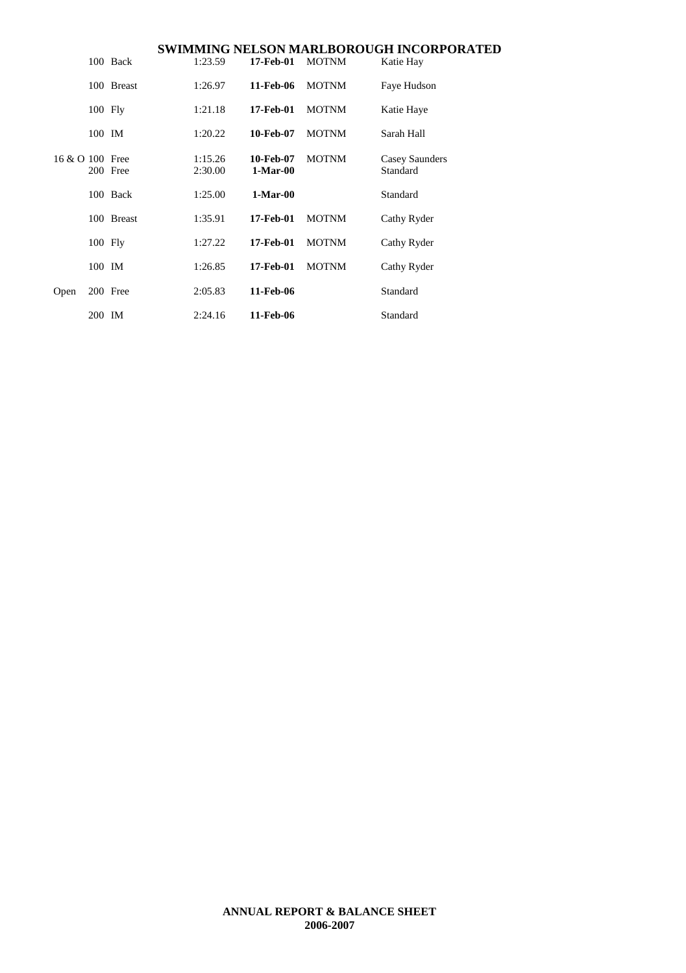|                 |           |            |                    |                         |              | SWIMMING NELSON MARLBOROUGH INCORPORATED |
|-----------------|-----------|------------|--------------------|-------------------------|--------------|------------------------------------------|
|                 |           | 100 Back   | 1:23.59            | 17-Feb-01               | <b>MOTNM</b> | Katie Hay                                |
| 16 & O 100 Free |           | 100 Breast | 1:26.97            | 11-Feb-06               | <b>MOTNM</b> | Faye Hudson                              |
|                 | $100$ Fly |            | 1:21.18            | 17-Feb-01               | <b>MOTNM</b> | Katie Haye                               |
|                 | 100 IM    |            | 1:20.22            | 10-Feb-07               | <b>MOTNM</b> | Sarah Hall                               |
|                 |           | 200 Free   | 1:15.26<br>2:30.00 | 10-Feb-07<br>$1-Mar-00$ | <b>MOTNM</b> | Casey Saunders<br>Standard               |
|                 |           | 100 Back   | 1:25.00            | $1-Mar-00$              |              | Standard                                 |
|                 |           | 100 Breast | 1:35.91            | 17-Feb-01               | <b>MOTNM</b> | Cathy Ryder                              |
|                 | $100$ Fly |            | 1:27.22            | 17-Feb-01               | <b>MOTNM</b> | Cathy Ryder                              |
| Open            | 100 IM    |            | 1:26.85            | 17-Feb-01               | <b>MOTNM</b> | Cathy Ryder                              |
|                 |           | 200 Free   | 2:05.83            | 11-Feb-06               |              | Standard                                 |
|                 | 200 IM    |            | 2:24.16            | 11-Feb-06               |              | Standard                                 |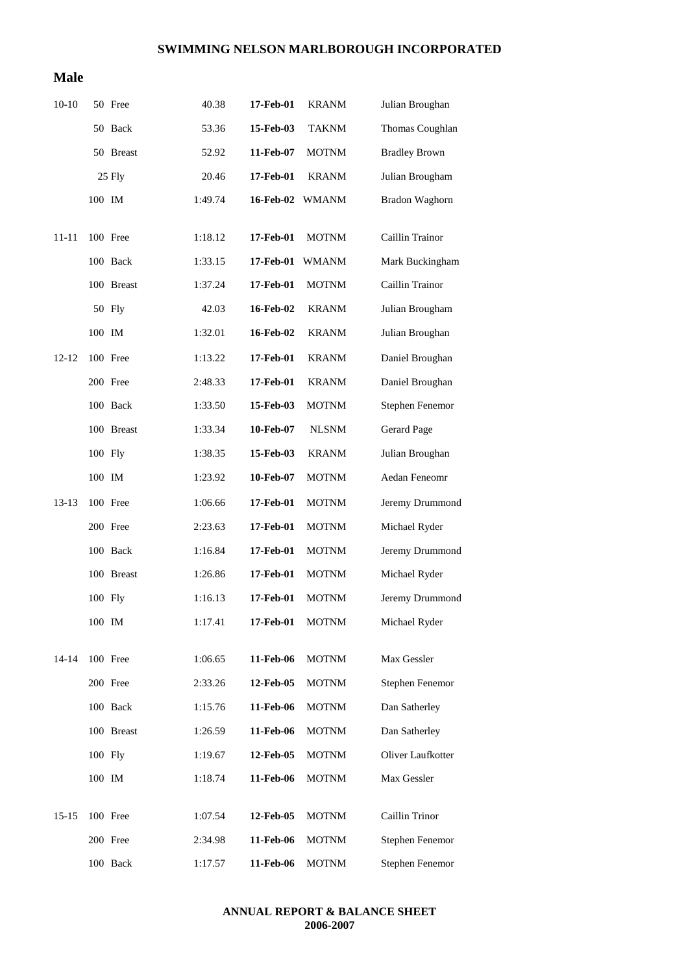#### **Male**

| $10-10$   |         | 50 Free    | 40.38   | 17-Feb-01 | <b>KRANM</b> | Julian Broughan      |
|-----------|---------|------------|---------|-----------|--------------|----------------------|
|           |         | 50 Back    | 53.36   | 15-Feb-03 | <b>TAKNM</b> | Thomas Coughlan      |
|           |         | 50 Breast  | 52.92   | 11-Feb-07 | <b>MOTNM</b> | <b>Bradley Brown</b> |
|           |         | 25 Fly     | 20.46   | 17-Feb-01 | <b>KRANM</b> | Julian Brougham      |
|           | 100 IM  |            | 1:49.74 | 16-Feb-02 | <b>WMANM</b> | Bradon Waghorn       |
| $11 - 11$ |         | 100 Free   | 1:18.12 | 17-Feb-01 | <b>MOTNM</b> | Caillin Trainor      |
|           |         | 100 Back   | 1:33.15 | 17-Feb-01 | <b>WMANM</b> | Mark Buckingham      |
|           |         | 100 Breast |         |           |              | Caillin Trainor      |
|           |         |            | 1:37.24 | 17-Feb-01 | <b>MOTNM</b> |                      |
|           |         | 50 Fly     | 42.03   | 16-Feb-02 | <b>KRANM</b> | Julian Brougham      |
|           | 100 IM  |            | 1:32.01 | 16-Feb-02 | <b>KRANM</b> | Julian Broughan      |
| $12 - 12$ |         | 100 Free   | 1:13.22 | 17-Feb-01 | <b>KRANM</b> | Daniel Broughan      |
|           |         | 200 Free   | 2:48.33 | 17-Feb-01 | <b>KRANM</b> | Daniel Broughan      |
|           |         | 100 Back   | 1:33.50 | 15-Feb-03 | <b>MOTNM</b> | Stephen Fenemor      |
|           |         | 100 Breast | 1:33.34 | 10-Feb-07 | <b>NLSNM</b> | Gerard Page          |
|           | 100 Fly |            | 1:38.35 | 15-Feb-03 | <b>KRANM</b> | Julian Broughan      |
|           | 100 IM  |            | 1:23.92 | 10-Feb-07 | <b>MOTNM</b> | Aedan Feneomr        |
| $13-13$   |         | 100 Free   | 1:06.66 | 17-Feb-01 | <b>MOTNM</b> | Jeremy Drummond      |
|           |         | 200 Free   | 2:23.63 | 17-Feb-01 | <b>MOTNM</b> | Michael Ryder        |
|           |         | 100 Back   | 1:16.84 | 17-Feb-01 | <b>MOTNM</b> | Jeremy Drummond      |
|           |         | 100 Breast | 1:26.86 | 17-Feb-01 | <b>MOTNM</b> | Michael Ryder        |
|           | 100 Fly |            | 1:16.13 | 17-Feb-01 | <b>MOTNM</b> | Jeremy Drummond      |
|           | 100 IM  |            | 1:17.41 | 17-Feb-01 | <b>MOTNM</b> | Michael Ryder        |
| 14-14     |         | 100 Free   | 1:06.65 | 11-Feb-06 | <b>MOTNM</b> | Max Gessler          |
|           |         | 200 Free   | 2:33.26 | 12-Feb-05 | <b>MOTNM</b> | Stephen Fenemor      |
|           |         |            |         |           |              |                      |
|           |         | 100 Back   | 1:15.76 | 11-Feb-06 | <b>MOTNM</b> | Dan Satherley        |
|           |         | 100 Breast | 1:26.59 | 11-Feb-06 | <b>MOTNM</b> | Dan Satherley        |
|           | 100 Fly |            | 1:19.67 | 12-Feb-05 | <b>MOTNM</b> | Oliver Laufkotter    |
|           | 100 IM  |            | 1:18.74 | 11-Feb-06 | <b>MOTNM</b> | Max Gessler          |
| 15-15     |         | 100 Free   | 1:07.54 | 12-Feb-05 | <b>MOTNM</b> | Caillin Trinor       |
|           |         | 200 Free   | 2:34.98 | 11-Feb-06 | <b>MOTNM</b> | Stephen Fenemor      |
|           |         | 100 Back   | 1:17.57 | 11-Feb-06 | <b>MOTNM</b> | Stephen Fenemor      |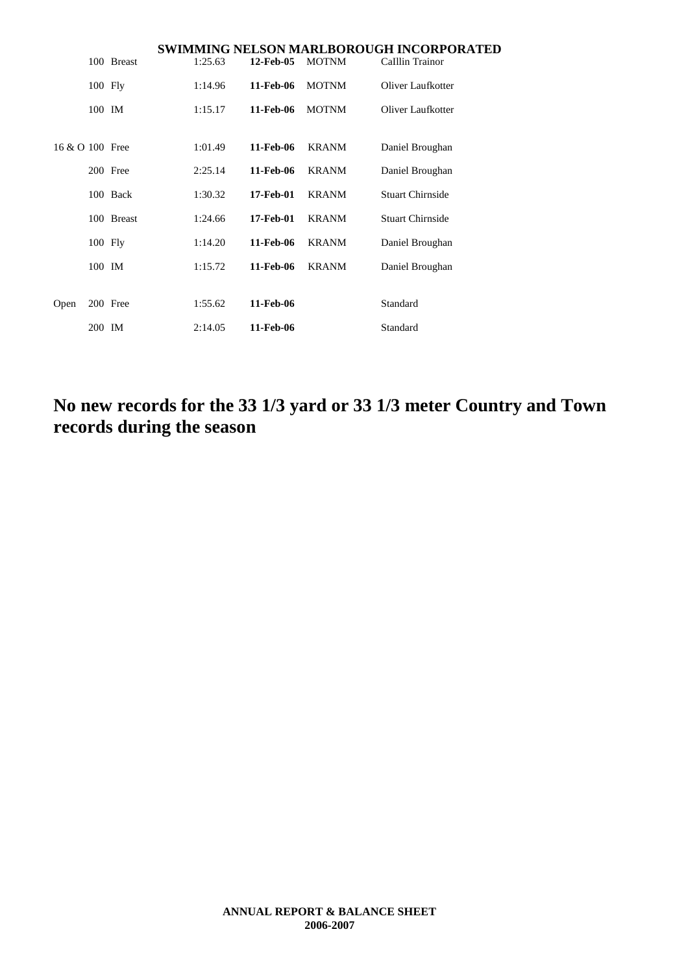|                 |           |            |         |           |              | SWIMMING NELSON MARLBOROUGH INCORPORATED |
|-----------------|-----------|------------|---------|-----------|--------------|------------------------------------------|
|                 |           | 100 Breast | 1:25.63 | 12-Feb-05 | <b>MOTNM</b> | Calllin Trainor                          |
|                 | $100$ Fly |            | 1:14.96 | 11-Feb-06 | <b>MOTNM</b> | Oliver Laufkotter                        |
|                 | 100 IM    |            | 1:15.17 | 11-Feb-06 | <b>MOTNM</b> | Oliver Laufkotter                        |
|                 |           |            |         |           |              |                                          |
| 16 & O 100 Free |           |            | 1:01.49 | 11-Feb-06 | <b>KRANM</b> | Daniel Broughan                          |
|                 |           | 200 Free   | 2:25.14 | 11-Feb-06 | <b>KRANM</b> | Daniel Broughan                          |
|                 |           | 100 Back   | 1:30.32 | 17-Feb-01 | <b>KRANM</b> | <b>Stuart Chirnside</b>                  |
|                 |           | 100 Breast | 1:24.66 | 17-Feb-01 | <b>KRANM</b> | <b>Stuart Chirnside</b>                  |
|                 | $100$ Fly |            | 1:14.20 | 11-Feb-06 | <b>KRANM</b> | Daniel Broughan                          |
|                 | 100 IM    |            | 1:15.72 | 11-Feb-06 | <b>KRANM</b> | Daniel Broughan                          |
|                 |           |            |         |           |              |                                          |
| Open            |           | 200 Free   | 1:55.62 | 11-Feb-06 |              | Standard                                 |
|                 | 200 IM    |            | 2:14.05 | 11-Feb-06 |              | Standard                                 |

**No new records for the 33 1/3 yard or 33 1/3 meter Country and Town records during the season**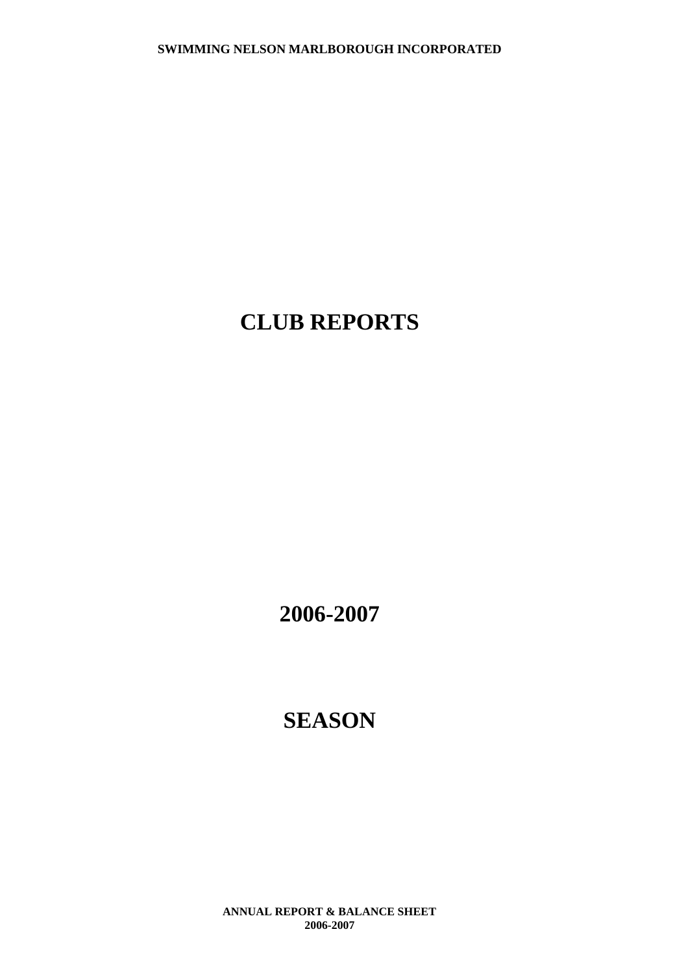# **CLUB REPORTS**

**2006-2007**

# **SEASON**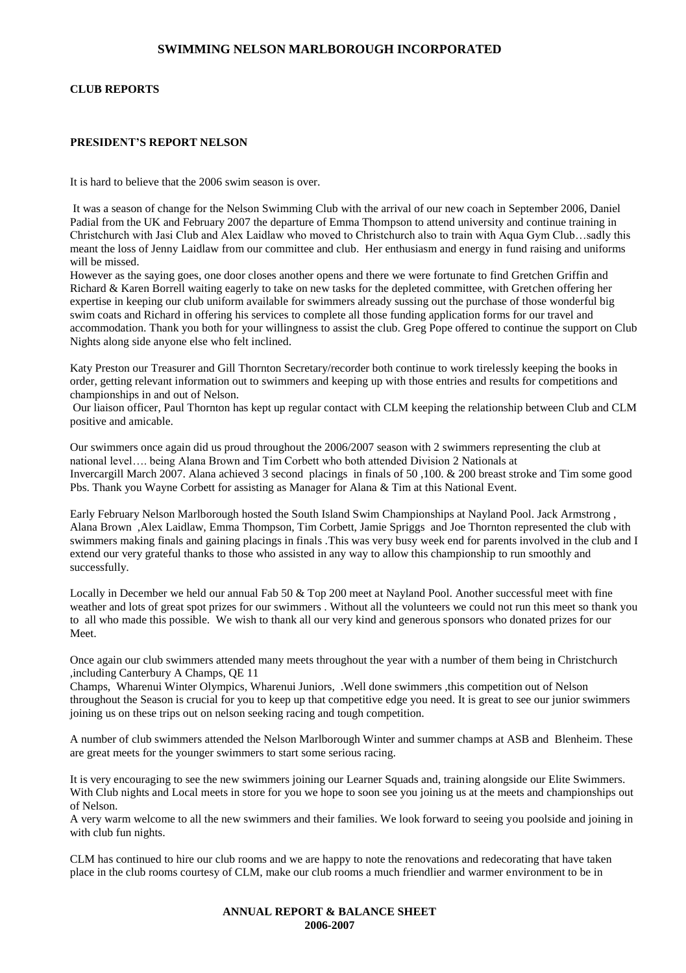#### **CLUB REPORTS**

#### **PRESIDENT'S REPORT NELSON**

It is hard to believe that the 2006 swim season is over.

It was a season of change for the Nelson Swimming Club with the arrival of our new coach in September 2006, Daniel Padial from the UK and February 2007 the departure of Emma Thompson to attend university and continue training in Christchurch with Jasi Club and Alex Laidlaw who moved to Christchurch also to train with Aqua Gym Club…sadly this meant the loss of Jenny Laidlaw from our committee and club. Her enthusiasm and energy in fund raising and uniforms will be missed.

However as the saying goes, one door closes another opens and there we were fortunate to find Gretchen Griffin and Richard & Karen Borrell waiting eagerly to take on new tasks for the depleted committee, with Gretchen offering her expertise in keeping our club uniform available for swimmers already sussing out the purchase of those wonderful big swim coats and Richard in offering his services to complete all those funding application forms for our travel and accommodation. Thank you both for your willingness to assist the club. Greg Pope offered to continue the support on Club Nights along side anyone else who felt inclined.

Katy Preston our Treasurer and Gill Thornton Secretary/recorder both continue to work tirelessly keeping the books in order, getting relevant information out to swimmers and keeping up with those entries and results for competitions and championships in and out of Nelson.

Our liaison officer, Paul Thornton has kept up regular contact with CLM keeping the relationship between Club and CLM positive and amicable.

Our swimmers once again did us proud throughout the 2006/2007 season with 2 swimmers representing the club at national level…. being Alana Brown and Tim Corbett who both attended Division 2 Nationals at Invercargill March 2007. Alana achieved 3 second placings in finals of 50 ,100. & 200 breast stroke and Tim some good Pbs. Thank you Wayne Corbett for assisting as Manager for Alana & Tim at this National Event.

Early February Nelson Marlborough hosted the South Island Swim Championships at Nayland Pool. Jack Armstrong , Alana Brown ,Alex Laidlaw, Emma Thompson, Tim Corbett, Jamie Spriggs and Joe Thornton represented the club with swimmers making finals and gaining placings in finals .This was very busy week end for parents involved in the club and I extend our very grateful thanks to those who assisted in any way to allow this championship to run smoothly and successfully.

Locally in December we held our annual Fab 50 & Top 200 meet at Nayland Pool. Another successful meet with fine weather and lots of great spot prizes for our swimmers . Without all the volunteers we could not run this meet so thank you to all who made this possible. We wish to thank all our very kind and generous sponsors who donated prizes for our Meet.

Once again our club swimmers attended many meets throughout the year with a number of them being in Christchurch ,including Canterbury A Champs, QE 11

Champs, Wharenui Winter Olympics, Wharenui Juniors, .Well done swimmers ,this competition out of Nelson throughout the Season is crucial for you to keep up that competitive edge you need. It is great to see our junior swimmers joining us on these trips out on nelson seeking racing and tough competition.

A number of club swimmers attended the Nelson Marlborough Winter and summer champs at ASB and Blenheim. These are great meets for the younger swimmers to start some serious racing.

It is very encouraging to see the new swimmers joining our Learner Squads and, training alongside our Elite Swimmers. With Club nights and Local meets in store for you we hope to soon see you joining us at the meets and championships out of Nelson.

A very warm welcome to all the new swimmers and their families. We look forward to seeing you poolside and joining in with club fun nights.

CLM has continued to hire our club rooms and we are happy to note the renovations and redecorating that have taken place in the club rooms courtesy of CLM, make our club rooms a much friendlier and warmer environment to be in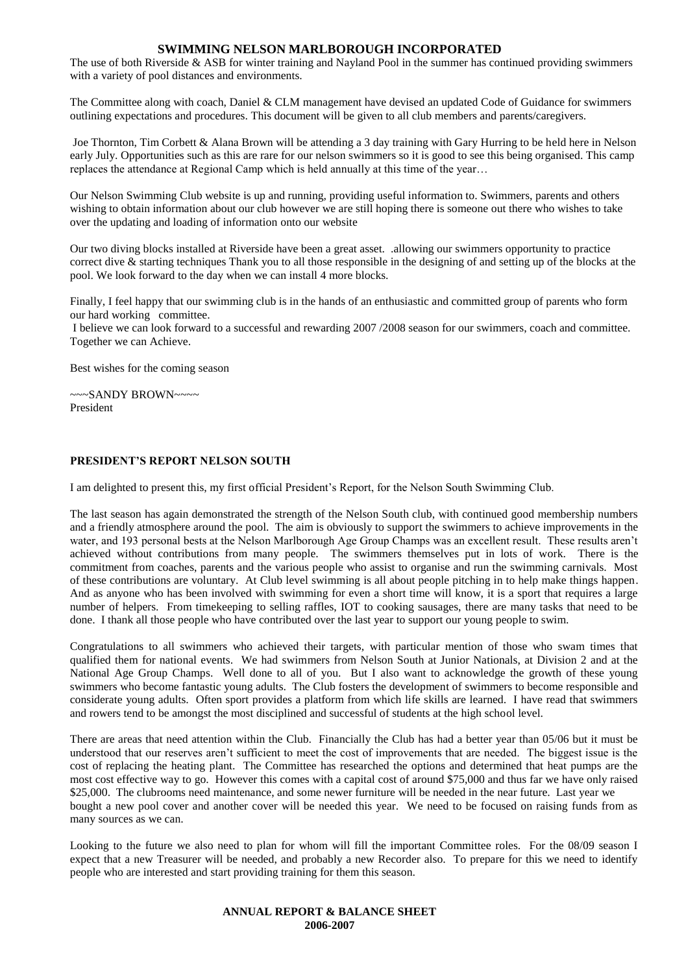The use of both Riverside & ASB for winter training and Nayland Pool in the summer has continued providing swimmers with a variety of pool distances and environments.

The Committee along with coach, Daniel & CLM management have devised an updated Code of Guidance for swimmers outlining expectations and procedures. This document will be given to all club members and parents/caregivers.

Joe Thornton, Tim Corbett & Alana Brown will be attending a 3 day training with Gary Hurring to be held here in Nelson early July. Opportunities such as this are rare for our nelson swimmers so it is good to see this being organised. This camp replaces the attendance at Regional Camp which is held annually at this time of the year…

Our Nelson Swimming Club website is up and running, providing useful information to. Swimmers, parents and others wishing to obtain information about our club however we are still hoping there is someone out there who wishes to take over the updating and loading of information onto our website

Our two diving blocks installed at Riverside have been a great asset. .allowing our swimmers opportunity to practice correct dive & starting techniques Thank you to all those responsible in the designing of and setting up of the blocks at the pool. We look forward to the day when we can install 4 more blocks.

Finally, I feel happy that our swimming club is in the hands of an enthusiastic and committed group of parents who form our hard working committee.

I believe we can look forward to a successful and rewarding 2007 /2008 season for our swimmers, coach and committee. Together we can Achieve.

Best wishes for the coming season

~~~SANDY BROWN~~~~ President

#### **PRESIDENT'S REPORT NELSON SOUTH**

I am delighted to present this, my first official President's Report, for the Nelson South Swimming Club.

The last season has again demonstrated the strength of the Nelson South club, with continued good membership numbers and a friendly atmosphere around the pool. The aim is obviously to support the swimmers to achieve improvements in the water, and 193 personal bests at the Nelson Marlborough Age Group Champs was an excellent result. These results aren't achieved without contributions from many people. The swimmers themselves put in lots of work. There is the commitment from coaches, parents and the various people who assist to organise and run the swimming carnivals. Most of these contributions are voluntary. At Club level swimming is all about people pitching in to help make things happen. And as anyone who has been involved with swimming for even a short time will know, it is a sport that requires a large number of helpers. From timekeeping to selling raffles, IOT to cooking sausages, there are many tasks that need to be done. I thank all those people who have contributed over the last year to support our young people to swim.

Congratulations to all swimmers who achieved their targets, with particular mention of those who swam times that qualified them for national events. We had swimmers from Nelson South at Junior Nationals, at Division 2 and at the National Age Group Champs. Well done to all of you. But I also want to acknowledge the growth of these young swimmers who become fantastic young adults. The Club fosters the development of swimmers to become responsible and considerate young adults. Often sport provides a platform from which life skills are learned. I have read that swimmers and rowers tend to be amongst the most disciplined and successful of students at the high school level.

There are areas that need attention within the Club. Financially the Club has had a better year than 05/06 but it must be understood that our reserves aren't sufficient to meet the cost of improvements that are needed. The biggest issue is the cost of replacing the heating plant. The Committee has researched the options and determined that heat pumps are the most cost effective way to go. However this comes with a capital cost of around \$75,000 and thus far we have only raised \$25,000. The clubrooms need maintenance, and some newer furniture will be needed in the near future. Last year we bought a new pool cover and another cover will be needed this year. We need to be focused on raising funds from as many sources as we can.

Looking to the future we also need to plan for whom will fill the important Committee roles. For the 08/09 season I expect that a new Treasurer will be needed, and probably a new Recorder also. To prepare for this we need to identify people who are interested and start providing training for them this season.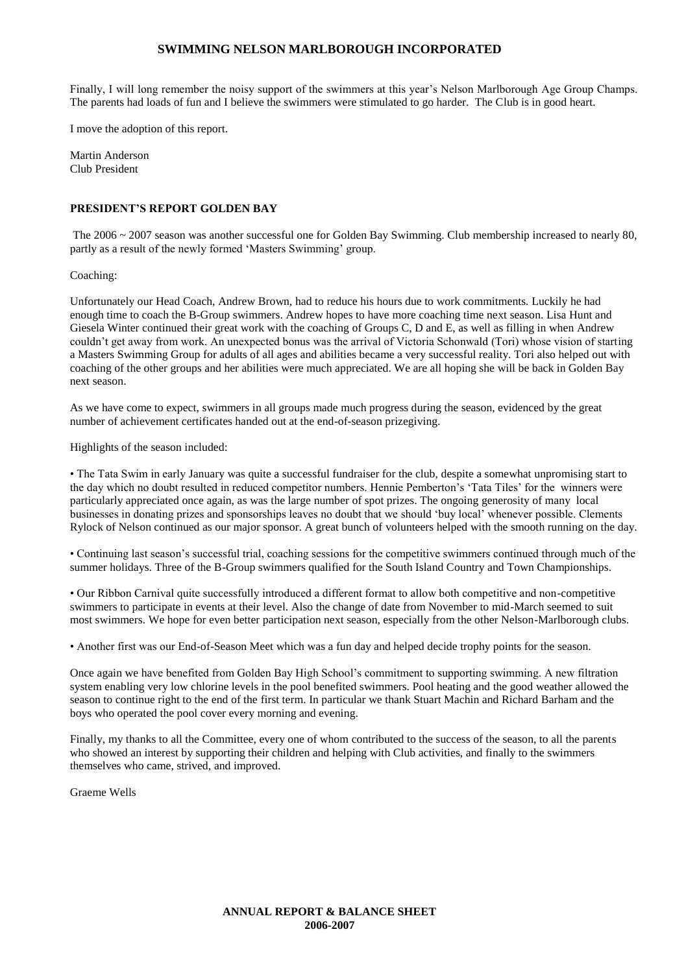Finally, I will long remember the noisy support of the swimmers at this year's Nelson Marlborough Age Group Champs. The parents had loads of fun and I believe the swimmers were stimulated to go harder. The Club is in good heart.

I move the adoption of this report.

Martin Anderson Club President

#### **PRESIDENT'S REPORT GOLDEN BAY**

The 2006 ~ 2007 season was another successful one for Golden Bay Swimming. Club membership increased to nearly 80, partly as a result of the newly formed 'Masters Swimming' group.

Coaching:

Unfortunately our Head Coach, Andrew Brown, had to reduce his hours due to work commitments. Luckily he had enough time to coach the B-Group swimmers. Andrew hopes to have more coaching time next season. Lisa Hunt and Giesela Winter continued their great work with the coaching of Groups C, D and E, as well as filling in when Andrew couldn't get away from work. An unexpected bonus was the arrival of Victoria Schonwald (Tori) whose vision of starting a Masters Swimming Group for adults of all ages and abilities became a very successful reality. Tori also helped out with coaching of the other groups and her abilities were much appreciated. We are all hoping she will be back in Golden Bay next season.

As we have come to expect, swimmers in all groups made much progress during the season, evidenced by the great number of achievement certificates handed out at the end-of-season prizegiving.

Highlights of the season included:

• The Tata Swim in early January was quite a successful fundraiser for the club, despite a somewhat unpromising start to the day which no doubt resulted in reduced competitor numbers. Hennie Pemberton's 'Tata Tiles' for the winners were particularly appreciated once again, as was the large number of spot prizes. The ongoing generosity of many local businesses in donating prizes and sponsorships leaves no doubt that we should 'buy local' whenever possible. Clements Rylock of Nelson continued as our major sponsor. A great bunch of volunteers helped with the smooth running on the day.

• Continuing last season's successful trial, coaching sessions for the competitive swimmers continued through much of the summer holidays. Three of the B-Group swimmers qualified for the South Island Country and Town Championships.

• Our Ribbon Carnival quite successfully introduced a different format to allow both competitive and non-competitive swimmers to participate in events at their level. Also the change of date from November to mid-March seemed to suit most swimmers. We hope for even better participation next season, especially from the other Nelson-Marlborough clubs.

• Another first was our End-of-Season Meet which was a fun day and helped decide trophy points for the season.

Once again we have benefited from Golden Bay High School's commitment to supporting swimming. A new filtration system enabling very low chlorine levels in the pool benefited swimmers. Pool heating and the good weather allowed the season to continue right to the end of the first term. In particular we thank Stuart Machin and Richard Barham and the boys who operated the pool cover every morning and evening.

Finally, my thanks to all the Committee, every one of whom contributed to the success of the season, to all the parents who showed an interest by supporting their children and helping with Club activities, and finally to the swimmers themselves who came, strived, and improved.

Graeme Wells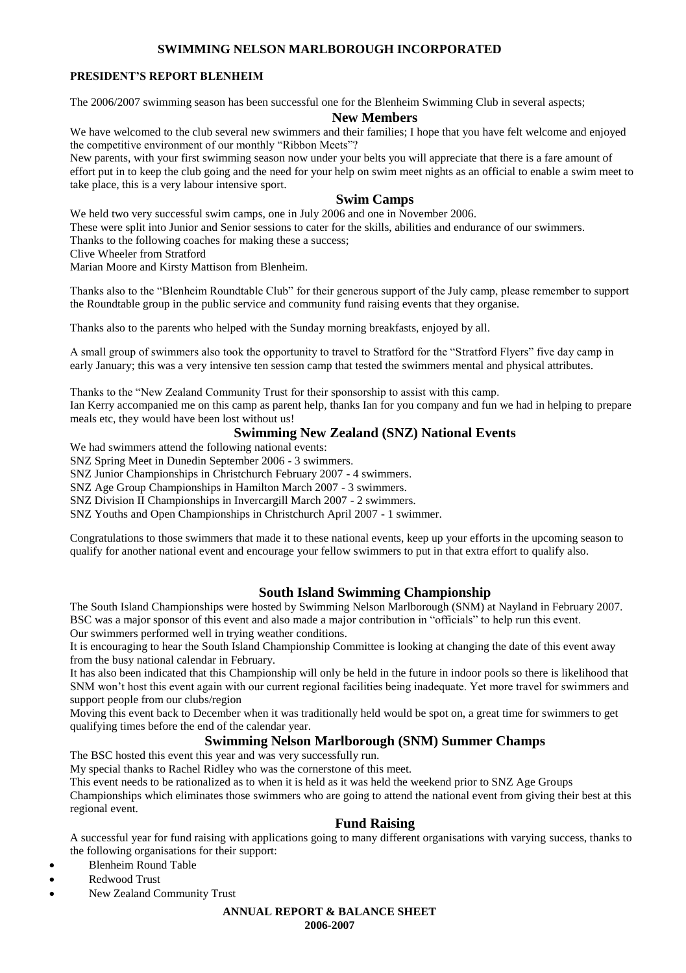#### **PRESIDENT'S REPORT BLENHEIM**

The 2006/2007 swimming season has been successful one for the Blenheim Swimming Club in several aspects;

#### **New Members**

We have welcomed to the club several new swimmers and their families; I hope that you have felt welcome and enjoyed the competitive environment of our monthly "Ribbon Meets"?

New parents, with your first swimming season now under your belts you will appreciate that there is a fare amount of effort put in to keep the club going and the need for your help on swim meet nights as an official to enable a swim meet to take place, this is a very labour intensive sport.

#### **Swim Camps**

We held two very successful swim camps, one in July 2006 and one in November 2006.

These were split into Junior and Senior sessions to cater for the skills, abilities and endurance of our swimmers.

Thanks to the following coaches for making these a success;

Clive Wheeler from Stratford

Marian Moore and Kirsty Mattison from Blenheim.

Thanks also to the "Blenheim Roundtable Club" for their generous support of the July camp, please remember to support the Roundtable group in the public service and community fund raising events that they organise.

Thanks also to the parents who helped with the Sunday morning breakfasts, enjoyed by all.

A small group of swimmers also took the opportunity to travel to Stratford for the "Stratford Flyers" five day camp in early January; this was a very intensive ten session camp that tested the swimmers mental and physical attributes.

Thanks to the "New Zealand Community Trust for their sponsorship to assist with this camp. Ian Kerry accompanied me on this camp as parent help, thanks Ian for you company and fun we had in helping to prepare meals etc, they would have been lost without us!

#### **Swimming New Zealand (SNZ) National Events**

We had swimmers attend the following national events:

SNZ Spring Meet in Dunedin September 2006 - 3 swimmers.

SNZ Junior Championships in Christchurch February 2007 - 4 swimmers.

SNZ Age Group Championships in Hamilton March 2007 - 3 swimmers.

SNZ Division II Championships in Invercargill March 2007 - 2 swimmers.

SNZ Youths and Open Championships in Christchurch April 2007 - 1 swimmer.

Congratulations to those swimmers that made it to these national events, keep up your efforts in the upcoming season to qualify for another national event and encourage your fellow swimmers to put in that extra effort to qualify also.

#### **South Island Swimming Championship**

The South Island Championships were hosted by Swimming Nelson Marlborough (SNM) at Nayland in February 2007. BSC was a major sponsor of this event and also made a major contribution in "officials" to help run this event.

Our swimmers performed well in trying weather conditions.

It is encouraging to hear the South Island Championship Committee is looking at changing the date of this event away from the busy national calendar in February.

It has also been indicated that this Championship will only be held in the future in indoor pools so there is likelihood that SNM won't host this event again with our current regional facilities being inadequate. Yet more travel for swimmers and support people from our clubs/region

Moving this event back to December when it was traditionally held would be spot on, a great time for swimmers to get qualifying times before the end of the calendar year.

#### **Swimming Nelson Marlborough (SNM) Summer Champs**

The BSC hosted this event this year and was very successfully run.

My special thanks to Rachel Ridley who was the cornerstone of this meet.

This event needs to be rationalized as to when it is held as it was held the weekend prior to SNZ Age Groups

Championships which eliminates those swimmers who are going to attend the national event from giving their best at this regional event.

#### **Fund Raising**

A successful year for fund raising with applications going to many different organisations with varying success, thanks to the following organisations for their support:

- Blenheim Round Table
- Redwood Trust
- New Zealand Community Trust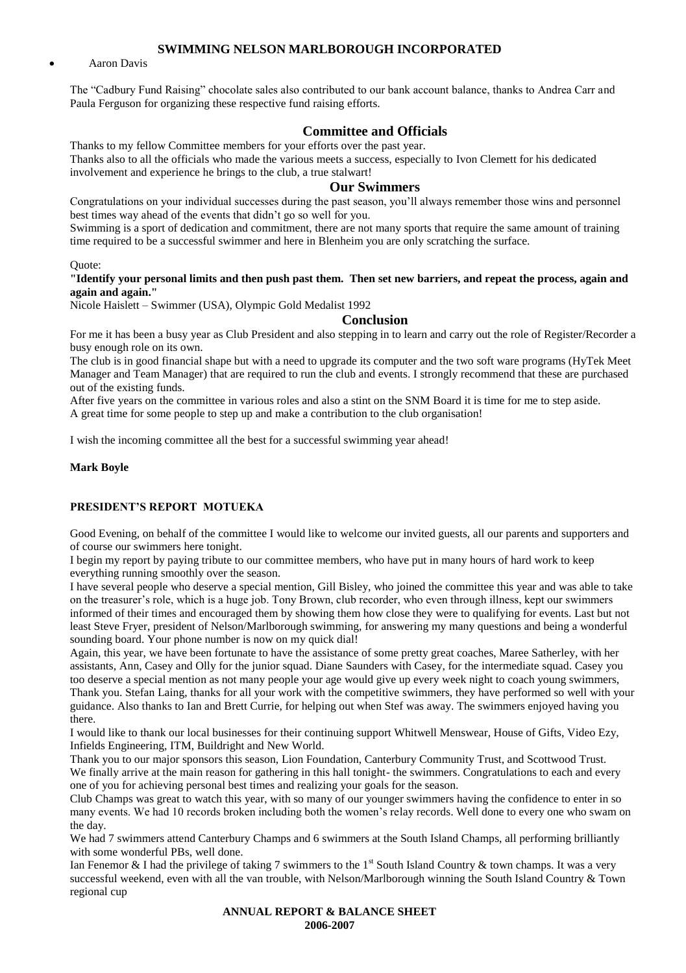Aaron Davis

The "Cadbury Fund Raising" chocolate sales also contributed to our bank account balance, thanks to Andrea Carr and Paula Ferguson for organizing these respective fund raising efforts.

#### **Committee and Officials**

Thanks to my fellow Committee members for your efforts over the past year. Thanks also to all the officials who made the various meets a success, especially to Ivon Clemett for his dedicated involvement and experience he brings to the club, a true stalwart!

#### **Our Swimmers**

Congratulations on your individual successes during the past season, you'll always remember those wins and personnel best times way ahead of the events that didn't go so well for you.

Swimming is a sport of dedication and commitment, there are not many sports that require the same amount of training time required to be a successful swimmer and here in Blenheim you are only scratching the surface.

Quote:

#### **"Identify your personal limits and then push past them. Then set new barriers, and repeat the process, again and again and again."**

Nicole Haislett – Swimmer (USA), Olympic Gold Medalist 1992

#### **Conclusion**

For me it has been a busy year as Club President and also stepping in to learn and carry out the role of Register/Recorder a busy enough role on its own.

The club is in good financial shape but with a need to upgrade its computer and the two soft ware programs (HyTek Meet Manager and Team Manager) that are required to run the club and events. I strongly recommend that these are purchased out of the existing funds.

After five years on the committee in various roles and also a stint on the SNM Board it is time for me to step aside. A great time for some people to step up and make a contribution to the club organisation!

I wish the incoming committee all the best for a successful swimming year ahead!

#### **Mark Boyle**

#### **PRESIDENT'S REPORT MOTUEKA**

Good Evening, on behalf of the committee I would like to welcome our invited guests, all our parents and supporters and of course our swimmers here tonight.

I begin my report by paying tribute to our committee members, who have put in many hours of hard work to keep everything running smoothly over the season.

I have several people who deserve a special mention, Gill Bisley, who joined the committee this year and was able to take on the treasurer's role, which is a huge job. Tony Brown, club recorder, who even through illness, kept our swimmers informed of their times and encouraged them by showing them how close they were to qualifying for events. Last but not least Steve Fryer, president of Nelson/Marlborough swimming, for answering my many questions and being a wonderful sounding board. Your phone number is now on my quick dial!

Again, this year, we have been fortunate to have the assistance of some pretty great coaches, Maree Satherley, with her assistants, Ann, Casey and Olly for the junior squad. Diane Saunders with Casey, for the intermediate squad. Casey you too deserve a special mention as not many people your age would give up every week night to coach young swimmers, Thank you. Stefan Laing, thanks for all your work with the competitive swimmers, they have performed so well with your guidance. Also thanks to Ian and Brett Currie, for helping out when Stef was away. The swimmers enjoyed having you there.

I would like to thank our local businesses for their continuing support Whitwell Menswear, House of Gifts, Video Ezy, Infields Engineering, ITM, Buildright and New World.

Thank you to our major sponsors this season, Lion Foundation, Canterbury Community Trust, and Scottwood Trust. We finally arrive at the main reason for gathering in this hall tonight- the swimmers. Congratulations to each and every one of you for achieving personal best times and realizing your goals for the season.

Club Champs was great to watch this year, with so many of our younger swimmers having the confidence to enter in so many events. We had 10 records broken including both the women's relay records. Well done to every one who swam on the day.

We had 7 swimmers attend Canterbury Champs and 6 swimmers at the South Island Champs, all performing brilliantly with some wonderful PBs, well done.

Ian Fenemor & I had the privilege of taking 7 swimmers to the 1<sup>st</sup> South Island Country & town champs. It was a very successful weekend, even with all the van trouble, with Nelson/Marlborough winning the South Island Country & Town regional cup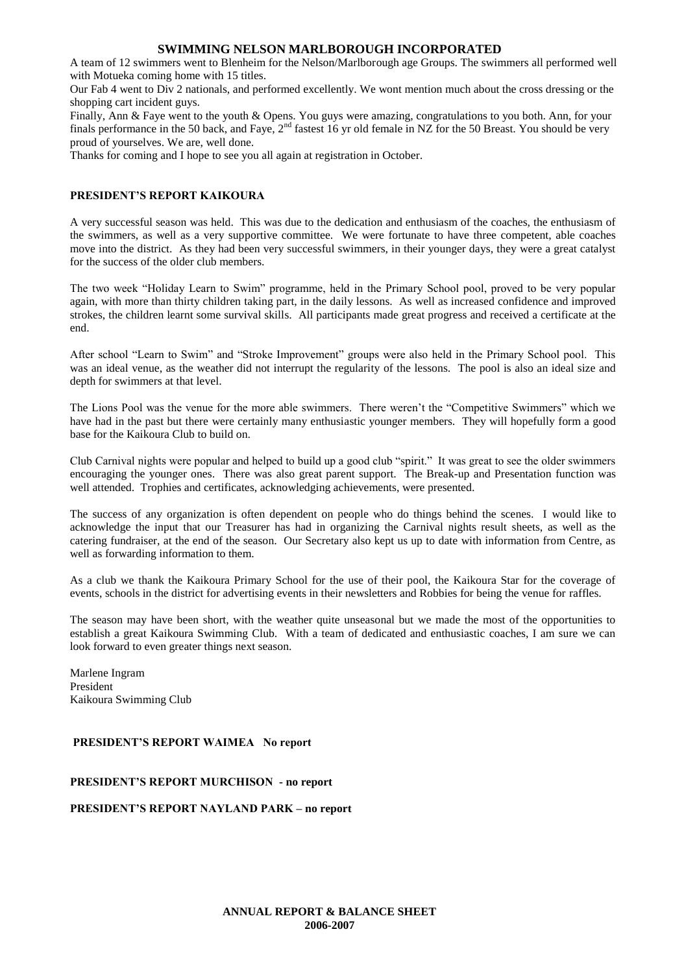A team of 12 swimmers went to Blenheim for the Nelson/Marlborough age Groups. The swimmers all performed well with Motueka coming home with 15 titles.

Our Fab 4 went to Div 2 nationals, and performed excellently. We wont mention much about the cross dressing or the shopping cart incident guys.

Finally, Ann & Faye went to the youth & Opens. You guys were amazing, congratulations to you both. Ann, for your finals performance in the 50 back, and Faye,  $2^{nd}$  fastest 16 yr old female in NZ for the 50 Breast. You should be very proud of yourselves. We are, well done.

Thanks for coming and I hope to see you all again at registration in October.

#### **PRESIDENT'S REPORT KAIKOURA**

A very successful season was held. This was due to the dedication and enthusiasm of the coaches, the enthusiasm of the swimmers, as well as a very supportive committee. We were fortunate to have three competent, able coaches move into the district. As they had been very successful swimmers, in their younger days, they were a great catalyst for the success of the older club members.

The two week "Holiday Learn to Swim" programme, held in the Primary School pool, proved to be very popular again, with more than thirty children taking part, in the daily lessons. As well as increased confidence and improved strokes, the children learnt some survival skills. All participants made great progress and received a certificate at the end.

After school "Learn to Swim" and "Stroke Improvement" groups were also held in the Primary School pool. This was an ideal venue, as the weather did not interrupt the regularity of the lessons. The pool is also an ideal size and depth for swimmers at that level.

The Lions Pool was the venue for the more able swimmers. There weren't the "Competitive Swimmers" which we have had in the past but there were certainly many enthusiastic younger members. They will hopefully form a good base for the Kaikoura Club to build on.

Club Carnival nights were popular and helped to build up a good club "spirit." It was great to see the older swimmers encouraging the younger ones. There was also great parent support. The Break-up and Presentation function was well attended. Trophies and certificates, acknowledging achievements, were presented.

The success of any organization is often dependent on people who do things behind the scenes. I would like to acknowledge the input that our Treasurer has had in organizing the Carnival nights result sheets, as well as the catering fundraiser, at the end of the season. Our Secretary also kept us up to date with information from Centre, as well as forwarding information to them.

As a club we thank the Kaikoura Primary School for the use of their pool, the Kaikoura Star for the coverage of events, schools in the district for advertising events in their newsletters and Robbies for being the venue for raffles.

The season may have been short, with the weather quite unseasonal but we made the most of the opportunities to establish a great Kaikoura Swimming Club. With a team of dedicated and enthusiastic coaches, I am sure we can look forward to even greater things next season.

Marlene Ingram President Kaikoura Swimming Club

#### **PRESIDENT'S REPORT WAIMEA No report**

#### **PRESIDENT'S REPORT MURCHISON - no report**

**PRESIDENT'S REPORT NAYLAND PARK – no report**